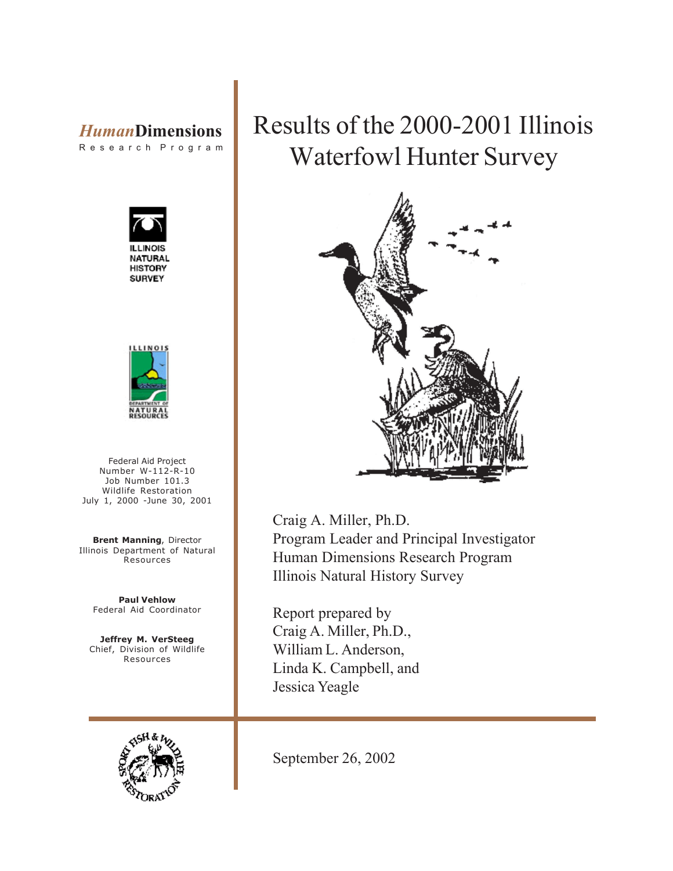# *Human***Dimensions**

R e s e a r c h P r o g r a m





Federal Aid Project Number W-112-R-10 Job Number 101.3 Wildlife Restoration July 1, 2000 -June 30, 2001

**Brent Manning**, Director Illinois Department of Natural Resources

**Paul Vehlow** Federal Aid Coordinator

**Jeffrey M. VerSteeg** Chief, Division of Wildlife Resources



# Results of the 2000-2001 Illinois Waterfowl Hunter Survey



Craig A. Miller, Ph.D. Program Leader and Principal Investigator Human Dimensions Research Program Illinois Natural History Survey

Report prepared by Craig A. Miller, Ph.D., William L. Anderson, Linda K. Campbell, and Jessica Yeagle

September 26, 2002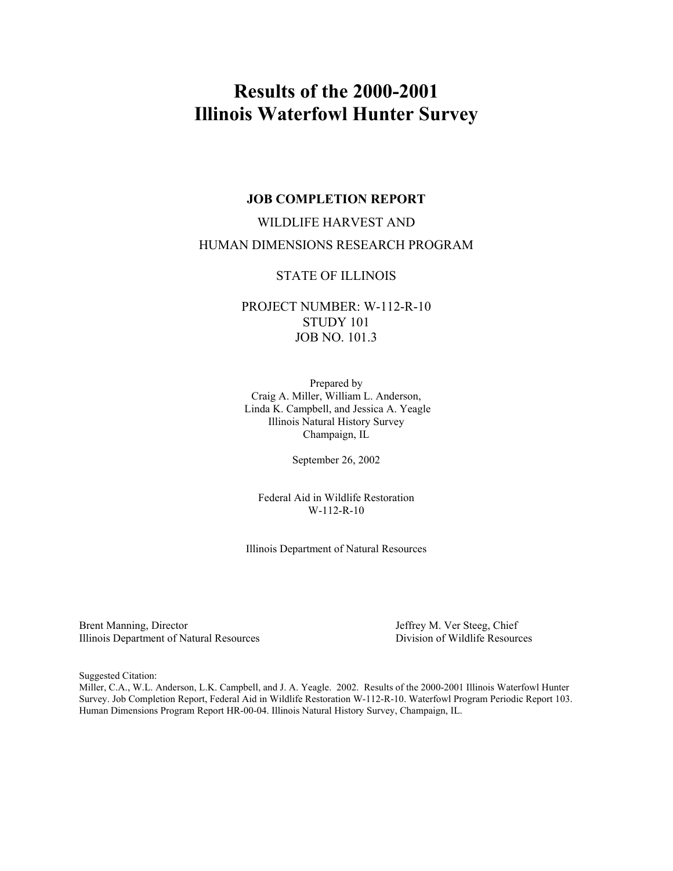## **Results of the 2000-2001 Illinois Waterfowl Hunter Survey**

#### **JOB COMPLETION REPORT**

## WILDLIFE HARVEST AND HUMAN DIMENSIONS RESEARCH PROGRAM

#### STATE OF ILLINOIS

### PROJECT NUMBER: W-112-R-10 STUDY 101 JOB NO. 101.3

Prepared by Craig A. Miller, William L. Anderson, Linda K. Campbell, and Jessica A. Yeagle Illinois Natural History Survey Champaign, IL

September 26, 2002

Federal Aid in Wildlife Restoration W-112-R-10

Illinois Department of Natural Resources

Brent Manning, Director and Resources<br>
Illinois Department of Natural Resources<br>
Division of Wildlife Resources Illinois Department of Natural Resources

Suggested Citation:

Miller, C.A., W.L. Anderson, L.K. Campbell, and J. A. Yeagle. 2002. Results of the 2000-2001 Illinois Waterfowl Hunter Survey. Job Completion Report, Federal Aid in Wildlife Restoration W-112-R-10. Waterfowl Program Periodic Report 103. Human Dimensions Program Report HR-00-04. Illinois Natural History Survey, Champaign, IL.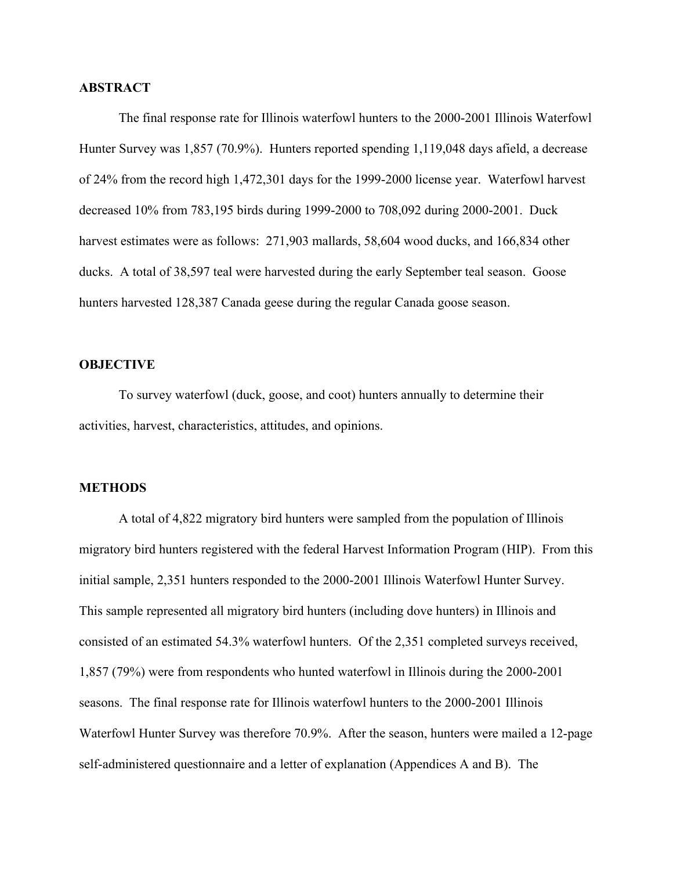#### **ABSTRACT**

The final response rate for Illinois waterfowl hunters to the 2000-2001 Illinois Waterfowl Hunter Survey was 1,857 (70.9%). Hunters reported spending 1,119,048 days afield, a decrease of 24% from the record high 1,472,301 days for the 1999-2000 license year. Waterfowl harvest decreased 10% from 783,195 birds during 1999-2000 to 708,092 during 2000-2001. Duck harvest estimates were as follows: 271,903 mallards, 58,604 wood ducks, and 166,834 other ducks. A total of 38,597 teal were harvested during the early September teal season. Goose hunters harvested 128,387 Canada geese during the regular Canada goose season.

#### **OBJECTIVE**

To survey waterfowl (duck, goose, and coot) hunters annually to determine their activities, harvest, characteristics, attitudes, and opinions.

#### **METHODS**

A total of 4,822 migratory bird hunters were sampled from the population of Illinois migratory bird hunters registered with the federal Harvest Information Program (HIP). From this initial sample, 2,351 hunters responded to the 2000-2001 Illinois Waterfowl Hunter Survey. This sample represented all migratory bird hunters (including dove hunters) in Illinois and consisted of an estimated 54.3% waterfowl hunters. Of the 2,351 completed surveys received, 1,857 (79%) were from respondents who hunted waterfowl in Illinois during the 2000-2001 seasons. The final response rate for Illinois waterfowl hunters to the 2000-2001 Illinois Waterfowl Hunter Survey was therefore 70.9%. After the season, hunters were mailed a 12-page self-administered questionnaire and a letter of explanation (Appendices A and B). The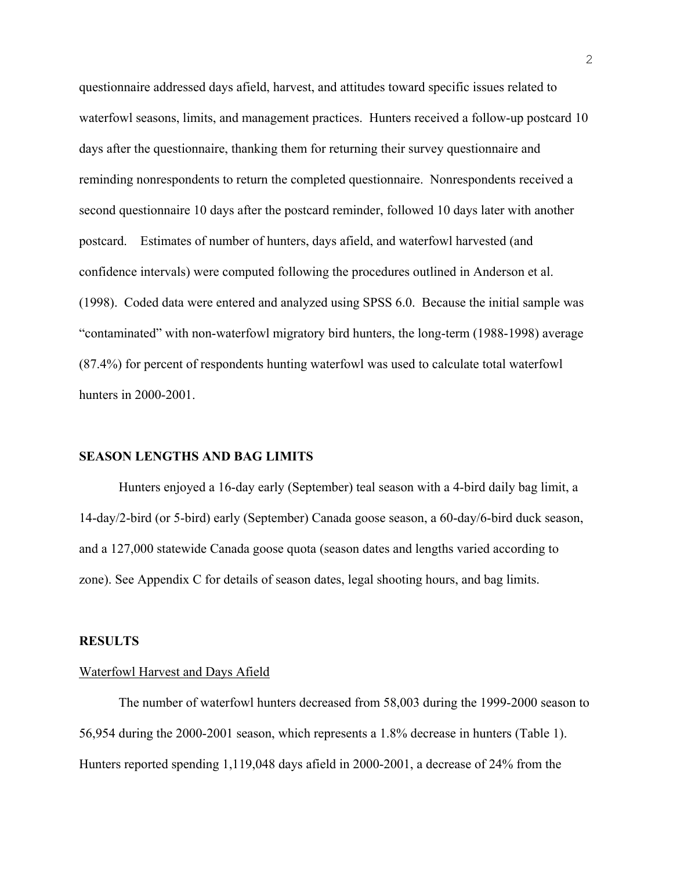questionnaire addressed days afield, harvest, and attitudes toward specific issues related to waterfowl seasons, limits, and management practices. Hunters received a follow-up postcard 10 days after the questionnaire, thanking them for returning their survey questionnaire and reminding nonrespondents to return the completed questionnaire. Nonrespondents received a second questionnaire 10 days after the postcard reminder, followed 10 days later with another postcard. Estimates of number of hunters, days afield, and waterfowl harvested (and confidence intervals) were computed following the procedures outlined in Anderson et al. (1998). Coded data were entered and analyzed using SPSS 6.0. Because the initial sample was "contaminated" with non-waterfowl migratory bird hunters, the long-term (1988-1998) average (87.4%) for percent of respondents hunting waterfowl was used to calculate total waterfowl hunters in 2000-2001.

#### **SEASON LENGTHS AND BAG LIMITS**

Hunters enjoyed a 16-day early (September) teal season with a 4-bird daily bag limit, a 14-day/2-bird (or 5-bird) early (September) Canada goose season, a 60-day/6-bird duck season, and a 127,000 statewide Canada goose quota (season dates and lengths varied according to zone). See Appendix C for details of season dates, legal shooting hours, and bag limits.

#### **RESULTS**

#### Waterfowl Harvest and Days Afield

The number of waterfowl hunters decreased from 58,003 during the 1999-2000 season to 56,954 during the 2000-2001 season, which represents a 1.8% decrease in hunters (Table 1). Hunters reported spending 1,119,048 days afield in 2000-2001, a decrease of 24% from the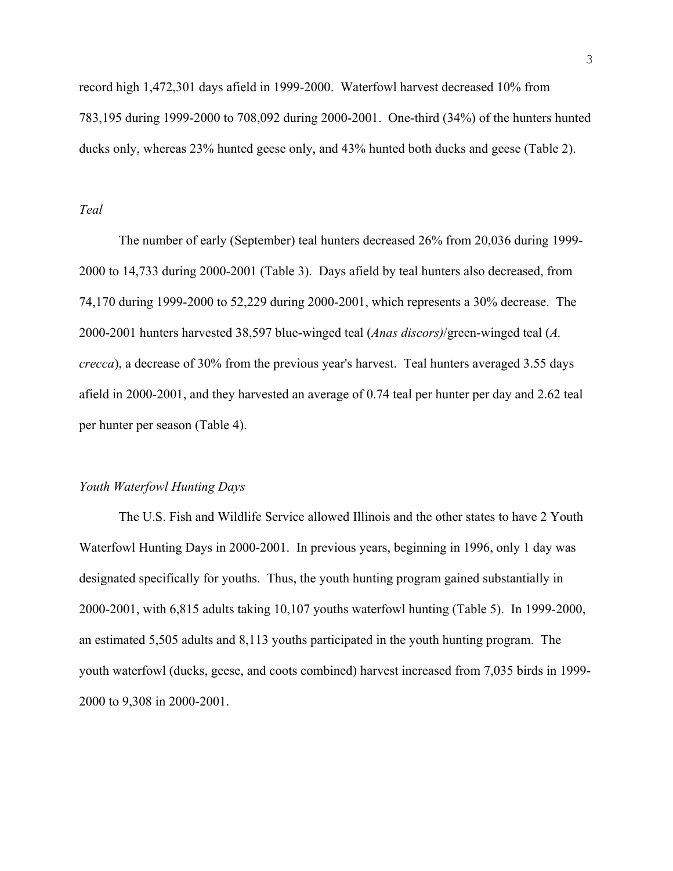record high 1,472,301 days afield in 1999-2000. Waterfowl harvest decreased 10% from 783,195 during 1999-2000 to 708,092 during 2000-2001. One-third (34%) of the hunters hunted ducks only, whereas 23% hunted geese only, and 43% hunted both ducks and geese (Table 2).

#### *Teal*

The number of early (September) teal hunters decreased 26% from 20,036 during 1999- 2000 to 14,733 during 2000-2001 (Table 3). Days afield by teal hunters also decreased, from 74,170 during 1999-2000 to 52,229 during 2000-2001, which represents a 30% decrease. The 2000-2001 hunters harvested 38,597 blue-winged teal (*Anas discors)*/green-winged teal (*A. crecca*), a decrease of 30% from the previous year's harvest. Teal hunters averaged 3.55 days afield in 2000-2001, and they harvested an average of 0.74 teal per hunter per day and 2.62 teal per hunter per season (Table 4).

#### *Youth Waterfowl Hunting Days*

The U.S. Fish and Wildlife Service allowed Illinois and the other states to have 2 Youth Waterfowl Hunting Days in 2000-2001. In previous years, beginning in 1996, only 1 day was designated specifically for youths. Thus, the youth hunting program gained substantially in 2000-2001, with 6,815 adults taking 10,107 youths waterfowl hunting (Table 5). In 1999-2000, an estimated 5,505 adults and 8,113 youths participated in the youth hunting program. The youth waterfowl (ducks, geese, and coots combined) harvest increased from 7,035 birds in 1999- 2000 to 9,308 in 2000-2001.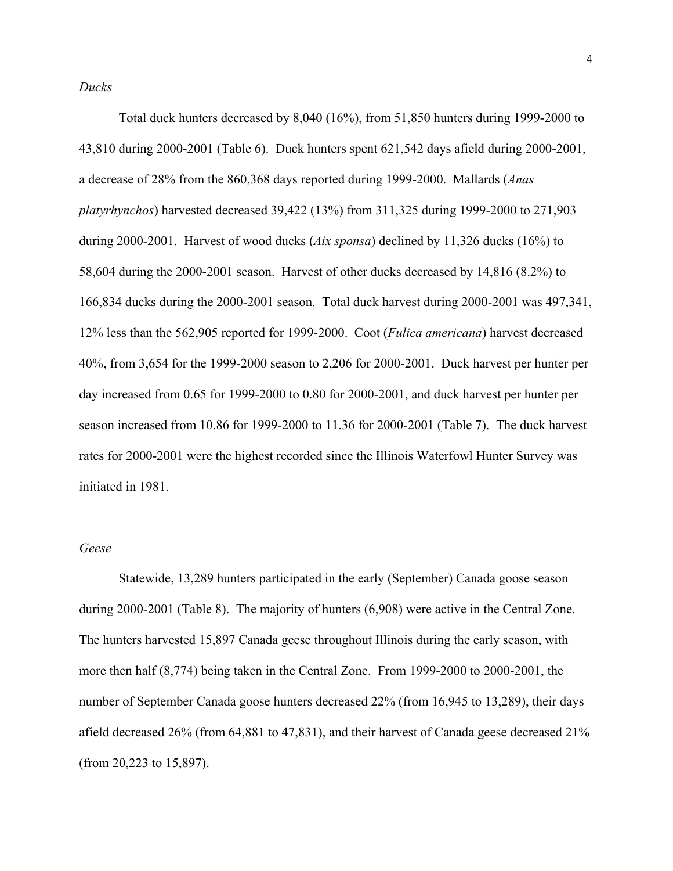*Ducks*

Total duck hunters decreased by 8,040 (16%), from 51,850 hunters during 1999-2000 to 43,810 during 2000-2001 (Table 6). Duck hunters spent 621,542 days afield during 2000-2001, a decrease of 28% from the 860,368 days reported during 1999-2000. Mallards (*Anas platyrhynchos*) harvested decreased 39,422 (13%) from 311,325 during 1999-2000 to 271,903 during 2000-2001. Harvest of wood ducks (*Aix sponsa*) declined by 11,326 ducks (16%) to 58,604 during the 2000-2001 season. Harvest of other ducks decreased by 14,816 (8.2%) to 166,834 ducks during the 2000-2001 season. Total duck harvest during 2000-2001 was 497,341, 12% less than the 562,905 reported for 1999-2000. Coot (*Fulica americana*) harvest decreased 40%, from 3,654 for the 1999-2000 season to 2,206 for 2000-2001. Duck harvest per hunter per day increased from 0.65 for 1999-2000 to 0.80 for 2000-2001, and duck harvest per hunter per season increased from 10.86 for 1999-2000 to 11.36 for 2000-2001 (Table 7). The duck harvest rates for 2000-2001 were the highest recorded since the Illinois Waterfowl Hunter Survey was initiated in 1981.

#### *Geese*

Statewide, 13,289 hunters participated in the early (September) Canada goose season during 2000-2001 (Table 8). The majority of hunters (6,908) were active in the Central Zone. The hunters harvested 15,897 Canada geese throughout Illinois during the early season, with more then half (8,774) being taken in the Central Zone. From 1999-2000 to 2000-2001, the number of September Canada goose hunters decreased 22% (from 16,945 to 13,289), their days afield decreased 26% (from 64,881 to 47,831), and their harvest of Canada geese decreased 21% (from 20,223 to 15,897).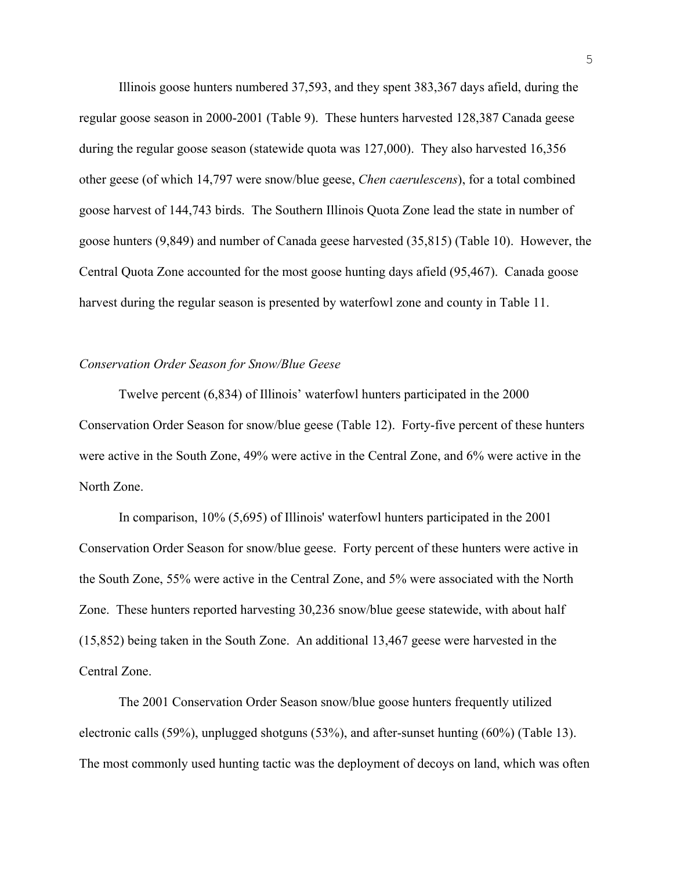Illinois goose hunters numbered 37,593, and they spent 383,367 days afield, during the regular goose season in 2000-2001 (Table 9). These hunters harvested 128,387 Canada geese during the regular goose season (statewide quota was 127,000). They also harvested 16,356 other geese (of which 14,797 were snow/blue geese, *Chen caerulescens*), for a total combined goose harvest of 144,743 birds. The Southern Illinois Quota Zone lead the state in number of goose hunters (9,849) and number of Canada geese harvested (35,815) (Table 10). However, the Central Quota Zone accounted for the most goose hunting days afield (95,467). Canada goose harvest during the regular season is presented by waterfowl zone and county in Table 11.

#### *Conservation Order Season for Snow/Blue Geese*

 Twelve percent (6,834) of Illinois' waterfowl hunters participated in the 2000 Conservation Order Season for snow/blue geese (Table 12). Forty-five percent of these hunters were active in the South Zone, 49% were active in the Central Zone, and 6% were active in the North Zone.

In comparison, 10% (5,695) of Illinois' waterfowl hunters participated in the 2001 Conservation Order Season for snow/blue geese. Forty percent of these hunters were active in the South Zone, 55% were active in the Central Zone, and 5% were associated with the North Zone. These hunters reported harvesting 30,236 snow/blue geese statewide, with about half (15,852) being taken in the South Zone. An additional 13,467 geese were harvested in the Central Zone.

The 2001 Conservation Order Season snow/blue goose hunters frequently utilized electronic calls (59%), unplugged shotguns (53%), and after-sunset hunting (60%) (Table 13). The most commonly used hunting tactic was the deployment of decoys on land, which was often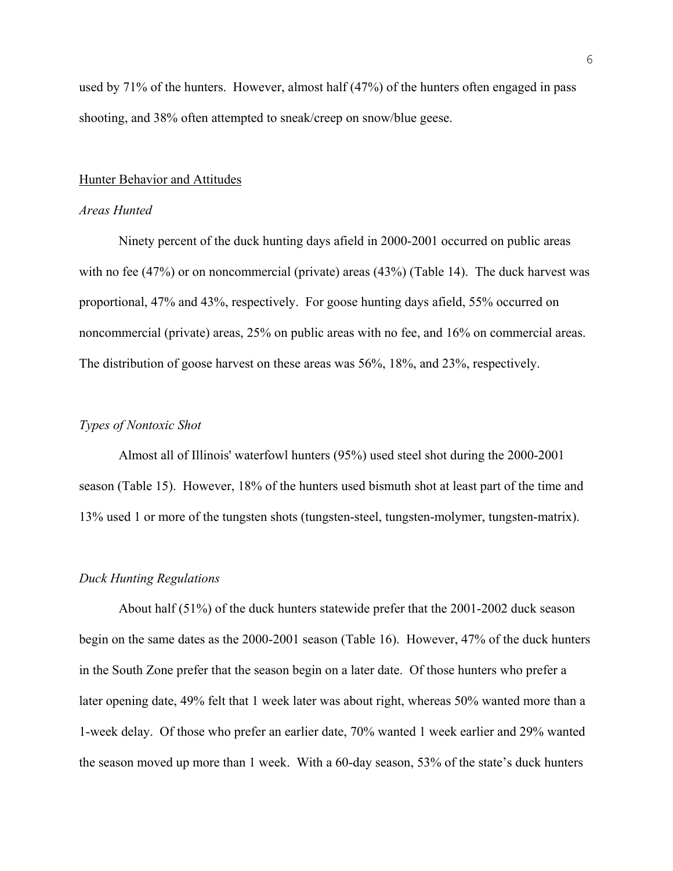used by 71% of the hunters. However, almost half (47%) of the hunters often engaged in pass shooting, and 38% often attempted to sneak/creep on snow/blue geese.

#### Hunter Behavior and Attitudes

#### *Areas Hunted*

Ninety percent of the duck hunting days afield in 2000-2001 occurred on public areas with no fee (47%) or on noncommercial (private) areas (43%) (Table 14). The duck harvest was proportional, 47% and 43%, respectively. For goose hunting days afield, 55% occurred on noncommercial (private) areas, 25% on public areas with no fee, and 16% on commercial areas. The distribution of goose harvest on these areas was 56%, 18%, and 23%, respectively.

#### *Types of Nontoxic Shot*

Almost all of Illinois' waterfowl hunters (95%) used steel shot during the 2000-2001 season (Table 15). However, 18% of the hunters used bismuth shot at least part of the time and 13% used 1 or more of the tungsten shots (tungsten-steel, tungsten-molymer, tungsten-matrix).

#### *Duck Hunting Regulations*

 About half (51%) of the duck hunters statewide prefer that the 2001-2002 duck season begin on the same dates as the 2000-2001 season (Table 16). However, 47% of the duck hunters in the South Zone prefer that the season begin on a later date. Of those hunters who prefer a later opening date, 49% felt that 1 week later was about right, whereas 50% wanted more than a 1-week delay. Of those who prefer an earlier date, 70% wanted 1 week earlier and 29% wanted the season moved up more than 1 week. With a 60-day season, 53% of the state's duck hunters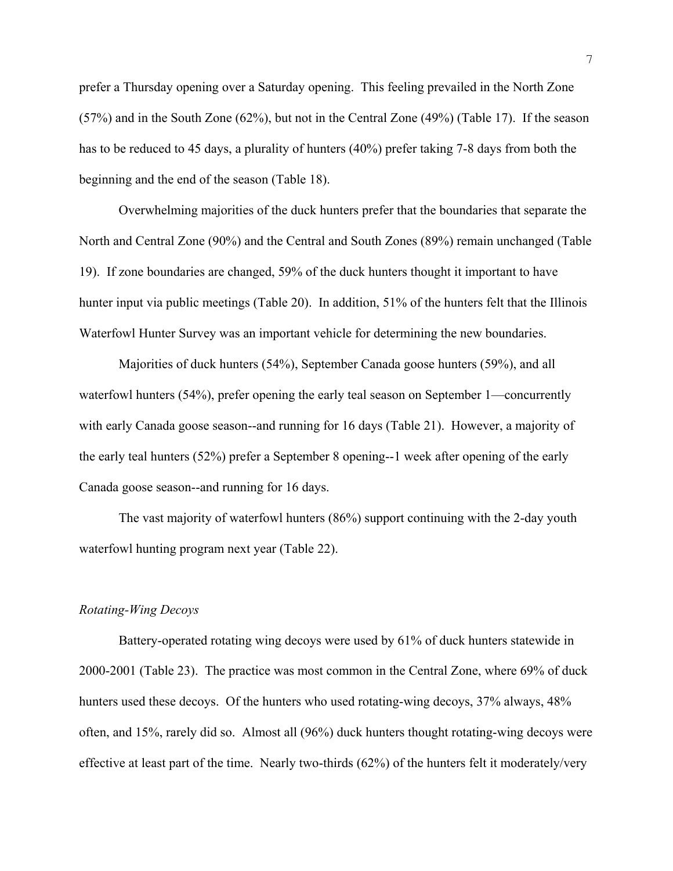prefer a Thursday opening over a Saturday opening. This feeling prevailed in the North Zone (57%) and in the South Zone (62%), but not in the Central Zone (49%) (Table 17). If the season has to be reduced to 45 days, a plurality of hunters (40%) prefer taking 7-8 days from both the beginning and the end of the season (Table 18).

Overwhelming majorities of the duck hunters prefer that the boundaries that separate the North and Central Zone (90%) and the Central and South Zones (89%) remain unchanged (Table 19). If zone boundaries are changed, 59% of the duck hunters thought it important to have hunter input via public meetings (Table 20). In addition, 51% of the hunters felt that the Illinois Waterfowl Hunter Survey was an important vehicle for determining the new boundaries.

Majorities of duck hunters (54%), September Canada goose hunters (59%), and all waterfowl hunters (54%), prefer opening the early teal season on September 1—concurrently with early Canada goose season--and running for 16 days (Table 21). However, a majority of the early teal hunters (52%) prefer a September 8 opening--1 week after opening of the early Canada goose season--and running for 16 days.

The vast majority of waterfowl hunters (86%) support continuing with the 2-day youth waterfowl hunting program next year (Table 22).

#### *Rotating-Wing Decoys*

Battery-operated rotating wing decoys were used by 61% of duck hunters statewide in 2000-2001 (Table 23). The practice was most common in the Central Zone, where 69% of duck hunters used these decoys. Of the hunters who used rotating-wing decoys, 37% always, 48% often, and 15%, rarely did so. Almost all (96%) duck hunters thought rotating-wing decoys were effective at least part of the time. Nearly two-thirds (62%) of the hunters felt it moderately/very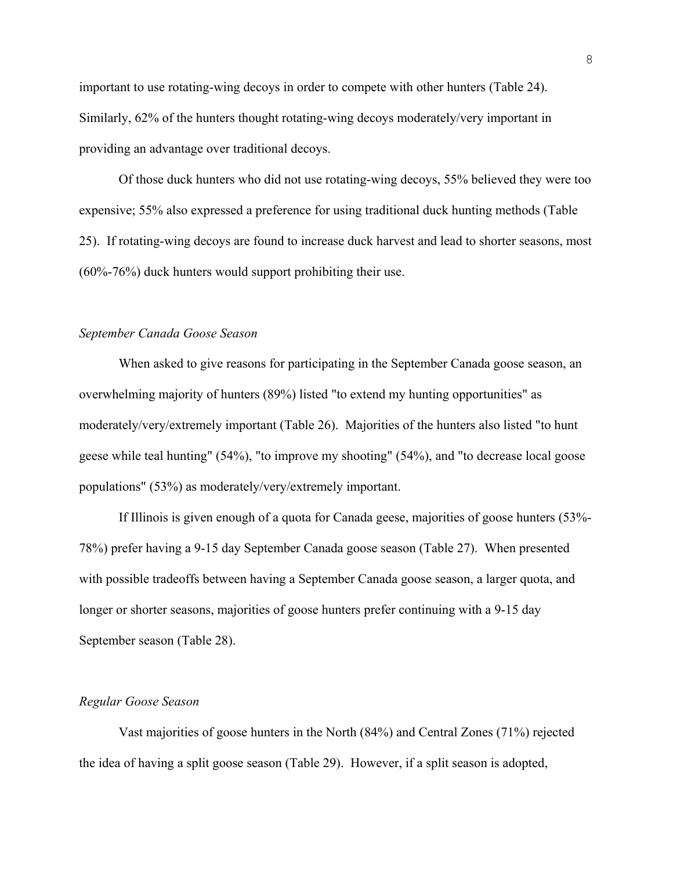important to use rotating-wing decoys in order to compete with other hunters (Table 24). Similarly, 62% of the hunters thought rotating-wing decoys moderately/very important in providing an advantage over traditional decoys.

Of those duck hunters who did not use rotating-wing decoys, 55% believed they were too expensive; 55% also expressed a preference for using traditional duck hunting methods (Table 25). If rotating-wing decoys are found to increase duck harvest and lead to shorter seasons, most (60%-76%) duck hunters would support prohibiting their use.

#### *September Canada Goose Season*

When asked to give reasons for participating in the September Canada goose season, an overwhelming majority of hunters (89%) listed "to extend my hunting opportunities" as moderately/very/extremely important (Table 26). Majorities of the hunters also listed "to hunt geese while teal hunting" (54%), "to improve my shooting" (54%), and "to decrease local goose populations" (53%) as moderately/very/extremely important.

If Illinois is given enough of a quota for Canada geese, majorities of goose hunters (53%- 78%) prefer having a 9-15 day September Canada goose season (Table 27). When presented with possible tradeoffs between having a September Canada goose season, a larger quota, and longer or shorter seasons, majorities of goose hunters prefer continuing with a 9-15 day September season (Table 28).

#### *Regular Goose Season*

Vast majorities of goose hunters in the North (84%) and Central Zones (71%) rejected the idea of having a split goose season (Table 29). However, if a split season is adopted,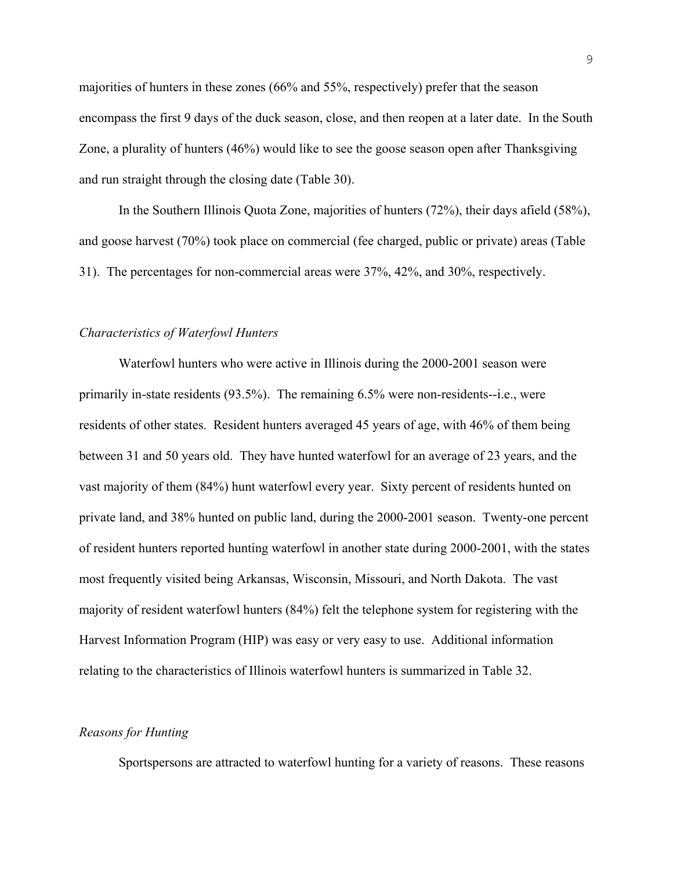majorities of hunters in these zones (66% and 55%, respectively) prefer that the season encompass the first 9 days of the duck season, close, and then reopen at a later date. In the South Zone, a plurality of hunters (46%) would like to see the goose season open after Thanksgiving and run straight through the closing date (Table 30).

In the Southern Illinois Quota Zone, majorities of hunters (72%), their days afield (58%), and goose harvest (70%) took place on commercial (fee charged, public or private) areas (Table 31). The percentages for non-commercial areas were 37%, 42%, and 30%, respectively.

#### *Characteristics of Waterfowl Hunters*

Waterfowl hunters who were active in Illinois during the 2000-2001 season were primarily in-state residents (93.5%). The remaining 6.5% were non-residents--i.e., were residents of other states. Resident hunters averaged 45 years of age, with 46% of them being between 31 and 50 years old. They have hunted waterfowl for an average of 23 years, and the vast majority of them (84%) hunt waterfowl every year. Sixty percent of residents hunted on private land, and 38% hunted on public land, during the 2000-2001 season. Twenty-one percent of resident hunters reported hunting waterfowl in another state during 2000-2001, with the states most frequently visited being Arkansas, Wisconsin, Missouri, and North Dakota. The vast majority of resident waterfowl hunters (84%) felt the telephone system for registering with the Harvest Information Program (HIP) was easy or very easy to use. Additional information relating to the characteristics of Illinois waterfowl hunters is summarized in Table 32.

#### *Reasons for Hunting*

Sportspersons are attracted to waterfowl hunting for a variety of reasons. These reasons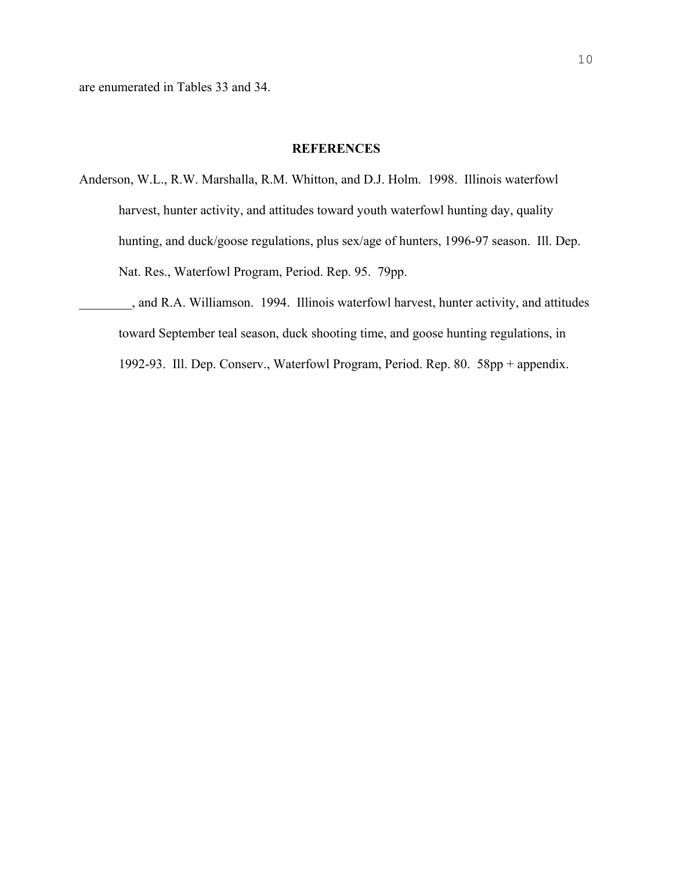#### **REFERENCES**

- Anderson, W.L., R.W. Marshalla, R.M. Whitton, and D.J. Holm. 1998. Illinois waterfowl harvest, hunter activity, and attitudes toward youth waterfowl hunting day, quality hunting, and duck/goose regulations, plus sex/age of hunters, 1996-97 season. Ill. Dep. Nat. Res., Waterfowl Program, Period. Rep. 95. 79pp.
- \_\_\_\_\_\_\_\_, and R.A. Williamson. 1994. Illinois waterfowl harvest, hunter activity, and attitudes toward September teal season, duck shooting time, and goose hunting regulations, in 1992-93. Ill. Dep. Conserv., Waterfowl Program, Period. Rep. 80. 58pp + appendix.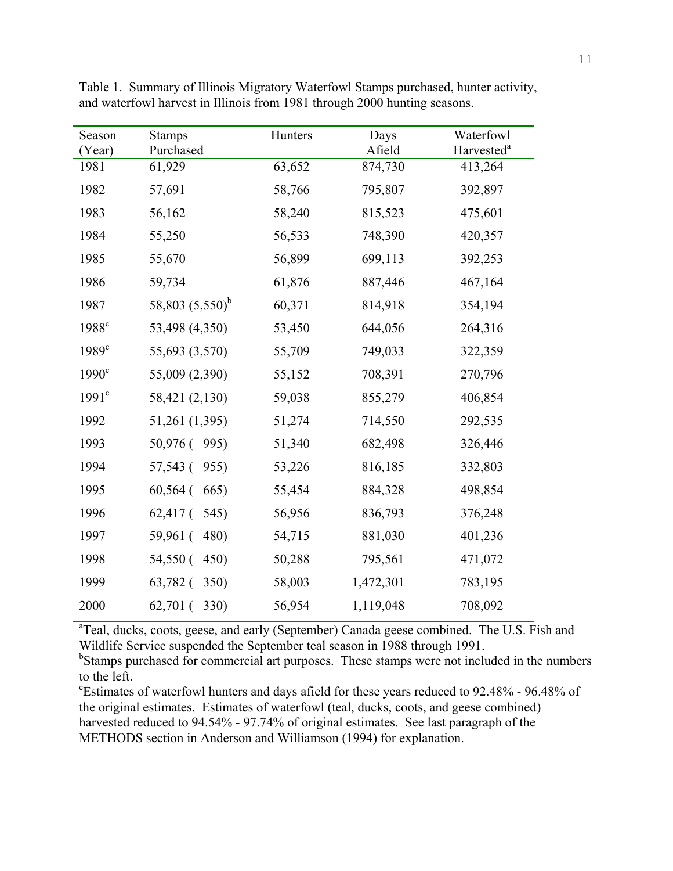| Season<br>(Year)  | <b>Stamps</b><br>Purchased | Hunters | Days<br>Afield | Waterfowl<br>Harvested <sup>a</sup> |
|-------------------|----------------------------|---------|----------------|-------------------------------------|
| 1981              | 61,929                     | 63,652  | 874,730        | 413,264                             |
| 1982              | 57,691                     | 58,766  | 795,807        | 392,897                             |
| 1983              | 56,162                     | 58,240  | 815,523        | 475,601                             |
| 1984              | 55,250                     | 56,533  | 748,390        | 420,357                             |
| 1985              | 55,670                     | 56,899  | 699,113        | 392,253                             |
| 1986              | 59,734                     | 61,876  | 887,446        | 467,164                             |
| 1987              | 58,803 $(5,550)^b$         | 60,371  | 814,918        | 354,194                             |
| 1988 <sup>c</sup> | 53,498 (4,350)             | 53,450  | 644,056        | 264,316                             |
| $1989^{\circ}$    | 55,693 (3,570)             | 55,709  | 749,033        | 322,359                             |
| $1990^\circ$      | 55,009 (2,390)             | 55,152  | 708,391        | 270,796                             |
| 1991 <sup>c</sup> | 58,421 (2,130)             | 59,038  | 855,279        | 406,854                             |
| 1992              | 51,261 (1,395)             | 51,274  | 714,550        | 292,535                             |
| 1993              | 50,976 (995)               | 51,340  | 682,498        | 326,446                             |
| 1994              | 57,543 (<br>955)           | 53,226  | 816,185        | 332,803                             |
| 1995              | $60,564$ (<br>665)         | 55,454  | 884,328        | 498,854                             |
| 1996              | $62,417$ (<br>545)         | 56,956  | 836,793        | 376,248                             |
| 1997              | 59,961 (<br>480)           | 54,715  | 881,030        | 401,236                             |
| 1998              | 54,550 (<br>450)           | 50,288  | 795,561        | 471,072                             |
| 1999              | $63,782$ (<br>350)         | 58,003  | 1,472,301      | 783,195                             |
| 2000              | $62,701$ (<br>330)         | 56,954  | 1,119,048      | 708,092                             |

Table 1. Summary of Illinois Migratory Waterfowl Stamps purchased, hunter activity, and waterfowl harvest in Illinois from 1981 through 2000 hunting seasons.

<sup>a</sup>Teal, ducks, coots, geese, and early (September) Canada geese combined. The U.S. Fish and Wildlife Service suspended the September teal season in 1988 through 1991.

<sup>b</sup>Stamps purchased for commercial art purposes. These stamps were not included in the numbers to the left.

c Estimates of waterfowl hunters and days afield for these years reduced to 92.48% - 96.48% of the original estimates. Estimates of waterfowl (teal, ducks, coots, and geese combined) harvested reduced to 94.54% - 97.74% of original estimates. See last paragraph of the METHODS section in Anderson and Williamson (1994) for explanation.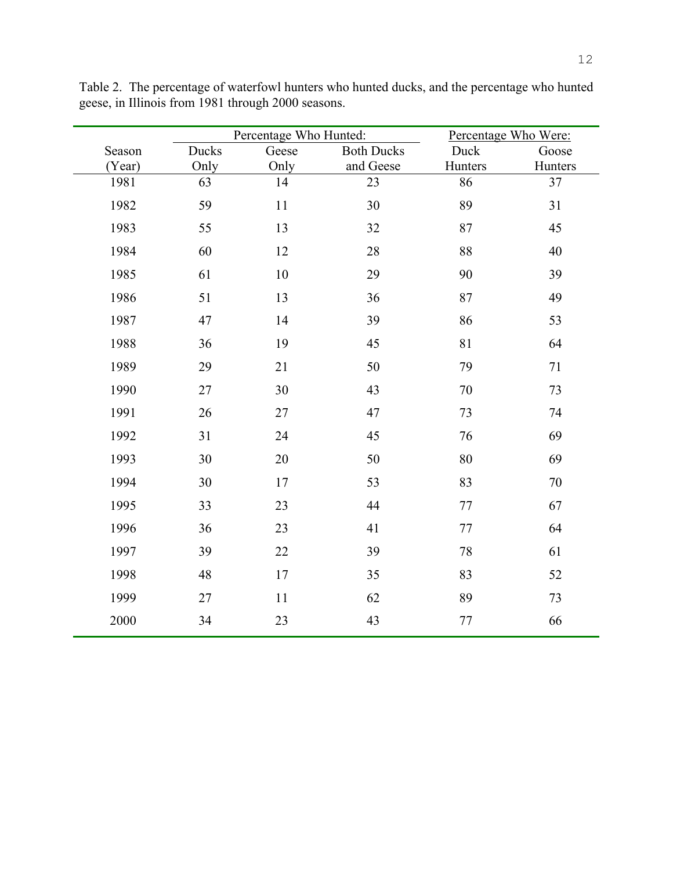|        |       | Percentage Who Hunted: |                   |         | Percentage Who Were: |
|--------|-------|------------------------|-------------------|---------|----------------------|
| Season | Ducks | Geese                  | <b>Both Ducks</b> | Duck    | Goose                |
| (Year) | Only  | Only                   | and Geese         | Hunters | Hunters              |
| 1981   | 63    | 14                     | 23                | 86      | 37                   |
| 1982   | 59    | $11\,$                 | 30                | 89      | 31                   |
| 1983   | 55    | 13                     | 32                | 87      | 45                   |
| 1984   | 60    | 12                     | 28                | 88      | 40                   |
| 1985   | 61    | $10\,$                 | 29                | 90      | 39                   |
| 1986   | 51    | 13                     | 36                | 87      | 49                   |
| 1987   | 47    | 14                     | 39                | 86      | 53                   |
| 1988   | 36    | 19                     | 45                | 81      | 64                   |
| 1989   | 29    | 21                     | $50\,$            | 79      | $71\,$               |
| 1990   | 27    | 30                     | 43                | 70      | 73                   |
| 1991   | 26    | 27                     | 47                | 73      | 74                   |
| 1992   | 31    | 24                     | 45                | $76\,$  | 69                   |
| 1993   | 30    | 20                     | 50                | 80      | 69                   |
| 1994   | 30    | $17\,$                 | 53                | 83      | $70\,$               |
| 1995   | 33    | 23                     | 44                | 77      | 67                   |
| 1996   | 36    | 23                     | 41                | $77 \,$ | 64                   |
| 1997   | 39    | 22                     | 39                | 78      | 61                   |
| 1998   | 48    | 17                     | 35                | 83      | 52                   |
| 1999   | 27    | $11\,$                 | 62                | 89      | 73                   |
| 2000   | 34    | 23                     | 43                | 77      | 66                   |

Table 2. The percentage of waterfowl hunters who hunted ducks, and the percentage who hunted geese, in Illinois from 1981 through 2000 seasons.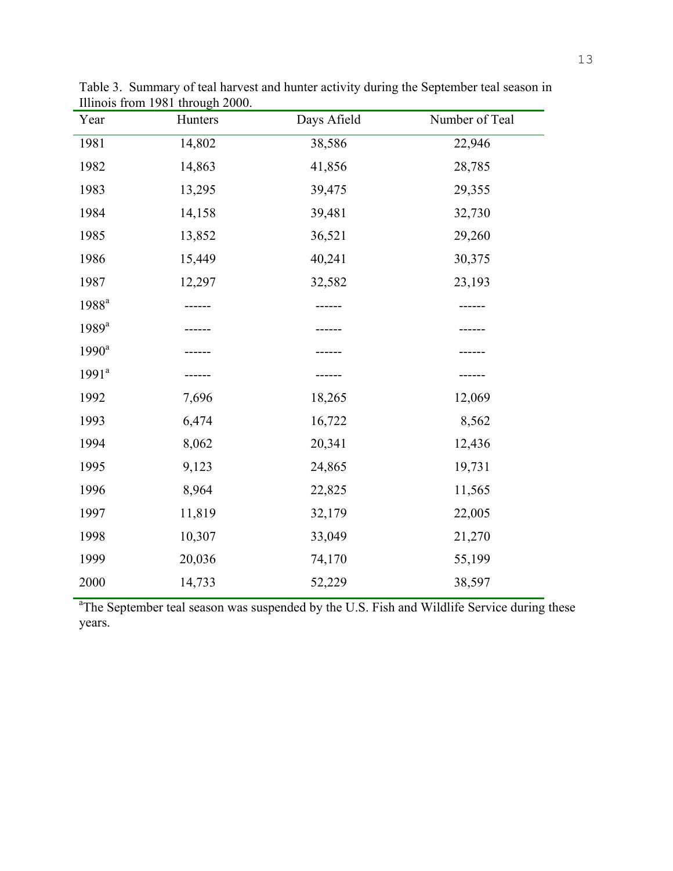| Year              | Hunters | Days Afield | Number of Teal |
|-------------------|---------|-------------|----------------|
| 1981              | 14,802  | 38,586      | 22,946         |
| 1982              | 14,863  | 41,856      | 28,785         |
| 1983              | 13,295  | 39,475      | 29,355         |
| 1984              | 14,158  | 39,481      | 32,730         |
| 1985              | 13,852  | 36,521      | 29,260         |
| 1986              | 15,449  | 40,241      | 30,375         |
| 1987              | 12,297  | 32,582      | 23,193         |
| 1988 <sup>a</sup> |         |             |                |
| $1989^a$          |         |             |                |
| $1990^a$          |         |             |                |
| $1991^a$          |         |             |                |
| 1992              | 7,696   | 18,265      | 12,069         |
| 1993              | 6,474   | 16,722      | 8,562          |
| 1994              | 8,062   | 20,341      | 12,436         |
| 1995              | 9,123   | 24,865      | 19,731         |
| 1996              | 8,964   | 22,825      | 11,565         |
| 1997              | 11,819  | 32,179      | 22,005         |
| 1998              | 10,307  | 33,049      | 21,270         |
| 1999              | 20,036  | 74,170      | 55,199         |
| 2000              | 14,733  | 52,229      | 38,597         |

Table 3. Summary of teal harvest and hunter activity during the September teal season in Illinois from 1981 through 2000.

<sup>a</sup>The September teal season was suspended by the U.S. Fish and Wildlife Service during these years.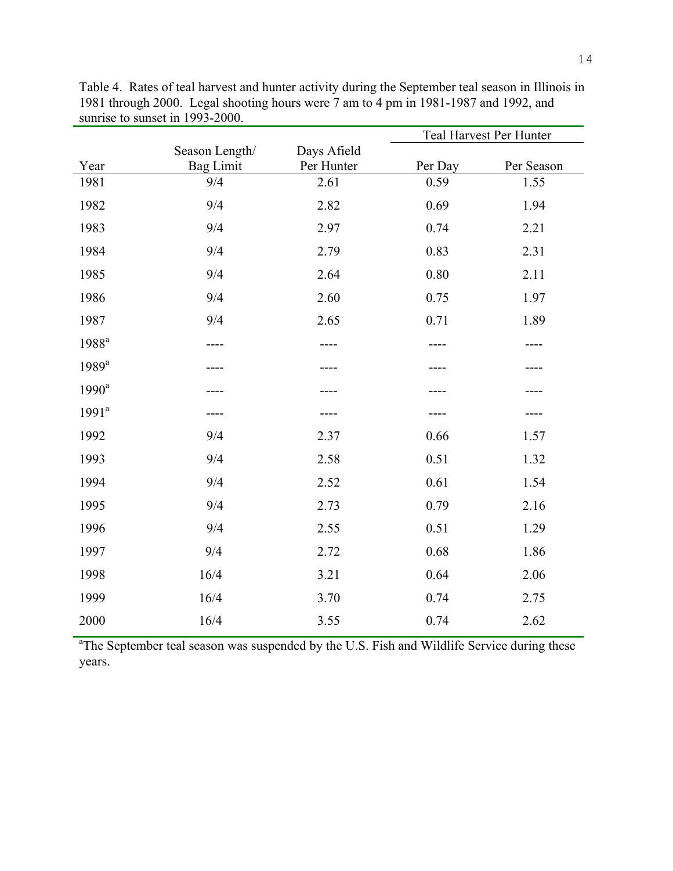|                   |                         |                           |         | Teal Harvest Per Hunter |
|-------------------|-------------------------|---------------------------|---------|-------------------------|
|                   | Season Length/          | Days Afield<br>Per Hunter | Per Day | Per Season              |
| Year<br>1981      | <b>Bag Limit</b><br>9/4 | 2.61                      | 0.59    | 1.55                    |
|                   |                         |                           |         |                         |
| 1982              | 9/4                     | 2.82                      | 0.69    | 1.94                    |
| 1983              | 9/4                     | 2.97                      | 0.74    | 2.21                    |
| 1984              | 9/4                     | 2.79                      | 0.83    | 2.31                    |
| 1985              | 9/4                     | 2.64                      | 0.80    | 2.11                    |
| 1986              | 9/4                     | 2.60                      | 0.75    | 1.97                    |
| 1987              | 9/4                     | 2.65                      | 0.71    | 1.89                    |
| 1988 <sup>a</sup> |                         |                           |         |                         |
| $1989^a$          |                         |                           |         |                         |
| $1990^a$          |                         |                           |         |                         |
| $1991^a$          |                         |                           |         |                         |
| 1992              | 9/4                     | 2.37                      | 0.66    | 1.57                    |
| 1993              | 9/4                     | 2.58                      | 0.51    | 1.32                    |
| 1994              | 9/4                     | 2.52                      | 0.61    | 1.54                    |
| 1995              | 9/4                     | 2.73                      | 0.79    | 2.16                    |
| 1996              | 9/4                     | 2.55                      | 0.51    | 1.29                    |
| 1997              | 9/4                     | 2.72                      | 0.68    | 1.86                    |
| 1998              | 16/4                    | 3.21                      | 0.64    | 2.06                    |
| 1999              | 16/4                    | 3.70                      | 0.74    | 2.75                    |
| 2000              | 16/4                    | 3.55                      | 0.74    | 2.62                    |

Table 4. Rates of teal harvest and hunter activity during the September teal season in Illinois in 1981 through 2000. Legal shooting hours were 7 am to 4 pm in 1981-1987 and 1992, and sunrise to sunset in 1993-2000.

<sup>a</sup>The September teal season was suspended by the U.S. Fish and Wildlife Service during these years.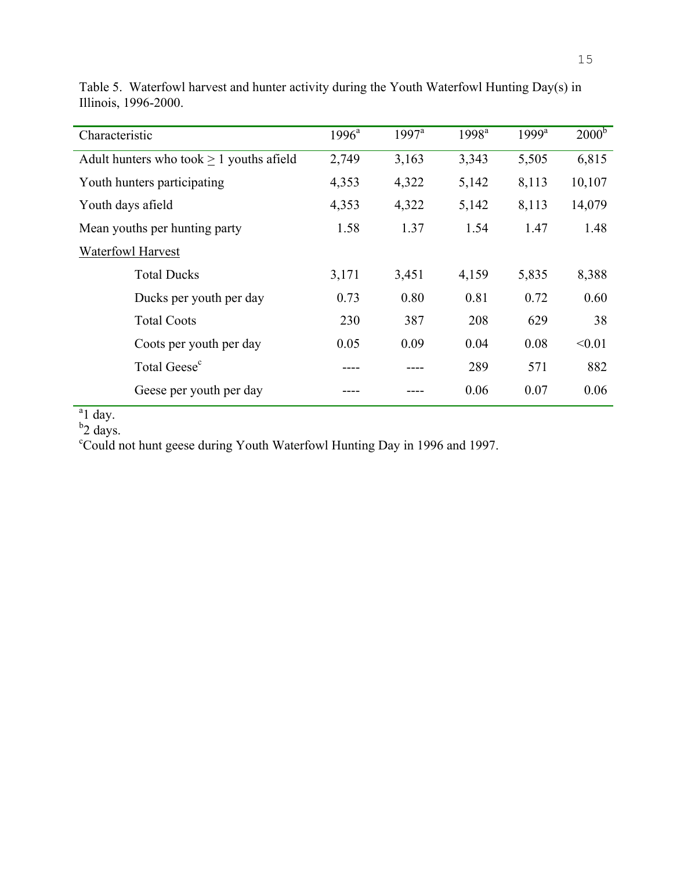| Characteristic                                | $1996^{\circ}$ | $1997^a$ | 1998 <sup>a</sup> | $1999^a$ | 2000 <sup>b</sup> |
|-----------------------------------------------|----------------|----------|-------------------|----------|-------------------|
| Adult hunters who took $\geq 1$ youths afield | 2,749          | 3,163    | 3,343             | 5,505    | 6,815             |
| Youth hunters participating                   | 4,353          | 4,322    | 5,142             | 8,113    | 10,107            |
| Youth days afield                             | 4,353          | 4,322    | 5,142             | 8,113    | 14,079            |
| Mean youths per hunting party                 | 1.58           | 1.37     | 1.54              | 1.47     | 1.48              |
| <b>Waterfowl Harvest</b>                      |                |          |                   |          |                   |
| <b>Total Ducks</b>                            | 3,171          | 3,451    | 4,159             | 5,835    | 8,388             |
| Ducks per youth per day                       | 0.73           | 0.80     | 0.81              | 0.72     | 0.60              |
| <b>Total Coots</b>                            | 230            | 387      | 208               | 629      | 38                |
| Coots per youth per day                       | 0.05           | 0.09     | 0.04              | 0.08     | < 0.01            |
| Total Geese <sup>c</sup>                      |                |          | 289               | 571      | 882               |
| Geese per youth per day                       |                |          | 0.06              | 0.07     | 0.06              |

Table 5. Waterfowl harvest and hunter activity during the Youth Waterfowl Hunting Day(s) in Illinois, 1996-2000.

<sup>a</sup>l day.<br><sup>b</sup>2 days.<br><sup>c</sup>Could not hunt geese during Youth Waterfowl Hunting Day in 1996 and 1997.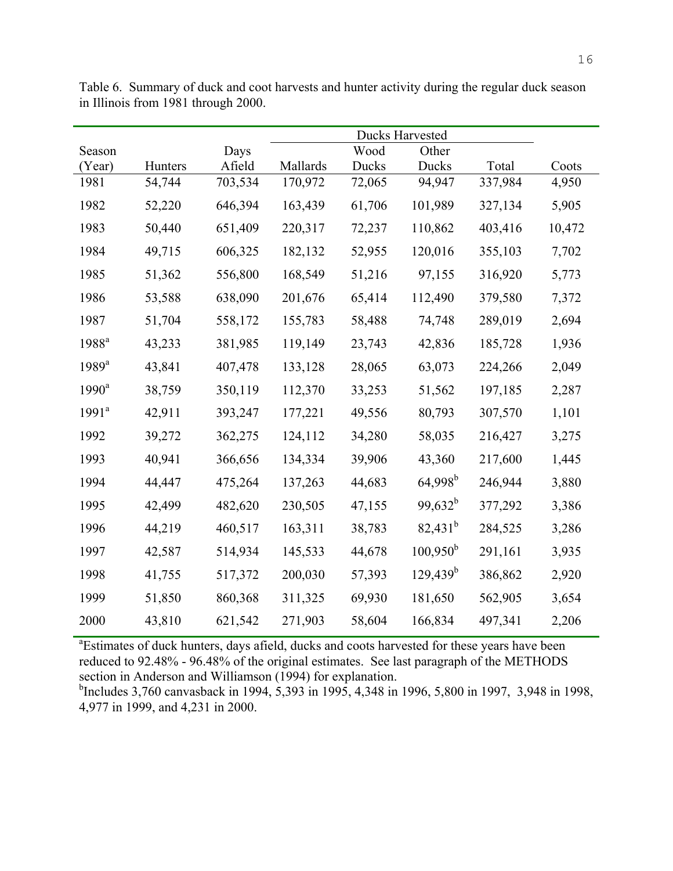| Season              |         | Days    |          | Wood   | Other             |         |        |
|---------------------|---------|---------|----------|--------|-------------------|---------|--------|
| (Year)              | Hunters | Afield  | Mallards | Ducks  | Ducks             | Total   | Coots  |
| 1981                | 54,744  | 703,534 | 170,972  | 72,065 | 94,947            | 337,984 | 4,950  |
| 1982                | 52,220  | 646,394 | 163,439  | 61,706 | 101,989           | 327,134 | 5,905  |
| 1983                | 50,440  | 651,409 | 220,317  | 72,237 | 110,862           | 403,416 | 10,472 |
| 1984                | 49,715  | 606,325 | 182,132  | 52,955 | 120,016           | 355,103 | 7,702  |
| 1985                | 51,362  | 556,800 | 168,549  | 51,216 | 97,155            | 316,920 | 5,773  |
| 1986                | 53,588  | 638,090 | 201,676  | 65,414 | 112,490           | 379,580 | 7,372  |
| 1987                | 51,704  | 558,172 | 155,783  | 58,488 | 74,748            | 289,019 | 2,694  |
| 1988 <sup>a</sup>   | 43,233  | 381,985 | 119,149  | 23,743 | 42,836            | 185,728 | 1,936  |
| $1989$ <sup>a</sup> | 43,841  | 407,478 | 133,128  | 28,065 | 63,073            | 224,266 | 2,049  |
| $1990^a$            | 38,759  | 350,119 | 112,370  | 33,253 | 51,562            | 197,185 | 2,287  |
| $1991^a$            | 42,911  | 393,247 | 177,221  | 49,556 | 80,793            | 307,570 | 1,101  |
| 1992                | 39,272  | 362,275 | 124,112  | 34,280 | 58,035            | 216,427 | 3,275  |
| 1993                | 40,941  | 366,656 | 134,334  | 39,906 | 43,360            | 217,600 | 1,445  |
| 1994                | 44,447  | 475,264 | 137,263  | 44,683 | $64,998^{\rm b}$  | 246,944 | 3,880  |
| 1995                | 42,499  | 482,620 | 230,505  | 47,155 | $99,632^b$        | 377,292 | 3,386  |
| 1996                | 44,219  | 460,517 | 163,311  | 38,783 | $82,431^b$        | 284,525 | 3,286  |
| 1997                | 42,587  | 514,934 | 145,533  | 44,678 | $100,950^{\rm b}$ | 291,161 | 3,935  |
| 1998                | 41,755  | 517,372 | 200,030  | 57,393 | $129,439^b$       | 386,862 | 2,920  |
| 1999                | 51,850  | 860,368 | 311,325  | 69,930 | 181,650           | 562,905 | 3,654  |
| 2000                | 43,810  | 621,542 | 271,903  | 58,604 | 166,834           | 497,341 | 2,206  |

Table 6. Summary of duck and coot harvests and hunter activity during the regular duck season in Illinois from 1981 through 2000.

<sup>a</sup>Estimates of duck hunters, days afield, ducks and coots harvested for these years have been reduced to 92.48% - 96.48% of the original estimates. See last paragraph of the METHODS section in Anderson and Williamson (1994) for explanation.

<sup>b</sup>Includes 3,760 canvasback in 1994, 5,393 in 1995, 4,348 in 1996, 5,800 in 1997, 3,948 in 1998, 4,977 in 1999, and 4,231 in 2000.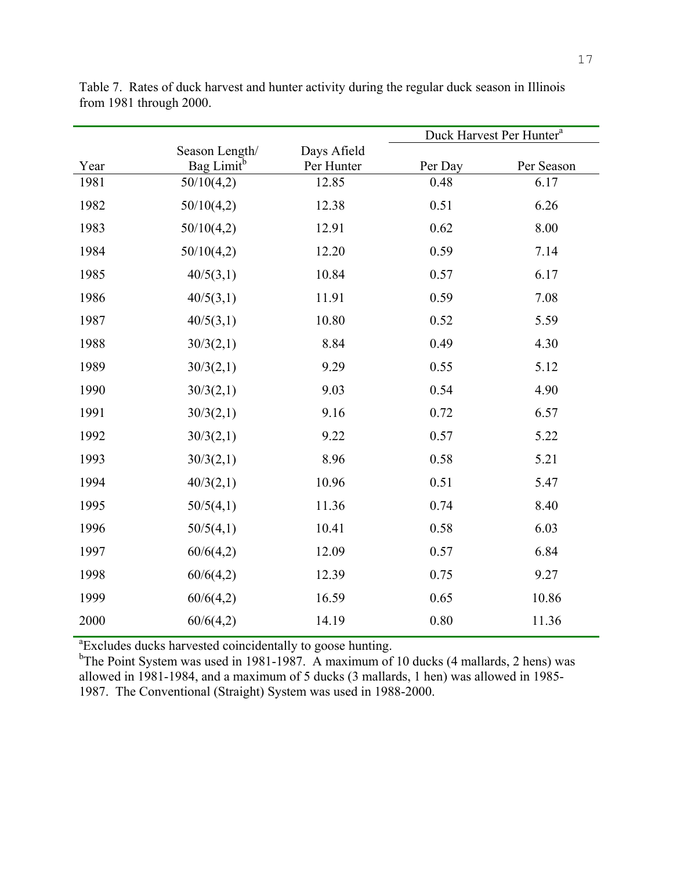|      |                        |             | Duck Harvest Per Hunter <sup>a</sup> |            |
|------|------------------------|-------------|--------------------------------------|------------|
|      | Season Length/         | Days Afield |                                      |            |
| Year | Bag Limit <sup>b</sup> | Per Hunter  | Per Day                              | Per Season |
| 1981 | 50/10(4,2)             | 12.85       | 0.48                                 | 6.17       |
| 1982 | 50/10(4,2)             | 12.38       | 0.51                                 | 6.26       |
| 1983 | 50/10(4,2)             | 12.91       | 0.62                                 | 8.00       |
| 1984 | 50/10(4,2)             | 12.20       | 0.59                                 | 7.14       |
| 1985 | 40/5(3,1)              | 10.84       | 0.57                                 | 6.17       |
| 1986 | 40/5(3,1)              | 11.91       | 0.59                                 | 7.08       |
| 1987 | 40/5(3,1)              | 10.80       | 0.52                                 | 5.59       |
| 1988 | 30/3(2,1)              | 8.84        | 0.49                                 | 4.30       |
| 1989 | 30/3(2,1)              | 9.29        | 0.55                                 | 5.12       |
| 1990 | 30/3(2,1)              | 9.03        | 0.54                                 | 4.90       |
| 1991 | 30/3(2,1)              | 9.16        | 0.72                                 | 6.57       |
| 1992 | 30/3(2,1)              | 9.22        | 0.57                                 | 5.22       |
| 1993 | 30/3(2,1)              | 8.96        | 0.58                                 | 5.21       |
| 1994 | 40/3(2,1)              | 10.96       | 0.51                                 | 5.47       |
| 1995 | 50/5(4,1)              | 11.36       | 0.74                                 | 8.40       |
| 1996 | 50/5(4,1)              | 10.41       | 0.58                                 | 6.03       |
| 1997 | 60/6(4,2)              | 12.09       | 0.57                                 | 6.84       |
| 1998 | 60/6(4,2)              | 12.39       | 0.75                                 | 9.27       |
| 1999 | 60/6(4,2)              | 16.59       | 0.65                                 | 10.86      |
| 2000 | 60/6(4,2)              | 14.19       | $0.80\,$                             | 11.36      |
|      |                        |             |                                      |            |

Table 7. Rates of duck harvest and hunter activity during the regular duck season in Illinois from 1981 through 2000.

<sup>a</sup> Excludes ducks harvested coincidentally to goose hunting.<br><sup>b</sup> The Point System was used in 1981-1987. A maximum of 10 ducks (4 mallards, 2 hens) was allowed in 1981-1984, and a maximum of 5 ducks (3 mallards, 1 hen) was allowed in 1985- 1987. The Conventional (Straight) System was used in 1988-2000.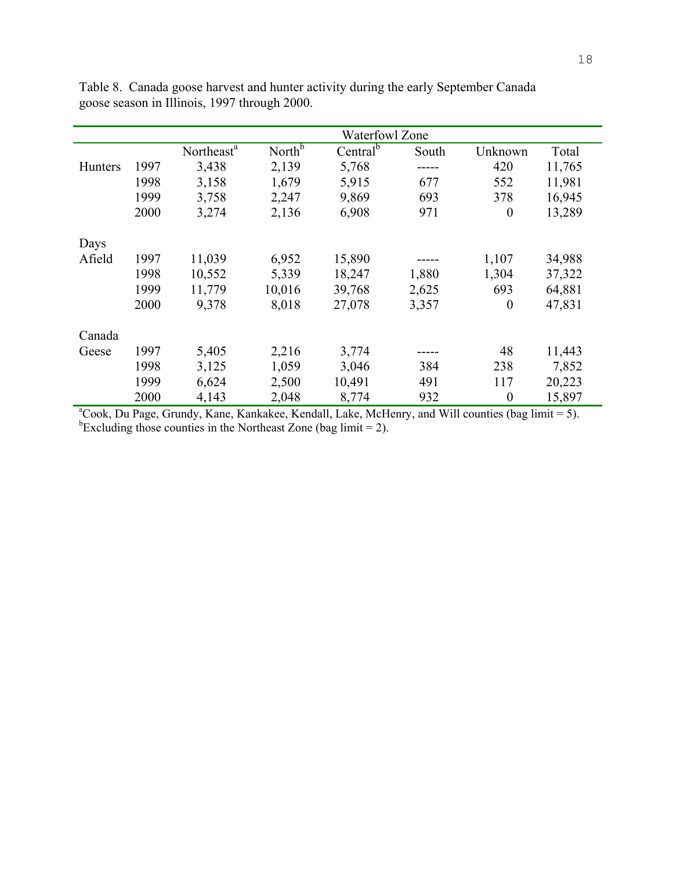|                |      | <b>Waterfowl Zone</b>  |                    |                      |       |                  |        |  |
|----------------|------|------------------------|--------------------|----------------------|-------|------------------|--------|--|
|                |      | Northeast <sup>a</sup> | North <sup>b</sup> | Central <sup>b</sup> | South | Unknown          | Total  |  |
| <b>Hunters</b> | 1997 | 3,438                  | 2,139              | 5,768                |       | 420              | 11,765 |  |
|                | 1998 | 3,158                  | 1,679              | 5,915                | 677   | 552              | 11,981 |  |
|                | 1999 | 3,758                  | 2,247              | 9,869                | 693   | 378              | 16,945 |  |
|                | 2000 | 3,274                  | 2,136              | 6,908                | 971   | $\boldsymbol{0}$ | 13,289 |  |
| Days           |      |                        |                    |                      |       |                  |        |  |
| Afield         | 1997 | 11,039                 | 6,952              | 15,890               |       | 1,107            | 34,988 |  |
|                | 1998 | 10,552                 | 5,339              | 18,247               | 1,880 | 1,304            | 37,322 |  |
|                | 1999 | 11,779                 | 10,016             | 39,768               | 2,625 | 693              | 64,881 |  |
|                | 2000 | 9,378                  | 8,018              | 27,078               | 3,357 | $\boldsymbol{0}$ | 47,831 |  |
| Canada         |      |                        |                    |                      |       |                  |        |  |
| Geese          | 1997 | 5,405                  | 2,216              | 3,774                |       | 48               | 11,443 |  |
|                | 1998 | 3,125                  | 1,059              | 3,046                | 384   | 238              | 7,852  |  |
|                | 1999 | 6,624                  | 2,500              | 10,491               | 491   | 117              | 20,223 |  |
|                | 2000 | 4,143                  | 2,048              | 8,774                | 932   | $\theta$         | 15,897 |  |

Table 8. Canada goose harvest and hunter activity during the early September Canada goose season in Illinois, 1997 through 2000.

<sup>a</sup>Cook, Du Page, Grundy, Kane, Kankakee, Kendall, Lake, McHenry, and Will counties (bag limit = 5).<br><sup>b</sup>Excluding those counties in the Northeast Zone (bag limit = 2).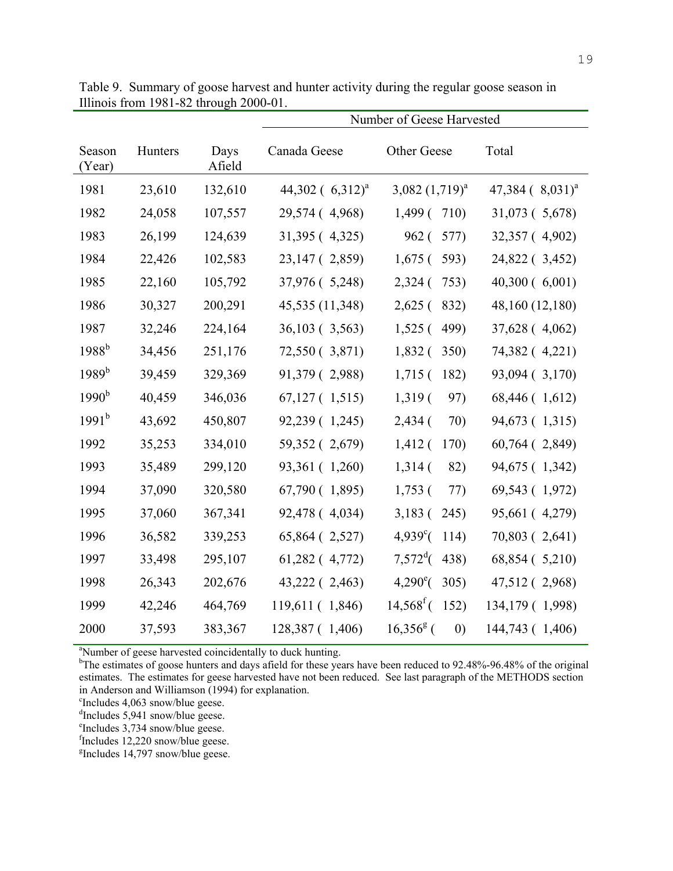|                  |         |                | Number of Geese Harvested |                                   |                                   |
|------------------|---------|----------------|---------------------------|-----------------------------------|-----------------------------------|
| Season<br>(Year) | Hunters | Days<br>Afield | Canada Geese              | Other Geese                       | Total                             |
| 1981             | 23,610  | 132,610        | 44,302 $(6,312)^{a}$      | 3,082 $(1,719)^a$                 | $47,384$ ( $8,031$ ) <sup>a</sup> |
| 1982             | 24,058  | 107,557        | 29,574 (4,968)            | 1,499 ( 710)                      | 31,073 (5,678)                    |
| 1983             | 26,199  | 124,639        | 31,395 (4,325)            | 962(<br>577)                      | 32,357 (4,902)                    |
| 1984             | 22,426  | 102,583        | 23,147 (2,859)            | $1,675$ (<br>593)                 | 24,822 (3,452)                    |
| 1985             | 22,160  | 105,792        | 37,976 (5,248)            | 2,324(<br>753)                    | 40,300(6,001)                     |
| 1986             | 30,327  | 200,291        | 45,535 (11,348)           | $2,625$ (<br>832)                 | 48,160 (12,180)                   |
| 1987             | 32,246  | 224,164        | 36,103 (3,563)            | 499)<br>$1,525$ (                 | 37,628 (4,062)                    |
| $1988^{b}$       | 34,456  | 251,176        | 72,550 (3,871)            | 1,832(<br>350)                    | 74,382 (4,221)                    |
| $1989^{b}$       | 39,459  | 329,369        | 91,379 (2,988)            | $1,715$ (<br>182)                 | 93,094 (3,170)                    |
| $1990^{\rm b}$   | 40,459  | 346,036        | $67,127$ (1,515)          | $1,319$ (<br>97)                  | 68,446 (1,612)                    |
| $1991^{\rm b}$   | 43,692  | 450,807        | 92,239 (1,245)            | $2,434$ (<br>70)                  | 94,673 (1,315)                    |
| 1992             | 35,253  | 334,010        | 59,352 (2,679)            | $1,412$ (<br>170)                 | 60,764 (2,849)                    |
| 1993             | 35,489  | 299,120        | 93,361 (1,260)            | 1,314(<br>82)                     | 94,675 (1,342)                    |
| 1994             | 37,090  | 320,580        | 67,790 (1,895)            | $1,753$ (<br>77)                  | 69,543 (1,972)                    |
| 1995             | 37,060  | 367,341        | 92,478 (4,034)            | $3,183$ (<br>245)                 | 95,661 (4,279)                    |
| 1996             | 36,582  | 339,253        | 65,864 (2,527)            | $4,939^{\circ}$ (<br>114)         | 70,803 (2,641)                    |
| 1997             | 33,498  | 295,107        | 61,282 (4,772)            | $7,572^{\rm d}$ (<br>438)         | 68,854 (5,210)                    |
| 1998             | 26,343  | 202,676        | 43,222 (2,463)            | $4,290^{\circ}$ (<br>305)         | 47,512 (2,968)                    |
| 1999             | 42,246  | 464,769        | 119,611 (1,846)           | $14,568^{\mathrm{f}}$ (152)       | 134,179 (1,998)                   |
| 2000             | 37,593  | 383,367        | 128,387 (1,406)           | $16,356^8$ (<br>$\left( 0\right)$ | 144,743 (1,406)                   |

Table 9. Summary of goose harvest and hunter activity during the regular goose season in Illinois from 1981-82 through 2000-01.

<sup>a</sup>Number of geese harvested coincidentally to duck hunting.

<sup>b</sup>The estimates of goose hunters and days afield for these years have been reduced to 92.48%-96.48% of the original estimates. The estimates for geese harvested have not been reduced. See last paragraph of the METHODS section in Anderson and Williamson (1994) for explanation.

c Includes 4,063 snow/blue geese.

d Includes 5,941 snow/blue geese.

e Includes 3,734 snow/blue geese.

fIncludes 12,220 snow/blue geese.

g Includes 14,797 snow/blue geese.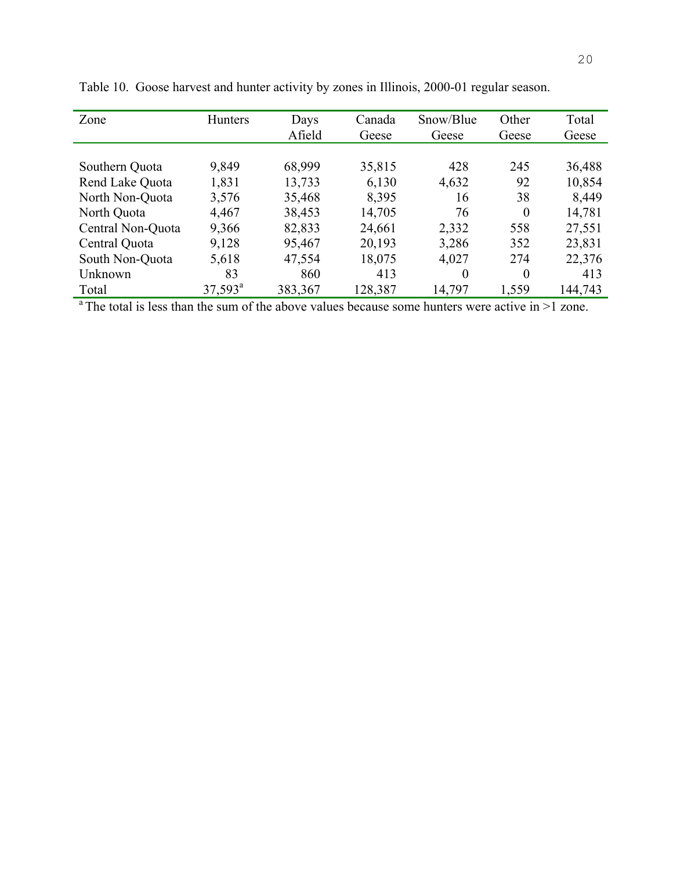| Zone              | <b>Hunters</b>   | Days    | Canada  | Snow/Blue | Other    | Total   |
|-------------------|------------------|---------|---------|-----------|----------|---------|
|                   |                  | Afield  | Geese   | Geese     | Geese    | Geese   |
|                   |                  |         |         |           |          |         |
| Southern Quota    | 9,849            | 68,999  | 35,815  | 428       | 245      | 36,488  |
| Rend Lake Quota   | 1,831            | 13,733  | 6,130   | 4,632     | 92       | 10,854  |
| North Non-Quota   | 3,576            | 35,468  | 8,395   | 16        | 38       | 8,449   |
| North Quota       | 4,467            | 38,453  | 14,705  | 76        | $\Omega$ | 14,781  |
| Central Non-Quota | 9,366            | 82,833  | 24,661  | 2,332     | 558      | 27,551  |
| Central Quota     | 9,128            | 95,467  | 20,193  | 3,286     | 352      | 23,831  |
| South Non-Quota   | 5,618            | 47,554  | 18,075  | 4,027     | 274      | 22,376  |
| Unknown           | 83               | 860     | 413     | $\Omega$  | $\Omega$ | 413     |
| Total             | $37,593^{\circ}$ | 383,367 | 128,387 | 14,797    | 1,559    | 144,743 |

Table 10. Goose harvest and hunter activity by zones in Illinois, 2000-01 regular season.

<sup>a</sup> The total is less than the sum of the above values because some hunters were active in  $>1$  zone.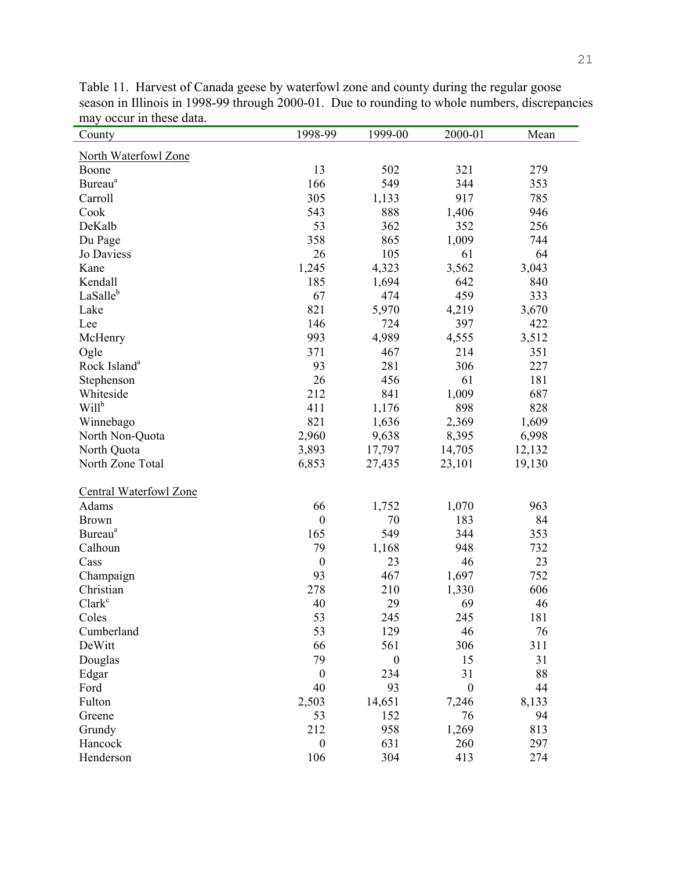| County                        | 1998-99          | 1999-00          | 2000-01          | Mean   |
|-------------------------------|------------------|------------------|------------------|--------|
| North Waterfowl Zone          |                  |                  |                  |        |
| Boone                         | 13               | 502              | 321              | 279    |
| Bureau <sup>a</sup>           | 166              | 549              | 344              | 353    |
| Carroll                       | 305              | 1,133            | 917              | 785    |
| Cook                          | 543              | 888              | 1,406            | 946    |
| DeKalb                        | 53               | 362              | 352              | 256    |
| Du Page                       | 358              | 865              | 1,009            | 744    |
| Jo Daviess                    | 26               | 105              | 61               | 64     |
| Kane                          | 1,245            | 4,323            | 3,562            | 3,043  |
| Kendall                       | 185              | 1,694            | 642              | 840    |
| LaSalleb                      | 67               | 474              | 459              | 333    |
| Lake                          | 821              | 5,970            | 4,219            | 3,670  |
| Lee                           | 146              | 724              | 397              | 422    |
| McHenry                       | 993              | 4,989            | 4,555            | 3,512  |
| Ogle                          | 371              | 467              | 214              | 351    |
| Rock Island <sup>a</sup>      | 93               | 281              | 306              | 227    |
| Stephenson                    | 26               | 456              | 61               | 181    |
| Whiteside                     | 212              | 841              | 1,009            | 687    |
| Will <sup>b</sup>             | 411              | 1,176            | 898              | 828    |
| Winnebago                     | 821              | 1,636            | 2,369            | 1,609  |
| North Non-Quota               | 2,960            | 9,638            | 8,395            | 6,998  |
| North Quota                   | 3,893            | 17,797           | 14,705           | 12,132 |
| North Zone Total              | 6,853            | 27,435           | 23,101           | 19,130 |
| <b>Central Waterfowl Zone</b> |                  |                  |                  |        |
| Adams                         | 66               | 1,752            | 1,070            | 963    |
| <b>Brown</b>                  | $\boldsymbol{0}$ | 70               | 183              | 84     |
| <b>Bureau</b> <sup>a</sup>    | 165              | 549              | 344              | 353    |
| Calhoun                       | 79               | 1,168            | 948              | 732    |
| Cass                          | $\boldsymbol{0}$ | 23               | 46               | 23     |
| Champaign                     | 93               | 467              | 1,697            | 752    |
| Christian                     | 278              | 210              | 1,330            | 606    |
| Clark <sup>c</sup>            | 40               | 29               | 69               | 46     |
| Coles                         | 53               | 245              | 245              | 181    |
| Cumberland                    | 53               | 129              | 46               | 76     |
| DeWitt                        | 66               | 561              | 306              | 311    |
| Douglas                       | 79               | $\boldsymbol{0}$ | 15               | 31     |
| Edgar                         | $\boldsymbol{0}$ | 234              | 31               | 88     |
| Ford                          | 40               | 93               | $\boldsymbol{0}$ | 44     |
| Fulton                        | 2,503            | 14,651           | 7,246            | 8,133  |
| Greene                        | 53               | 152              | 76               | 94     |
| Grundy                        | 212              | 958              | 1,269            | 813    |
| Hancock                       | $\boldsymbol{0}$ | 631              | 260              | 297    |
| Henderson                     | 106              | 304              | 413              | 274    |

Table 11. Harvest of Canada geese by waterfowl zone and county during the regular goose season in Illinois in 1998-99 through 2000-01. Due to rounding to whole numbers, discrepancies may occur in these data.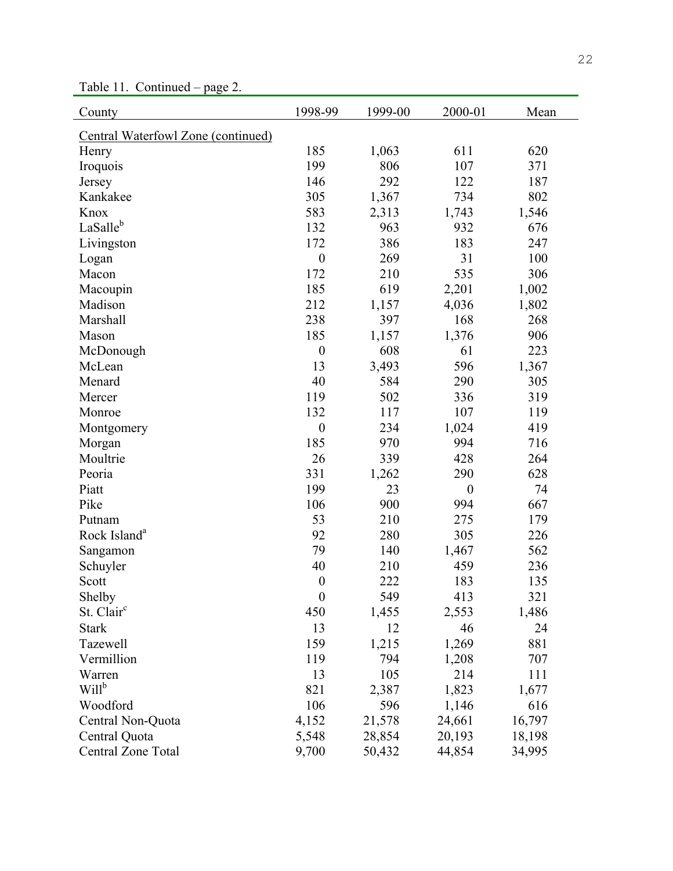Table 11. Continued – page 2.

| County                             | 1998-99          | 1999-00 | 2000-01          | Mean   |
|------------------------------------|------------------|---------|------------------|--------|
| Central Waterfowl Zone (continued) |                  |         |                  |        |
| Henry                              | 185              | 1,063   | 611              | 620    |
| Iroquois                           | 199              | 806     | 107              | 371    |
| Jersey                             | 146              | 292     | 122              | 187    |
| Kankakee                           | 305              | 1,367   | 734              | 802    |
| Knox                               | 583              | 2,313   | 1,743            | 1,546  |
| LaSalleb                           | 132              | 963     | 932              | 676    |
| Livingston                         | 172              | 386     | 183              | 247    |
| Logan                              | $\boldsymbol{0}$ | 269     | 31               | 100    |
| Macon                              | 172              | 210     | 535              | 306    |
| Macoupin                           | 185              | 619     | 2,201            | 1,002  |
| Madison                            | 212              | 1,157   | 4,036            | 1,802  |
| Marshall                           | 238              | 397     | 168              | 268    |
| Mason                              | 185              | 1,157   | 1,376            | 906    |
| McDonough                          | $\boldsymbol{0}$ | 608     | 61               | 223    |
| McLean                             | 13               | 3,493   | 596              | 1,367  |
| Menard                             | 40               | 584     | 290              | 305    |
| Mercer                             | 119              | 502     | 336              | 319    |
| Monroe                             | 132              | 117     | 107              | 119    |
| Montgomery                         | $\boldsymbol{0}$ | 234     | 1,024            | 419    |
| Morgan                             | 185              | 970     | 994              | 716    |
| Moultrie                           | 26               | 339     | 428              | 264    |
| Peoria                             | 331              | 1,262   | 290              | 628    |
| Piatt                              | 199              | 23      | $\boldsymbol{0}$ | 74     |
| Pike                               | 106              | 900     | 994              | 667    |
| Putnam                             | 53               | 210     | 275              | 179    |
| Rock Island <sup>a</sup>           | 92               | 280     | 305              | 226    |
| Sangamon                           | 79               | 140     | 1,467            | 562    |
| Schuyler                           | 40               | 210     | 459              | 236    |
| Scott                              | $\boldsymbol{0}$ | 222     | 183              | 135    |
| Shelby                             | $\boldsymbol{0}$ | 549     | 413              | 321    |
| St. Clair <sup>c</sup>             | 450              | 1,455   | 2,553            | 1,486  |
| <b>Stark</b>                       | 13               | 12      | 46               | 24     |
| <b>Tazewell</b>                    | 159              | 1,215   | 1,269            | 881    |
| Vermillion                         | 119              | 794     | 1,208            | 707    |
| Warren                             | 13               | 105     | 214              | 111    |
| Will <sup>b</sup>                  | 821              | 2,387   | 1,823            | 1,677  |
| Woodford                           | 106              | 596     | 1,146            | 616    |
| Central Non-Quota                  | 4,152            | 21,578  | 24,661           | 16,797 |
| Central Quota                      | 5,548            | 28,854  | 20,193           | 18,198 |
| Central Zone Total                 | 9,700            | 50,432  | 44,854           | 34,995 |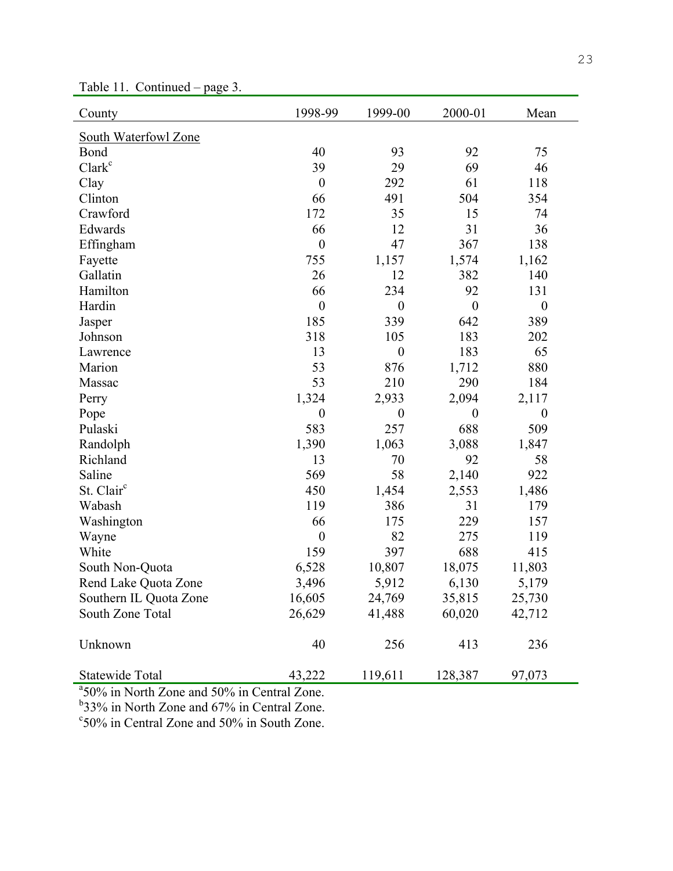| County                 | 1998-99          | 1999-00          | 2000-01          | Mean             |
|------------------------|------------------|------------------|------------------|------------------|
| South Waterfowl Zone   |                  |                  |                  |                  |
| Bond                   | 40               | 93               | 92               | 75               |
| Clark <sup>c</sup>     | 39               | 29               | 69               | 46               |
| Clay                   | $\boldsymbol{0}$ | 292              | 61               | 118              |
| Clinton                | 66               | 491              | 504              | 354              |
| Crawford               | 172              | 35               | 15               | 74               |
| Edwards                | 66               | 12               | 31               | 36               |
| Effingham              | $\boldsymbol{0}$ | 47               | 367              | 138              |
| Fayette                | 755              | 1,157            | 1,574            | 1,162            |
| Gallatin               | 26               | 12               | 382              | 140              |
| Hamilton               | 66               | 234              | 92               | 131              |
| Hardin                 | $\boldsymbol{0}$ | $\boldsymbol{0}$ | $\boldsymbol{0}$ | $\boldsymbol{0}$ |
| Jasper                 | 185              | 339              | 642              | 389              |
| Johnson                | 318              | 105              | 183              | 202              |
| Lawrence               | 13               | $\boldsymbol{0}$ | 183              | 65               |
| Marion                 | 53               | 876              | 1,712            | 880              |
| Massac                 | 53               | 210              | 290              | 184              |
| Perry                  | 1,324            | 2,933            | 2,094            | 2,117            |
| Pope                   | $\boldsymbol{0}$ | $\boldsymbol{0}$ | $\boldsymbol{0}$ | $\boldsymbol{0}$ |
| Pulaski                | 583              | 257              | 688              | 509              |
| Randolph               | 1,390            | 1,063            | 3,088            | 1,847            |
| Richland               | 13               | 70               | 92               | 58               |
| Saline                 | 569              | 58               | 2,140            | 922              |
| St. Clair <sup>c</sup> | 450              | 1,454            | 2,553            | 1,486            |
| Wabash                 | 119              | 386              | 31               | 179              |
| Washington             | 66               | 175              | 229              | 157              |
| Wayne                  | $\boldsymbol{0}$ | 82               | 275              | 119              |
| White                  | 159              | 397              | 688              | 415              |
| South Non-Quota        | 6,528            | 10,807           | 18,075           | 11,803           |
| Rend Lake Quota Zone   | 3,496            | 5,912            | 6,130            | 5,179            |
| Southern IL Quota Zone | 16,605           | 24,769           | 35,815           | 25,730           |
| South Zone Total       | 26,629           | 41,488           | 60,020           | 42,712           |
| Unknown                | 40               | 256              | 413              | 236              |
| Statewide Total        | 43,222           | 119,611          | 128,387          | 97,073           |

Table 11. Continued – page 3.

<sup>a</sup>50% in North Zone and 50% in Central Zone.

<sup>b</sup>33% in North Zone and 67% in Central Zone.

c 50% in Central Zone and 50% in South Zone.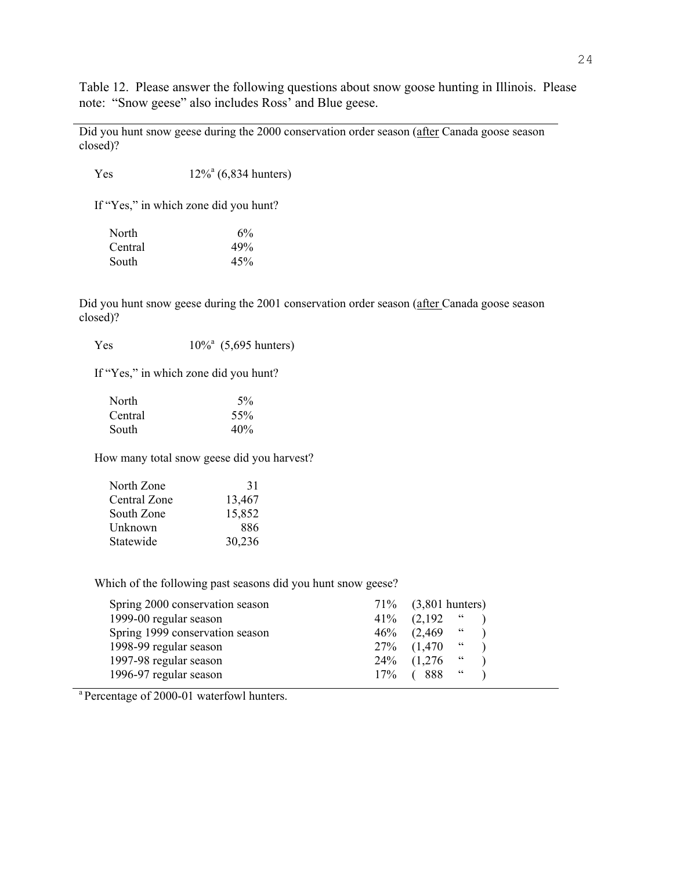Table 12. Please answer the following questions about snow goose hunting in Illinois. Please note: "Snow geese" also includes Ross' and Blue geese.

Did you hunt snow geese during the 2000 conservation order season (after Canada goose season closed)?

Yes  $12\%^a (6,834 \text{ hundreds})$ 

If "Yes," in which zone did you hunt?

| North   | 6%  |
|---------|-----|
| Central | 49% |
| South   | 45% |

Did you hunt snow geese during the 2001 conservation order season (after Canada goose season closed)?

Yes  $10\%$ <sup>a</sup> (5,695 hunters)

If "Yes," in which zone did you hunt?

| North   | 5%  |
|---------|-----|
| Central | 55% |
| South   | 40% |

How many total snow geese did you harvest?

| North Zone   | 31     |
|--------------|--------|
| Central Zone | 13,467 |
| South Zone   | 15,852 |
| Unknown      | 886    |
| Statewide    | 30,236 |

Which of the following past seasons did you hunt snow geese?

| Spring 2000 conservation season | 71\% (3,801 hunters)                     |
|---------------------------------|------------------------------------------|
| 1999-00 regular season          | $\ddot{\phantom{0}}$<br>$41\%$ $(2,192)$ |
| Spring 1999 conservation season | $46\%$ $(2,469$ "                        |
| 1998-99 regular season          | $\epsilon$<br>27\% (1,470)               |
| 1997-98 regular season          | 24\% (1,276)<br>$\sim$                   |
| 1996-97 regular season          | $\epsilon$<br>17\% ( 888                 |

<sup>a</sup> Percentage of 2000-01 waterfowl hunters.

l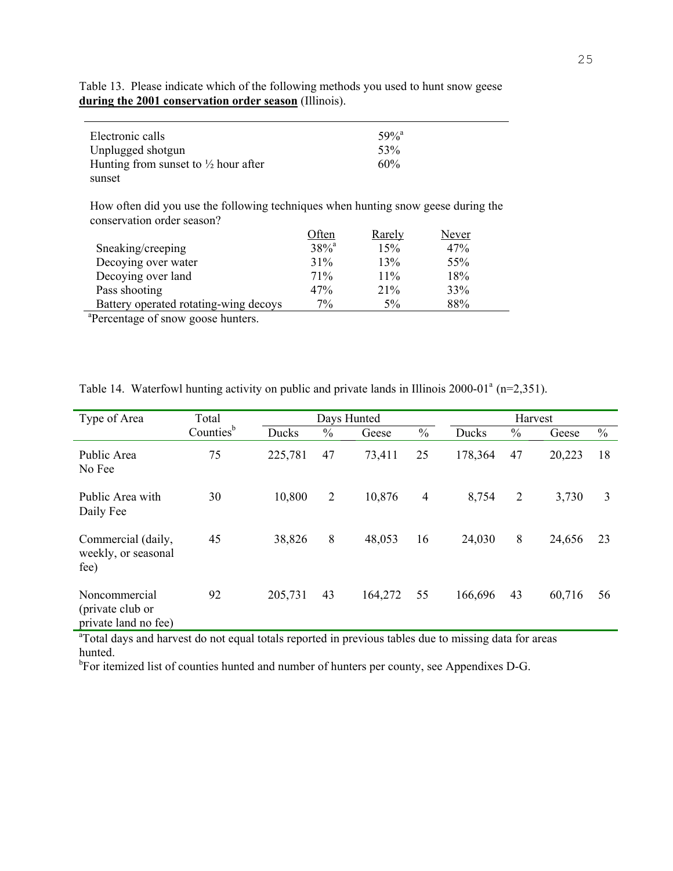| Electronic calls<br>Unplugged shotgun                     | $59\%$ <sup>a</sup><br>53% |  |
|-----------------------------------------------------------|----------------------------|--|
| Hunting from sunset to $\frac{1}{2}$ hour after<br>sunset | 60%                        |  |
|                                                           |                            |  |

Table 13. Please indicate which of the following methods you used to hunt snow geese **during the 2001 conservation order season** (Illinois).

How often did you use the following techniques when hunting snow geese during the conservation order season?

|                                       | Often     | Rarely | Never |  |
|---------------------------------------|-----------|--------|-------|--|
| Sneaking/creeping                     | $38%^{a}$ | 15%    | 47%   |  |
| Decoying over water                   | 31%       | 13%    | 55%   |  |
| Decoying over land                    | 71%       | 11%    | 18%   |  |
| Pass shooting                         | 47%       | 21%    | 33%   |  |
| Battery operated rotating-wing decoys | 7%        | 5%     | 88%   |  |
| $2\pi$ and $\pi$ and $\pi$            |           |        |       |  |

<sup>a</sup>Percentage of snow goose hunters.

| Type of Area                                              | Total                 |         |                | Days Hunted |                |         | Harvest        |        |               |
|-----------------------------------------------------------|-----------------------|---------|----------------|-------------|----------------|---------|----------------|--------|---------------|
|                                                           | Counties <sup>b</sup> | Ducks   | $\frac{0}{0}$  | Geese       | $\frac{0}{0}$  | Ducks   | $\frac{0}{0}$  | Geese  | $\frac{0}{0}$ |
| Public Area<br>No Fee                                     | 75                    | 225,781 | 47             | 73,411      | 25             | 178,364 | 47             | 20,223 | 18            |
| Public Area with<br>Daily Fee                             | 30                    | 10,800  | $\overline{2}$ | 10,876      | $\overline{4}$ | 8,754   | $\overline{2}$ | 3,730  | 3             |
| Commercial (daily,<br>weekly, or seasonal<br>fee)         | 45                    | 38,826  | 8              | 48,053      | 16             | 24,030  | 8              | 24,656 | 23            |
| Noncommercial<br>(private club or<br>private land no fee) | 92                    | 205,731 | 43             | 164,272     | 55             | 166,696 | 43             | 60,716 | 56            |

Table 14. Waterfowl hunting activity on public and private lands in Illinois 2000-01<sup>a</sup> (n=2,351).

<sup>a</sup>Total days and harvest do not equal totals reported in previous tables due to missing data for areas hunted.

<sup>b</sup>For itemized list of counties hunted and number of hunters per county, see Appendixes D-G.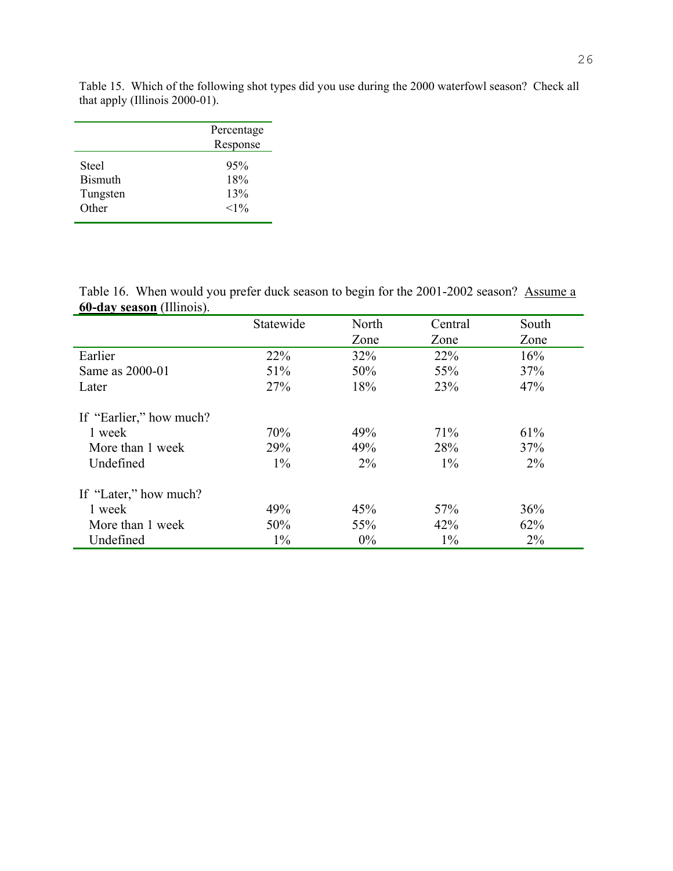|                | Percentage<br>Response |
|----------------|------------------------|
| Steel          | 95%                    |
| <b>Bismuth</b> | 18%                    |
| Tungsten       | 13%                    |
| Other          | $<1\%$                 |

Table 15. Which of the following shot types did you use during the 2000 waterfowl season? Check all that apply (Illinois 2000-01).

Table 16. When would you prefer duck season to begin for the 2001-2002 season? Assume a **60-day season** (Illinois).

|                         | Statewide | North | Central | South |
|-------------------------|-----------|-------|---------|-------|
|                         |           | Zone  | Zone    | Zone  |
| Earlier                 | 22%       | 32%   | 22%     | 16%   |
| Same as 2000-01         | 51%       | 50%   | 55%     | 37%   |
| Later                   | 27%       | 18%   | 23%     | 47%   |
| If "Earlier," how much? |           |       |         |       |
| 1 week                  | 70%       | 49%   | 71%     | 61%   |
| More than 1 week        | 29%       | 49%   | 28%     | 37%   |
| Undefined               | $1\%$     | $2\%$ | $1\%$   | $2\%$ |
| If "Later," how much?   |           |       |         |       |
| 1 week                  | 49%       | 45%   | 57%     | 36%   |
| More than 1 week        | 50%       | 55%   | 42%     | 62%   |
| Undefined               | $1\%$     | $0\%$ | $1\%$   | 2%    |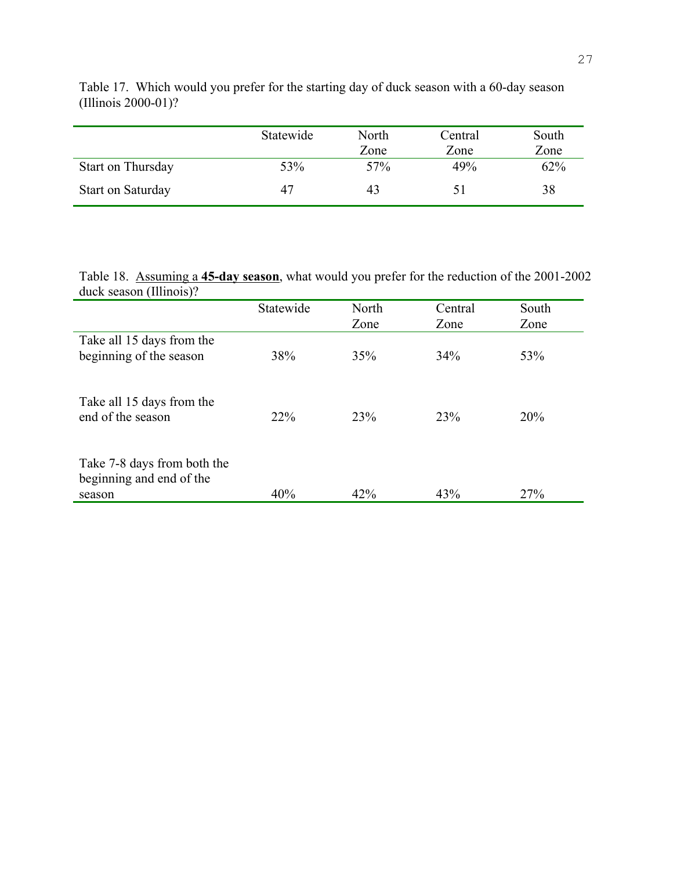|                          | Statewide | North<br>Zone | Central<br>Zone | South<br>Zone |
|--------------------------|-----------|---------------|-----------------|---------------|
| Start on Thursday        | 53%       | 57%           | 49%             | 62%           |
| <b>Start on Saturday</b> | 47        | 43            | $\mathsf{L}$    | 38            |

Table 17. Which would you prefer for the starting day of duck season with a 60-day season (Illinois 2000-01)?

Table 18. Assuming a **45-day season**, what would you prefer for the reduction of the 2001-2002 duck season (Illinois)?

|                                                                   | Statewide | North           | Central | South |
|-------------------------------------------------------------------|-----------|-----------------|---------|-------|
|                                                                   |           | Zone            | Zone    | Zone  |
| Take all 15 days from the<br>beginning of the season              | 38%       | 35%             | 34%     | 53%   |
| Take all 15 days from the<br>end of the season                    | $22\%$    | 23 <sup>%</sup> | 23%     | 20%   |
| Take 7-8 days from both the<br>beginning and end of the<br>season | 40%       | 42%             | 43%     | 27%   |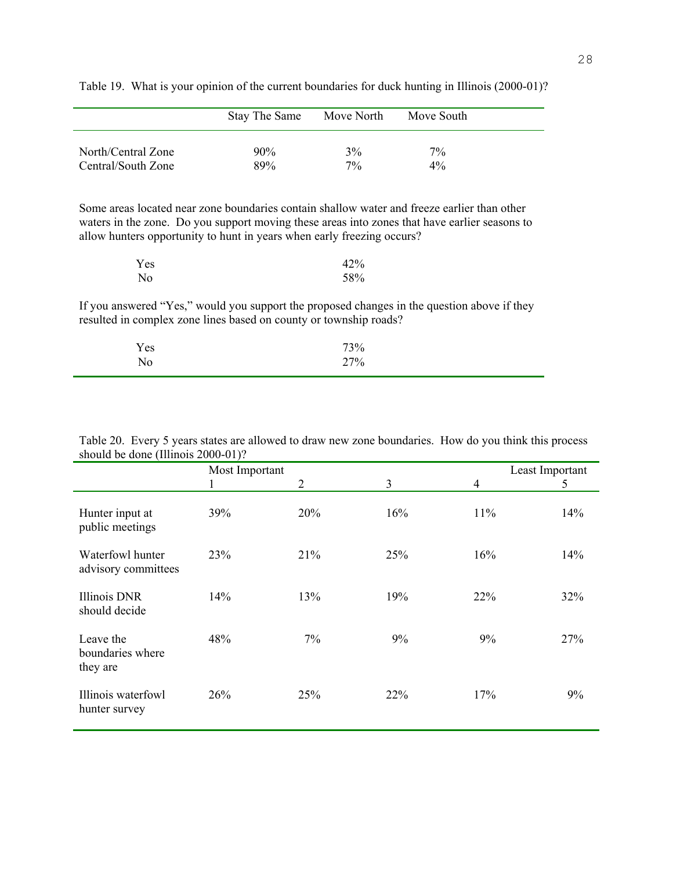|                    | Stay The Same | Move North | Move South |  |
|--------------------|---------------|------------|------------|--|
| North/Central Zone | 90%           | 3%         | $7\%$      |  |
| Central/South Zone | 89%           | $7\%$      | $4\%$      |  |

Table 19. What is your opinion of the current boundaries for duck hunting in Illinois (2000-01)?

Some areas located near zone boundaries contain shallow water and freeze earlier than other waters in the zone. Do you support moving these areas into zones that have earlier seasons to allow hunters opportunity to hunt in years when early freezing occurs?

| Yes            | 42% |
|----------------|-----|
| N <sub>0</sub> | 58% |

If you answered "Yes," would you support the proposed changes in the question above if they resulted in complex zone lines based on county or township roads?

| $\mathbf{v}$<br>Yes | 73% |  |
|---------------------|-----|--|
| No                  | 27% |  |

|                                           | Most Important |            |     | Least Important |     |
|-------------------------------------------|----------------|------------|-----|-----------------|-----|
|                                           |                | 2          | 3   | $\overline{4}$  | 5   |
| Hunter input at<br>public meetings        | 39%            | 20%        | 16% | 11%             | 14% |
| Waterfowl hunter<br>advisory committees   | 23%            | 21%        | 25% | 16%             | 14% |
| <b>Illinois DNR</b><br>should decide      | 14%            | 13%        | 19% | 22%             | 32% |
| Leave the<br>boundaries where<br>they are | 48%            | 7%         | 9%  | 9%              | 27% |
| Illinois waterfowl<br>hunter survey       | 26%            | <b>25%</b> | 22% | 17%             | 9%  |

Table 20. Every 5 years states are allowed to draw new zone boundaries. How do you think this process should be done (Illinois 2000-01)?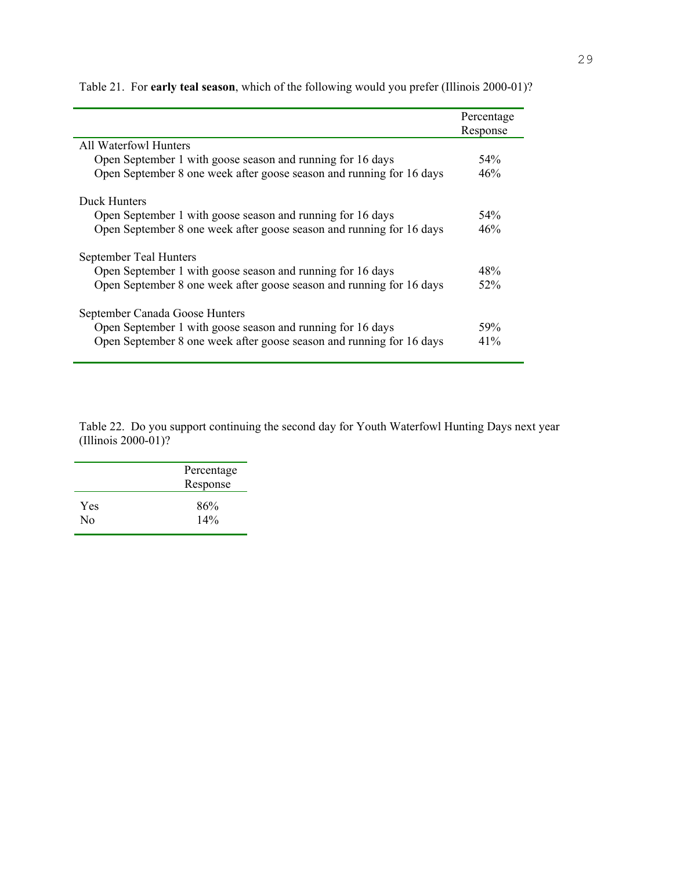|                                                                      | Percentage |
|----------------------------------------------------------------------|------------|
|                                                                      | Response   |
| All Waterfowl Hunters                                                |            |
| Open September 1 with goose season and running for 16 days           | 54%        |
| Open September 8 one week after goose season and running for 16 days | 46%        |
| Duck Hunters                                                         |            |
| Open September 1 with goose season and running for 16 days           | 54%        |
| Open September 8 one week after goose season and running for 16 days | 46%        |
| September Teal Hunters                                               |            |
| Open September 1 with goose season and running for 16 days           | 48%        |
| Open September 8 one week after goose season and running for 16 days | 52%        |
| September Canada Goose Hunters                                       |            |
| Open September 1 with goose season and running for 16 days           | 59%        |
| Open September 8 one week after goose season and running for 16 days | 41%        |

Table 21. For **early teal season**, which of the following would you prefer (Illinois 2000-01)?

Table 22. Do you support continuing the second day for Youth Waterfowl Hunting Days next year (Illinois 2000-01)?

|     | Percentage<br>Response |
|-----|------------------------|
| Yes | 86%                    |
| Nο  | 14%                    |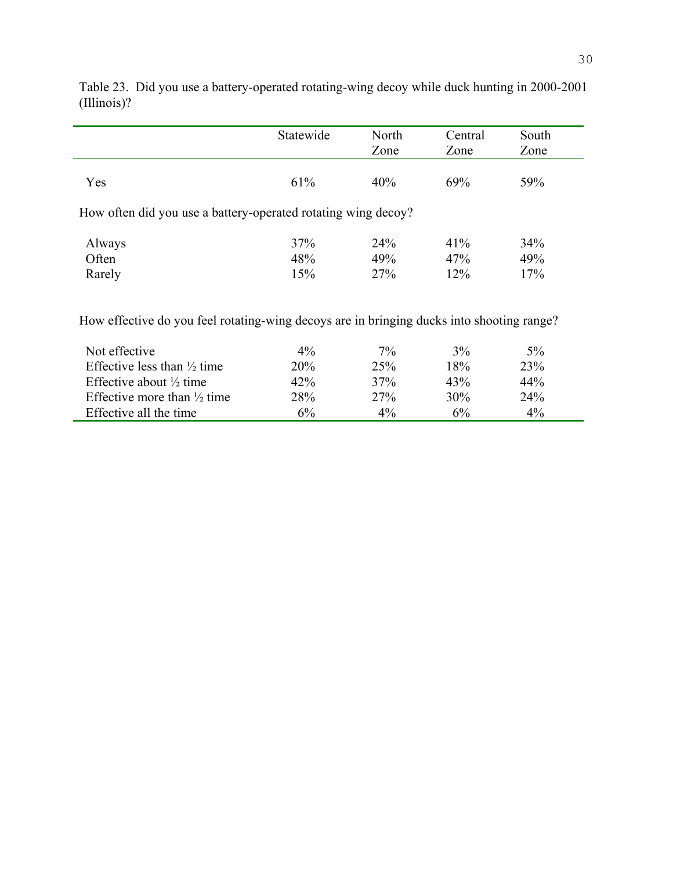|                                                                                           | Statewide  | North<br>Zone | Central<br>Zone | South<br>Zone |
|-------------------------------------------------------------------------------------------|------------|---------------|-----------------|---------------|
|                                                                                           |            |               |                 |               |
| Yes                                                                                       | 61%        | 40%           | 69%             | 59%           |
| How often did you use a battery-operated rotating wing decoy?                             |            |               |                 |               |
| Always                                                                                    | 37%        | 24%           | 41%             | 34%           |
| Often                                                                                     | 48%        | 49%           | 47%             | 49%           |
| Rarely                                                                                    | 15%        | 27%           | 12%             | 17%           |
| How effective do you feel rotating-wing decoys are in bringing ducks into shooting range? |            |               |                 |               |
| Not effective                                                                             | $4\%$      | $7\%$         | 3%              | $5\%$         |
| Effective less than $\frac{1}{2}$ time                                                    | <b>20%</b> | 25%           | 18%             | 23%           |
| Effective about $\frac{1}{2}$ time                                                        | 42%        | 37%           | 43%             | 44%           |
| Effective more than $\frac{1}{2}$ time                                                    | 28%        | 27%           | 30%             | 24%           |
| Effective all the time                                                                    | 6%         | 4%            | 6%              | 4%            |

Table 23. Did you use a battery-operated rotating-wing decoy while duck hunting in 2000-2001 (Illinois)?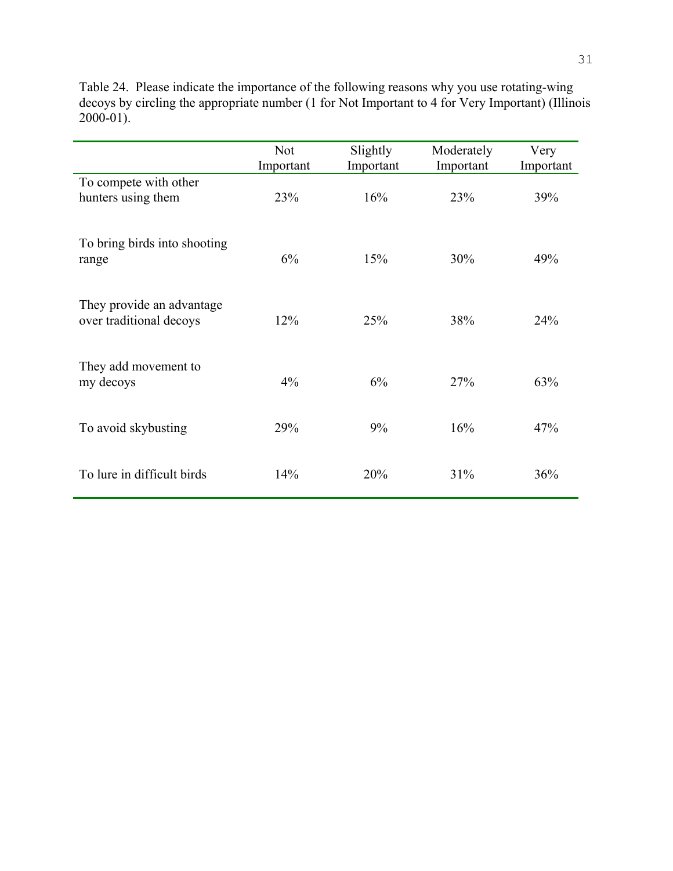Table 24. Please indicate the importance of the following reasons why you use rotating-wing decoys by circling the appropriate number (1 for Not Important to 4 for Very Important) (Illinois  $2000-01$ ).

|                                                      | <b>Not</b><br>Important | Slightly<br>Important | Moderately<br>Important | Very<br>Important |
|------------------------------------------------------|-------------------------|-----------------------|-------------------------|-------------------|
| To compete with other<br>hunters using them          | 23%                     | 16%                   | 23%                     | 39%               |
| To bring birds into shooting<br>range                | 6%                      | 15%                   | 30%                     | 49%               |
| They provide an advantage<br>over traditional decoys | 12%                     | 25%                   | 38%                     | 24%               |
| They add movement to<br>my decoys                    | 4%                      | 6%                    | 27%                     | 63%               |
| To avoid skybusting                                  | 29%                     | 9%                    | 16%                     | 47%               |
| To lure in difficult birds                           | 14%                     | 20%                   | 31%                     | 36%               |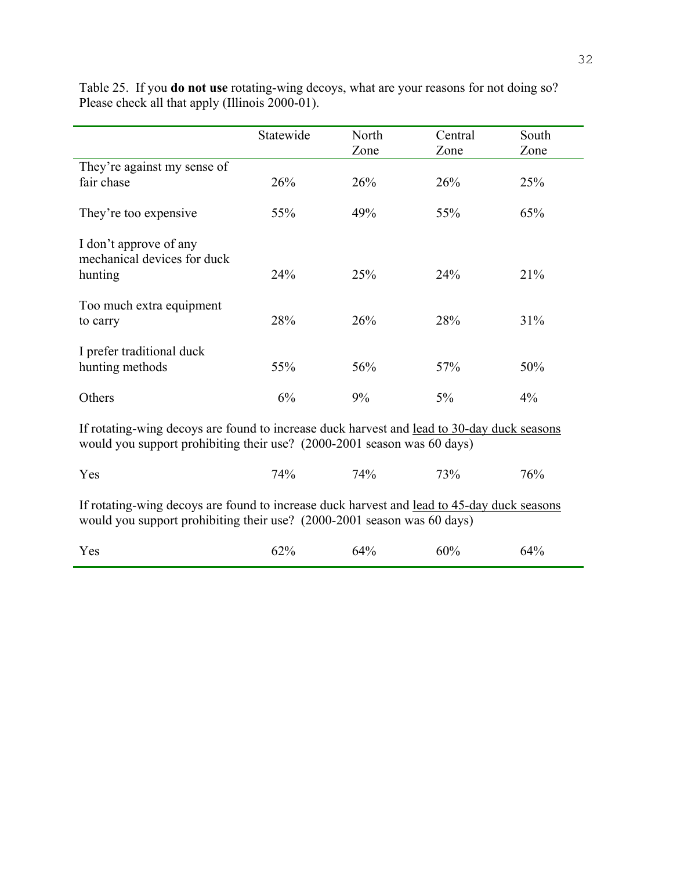|                                                                                                                                                                       | Statewide | North<br>Zone | Central<br>Zone | South<br>Zone |
|-----------------------------------------------------------------------------------------------------------------------------------------------------------------------|-----------|---------------|-----------------|---------------|
| They're against my sense of                                                                                                                                           |           |               |                 |               |
| fair chase                                                                                                                                                            | 26%       | 26%           | 26%             | 25%           |
| They're too expensive                                                                                                                                                 | 55%       | 49%           | 55%             | 65%           |
| I don't approve of any<br>mechanical devices for duck                                                                                                                 |           |               |                 |               |
| hunting                                                                                                                                                               | 24%       | 25%           | 24%             | 21%           |
| Too much extra equipment<br>to carry                                                                                                                                  | 28%       | 26%           | 28%             | 31%           |
|                                                                                                                                                                       |           |               |                 |               |
| I prefer traditional duck<br>hunting methods                                                                                                                          | 55%       | 56%           | 57%             | 50%           |
| Others                                                                                                                                                                | 6%        | 9%            | $5\%$           | 4%            |
| If rotating-wing decoys are found to increase duck harvest and lead to 30-day duck seasons<br>would you support prohibiting their use? (2000-2001 season was 60 days) |           |               |                 |               |
| Yes                                                                                                                                                                   | 74%       | 74%           | 73%             | 76%           |
| If rotating-wing decoys are found to increase duck harvest and lead to 45-day duck seasons<br>would you support prohibiting their use? (2000-2001 season was 60 days) |           |               |                 |               |

Table 25. If you **do not use** rotating-wing decoys, what are your reasons for not doing so? Please check all that apply (Illinois 2000-01).

| Yes | 62% | 64% | 60% | 64% |
|-----|-----|-----|-----|-----|
|     |     |     |     |     |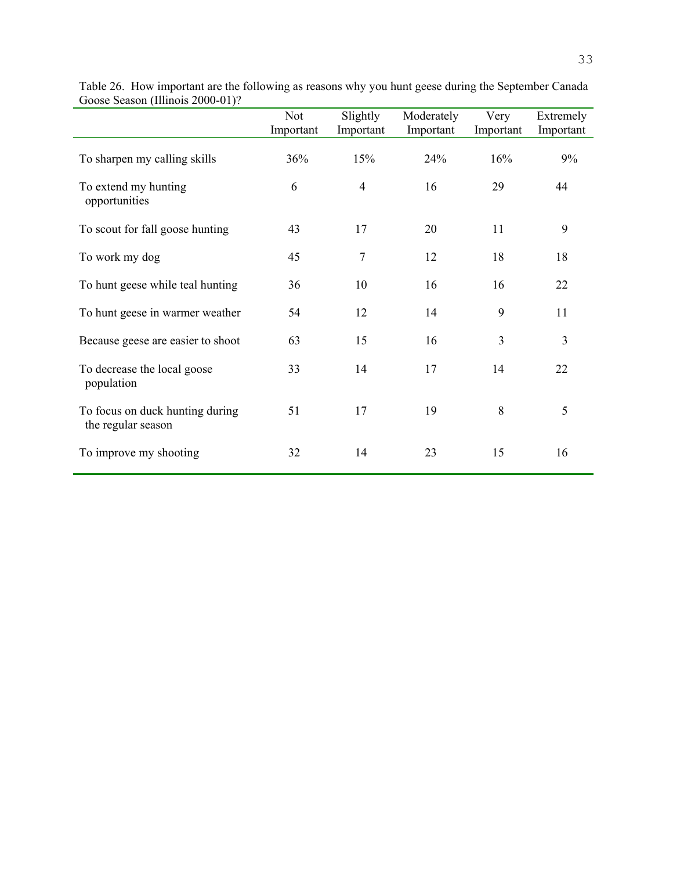|                                                       | <b>Not</b><br>Important | Slightly<br>Important | Moderately<br>Important | Very<br>Important | Extremely<br>Important |
|-------------------------------------------------------|-------------------------|-----------------------|-------------------------|-------------------|------------------------|
| To sharpen my calling skills                          | 36%                     | 15%                   | 24%                     | 16%               | 9%                     |
| To extend my hunting<br>opportunities                 | 6                       | $\overline{4}$        | 16                      | 29                | 44                     |
| To scout for fall goose hunting                       | 43                      | 17                    | 20                      | 11                | 9                      |
| To work my dog                                        | 45                      | $\tau$                | 12                      | 18                | 18                     |
| To hunt geese while teal hunting                      | 36                      | 10                    | 16                      | 16                | 22                     |
| To hunt geese in warmer weather                       | 54                      | 12                    | 14                      | 9                 | 11                     |
| Because geese are easier to shoot                     | 63                      | 15                    | 16                      | 3                 | $\mathfrak{Z}$         |
| To decrease the local goose<br>population             | 33                      | 14                    | 17                      | 14                | 22                     |
| To focus on duck hunting during<br>the regular season | 51                      | 17                    | 19                      | 8                 | 5                      |
| To improve my shooting                                | 32                      | 14                    | 23                      | 15                | 16                     |

| Table 26. How important are the following as reasons why you hunt geese during the September Canada |  |  |  |
|-----------------------------------------------------------------------------------------------------|--|--|--|
| Goose Season (Illinois 2000-01)?                                                                    |  |  |  |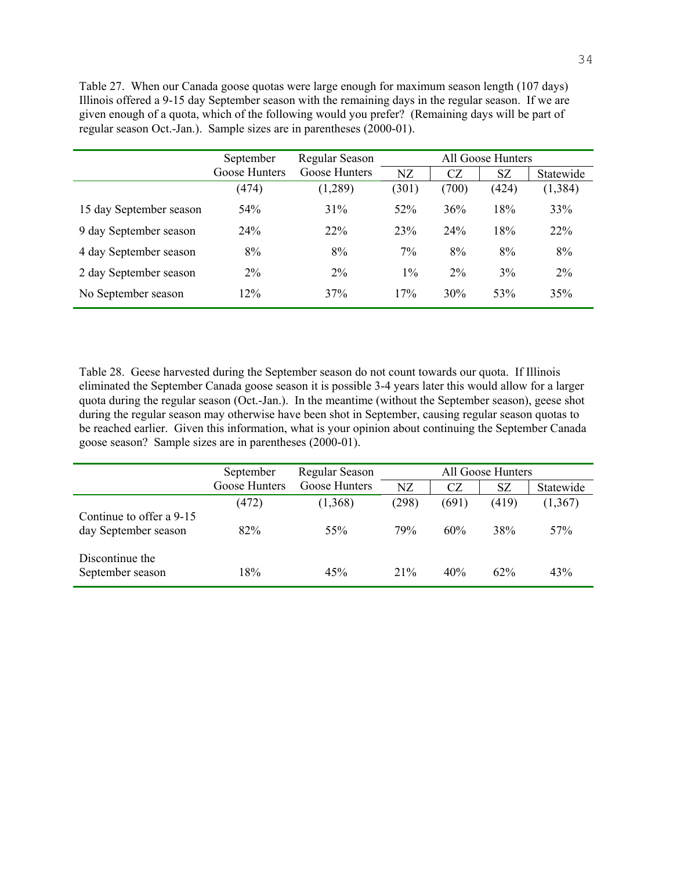Table 27. When our Canada goose quotas were large enough for maximum season length (107 days) Illinois offered a 9-15 day September season with the remaining days in the regular season. If we are given enough of a quota, which of the following would you prefer? (Remaining days will be part of regular season Oct.-Jan.). Sample sizes are in parentheses (2000-01).

|                         | September     | Regular Season |       |       | All Goose Hunters |           |
|-------------------------|---------------|----------------|-------|-------|-------------------|-----------|
|                         | Goose Hunters | Goose Hunters  | NZ    | CZ    | <b>SZ</b>         | Statewide |
|                         | (474)         | (1,289)        | (301) | (700) | (424)             | (1, 384)  |
| 15 day September season | 54%           | 31%            | 52%   | 36%   | 18%               | 33%       |
| 9 day September season  | 24%           | 22%            | 23%   | 24%   | 18%               | 22%       |
| 4 day September season  | 8%            | 8%             | $7\%$ | 8%    | 8%                | 8%        |
| 2 day September season  | $2\%$         | $2\%$          | $1\%$ | $2\%$ | 3%                | $2\%$     |
| No September season     | 12%           | 37%            | 17%   | 30%   | 53%               | 35%       |

Table 28. Geese harvested during the September season do not count towards our quota. If Illinois eliminated the September Canada goose season it is possible 3-4 years later this would allow for a larger quota during the regular season (Oct.-Jan.). In the meantime (without the September season), geese shot during the regular season may otherwise have been shot in September, causing regular season quotas to be reached earlier. Given this information, what is your opinion about continuing the September Canada goose season? Sample sizes are in parentheses (2000-01).

|                                                  | September     | Regular Season |                 |       | All Goose Hunters |                 |
|--------------------------------------------------|---------------|----------------|-----------------|-------|-------------------|-----------------|
|                                                  | Goose Hunters | Goose Hunters  | NZ              | CZ    | SZ                | Statewide       |
|                                                  | (472)         | (1,368)        | (298)           | (691) | (419)             | (1,367)         |
| Continue to offer a 9-15<br>day September season | 82%           | 55%            | 79 <sub>%</sub> | 60%   | 38%               | 57 <sub>%</sub> |
| Discontinue the<br>September season              | 18%           | 45%            | $21\%$          | 40%   | $62\%$            | 43%             |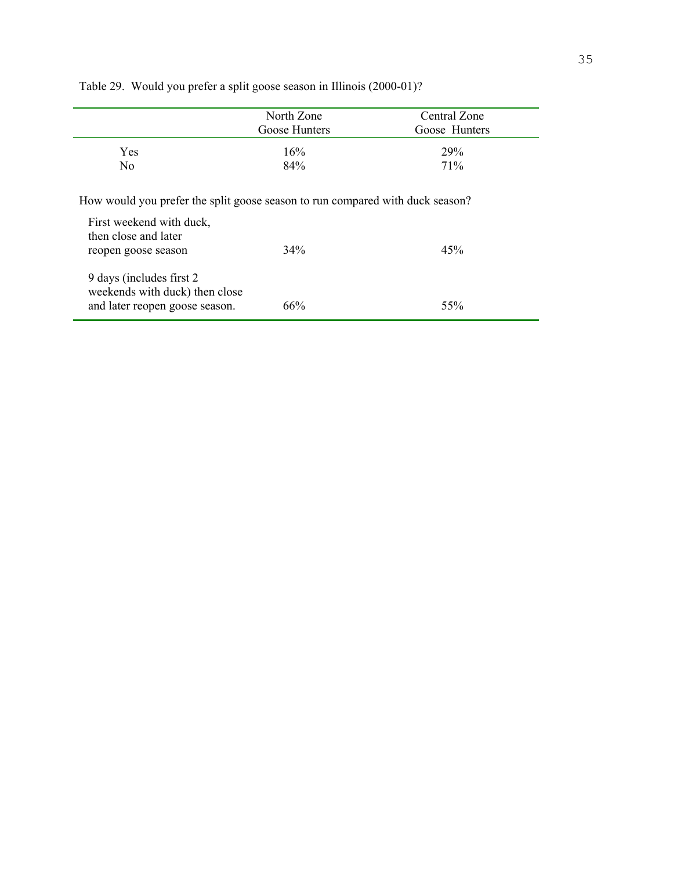|                                                                                                                                                          | North Zone    | Central Zone  |
|----------------------------------------------------------------------------------------------------------------------------------------------------------|---------------|---------------|
|                                                                                                                                                          | Goose Hunters | Goose Hunters |
| <b>Yes</b>                                                                                                                                               | 16%           | <b>29%</b>    |
| N <sub>0</sub>                                                                                                                                           | 84%           | 71%           |
| How would you prefer the split goose season to run compared with duck season?<br>First weekend with duck,<br>then close and later<br>reopen goose season | 34%           | 45%           |
| 9 days (includes first 2)<br>weekends with duck) then close<br>and later reopen goose season.                                                            | 66%           | 55%           |

Table 29. Would you prefer a split goose season in Illinois (2000-01)?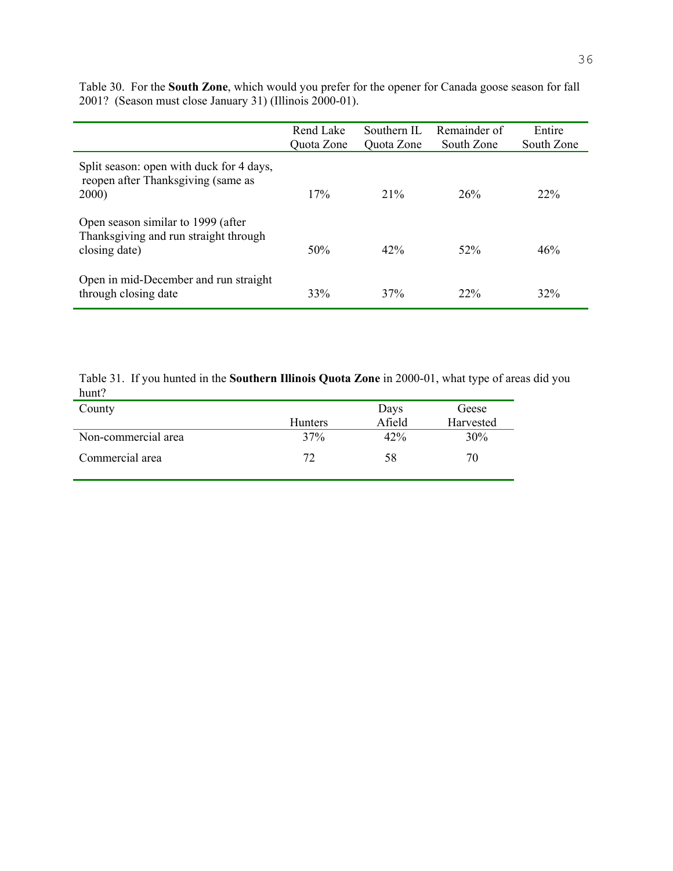|                                                                                              | Rend Lake<br>Quota Zone | Southern IL<br>Quota Zone | Remainder of<br>South Zone | Entire<br>South Zone |
|----------------------------------------------------------------------------------------------|-------------------------|---------------------------|----------------------------|----------------------|
| Split season: open with duck for 4 days,<br>reopen after Thanksgiving (same as<br>2000)      | 17%                     | 21%                       | 26%                        | $22\%$               |
| Open season similar to 1999 (after<br>Thanksgiving and run straight through<br>closing date) | 50%                     | 42%                       | 52%                        | 46%                  |
| Open in mid-December and run straight<br>through closing date                                | 33%                     | 37%                       | 22%                        | 32%                  |

Table 30. For the **South Zone**, which would you prefer for the opener for Canada goose season for fall 2001? (Season must close January 31) (Illinois 2000-01).

Table 31. If you hunted in the **Southern Illinois Quota Zone** in 2000-01, what type of areas did you hunt?  $\overline{\phantom{0}}$ 

| County              |                | Days   | Geese     |
|---------------------|----------------|--------|-----------|
|                     | <b>Hunters</b> | Afield | Harvested |
| Non-commercial area | 37%            | 42%    | 30%       |
| Commercial area     | 72             | 58     | 70        |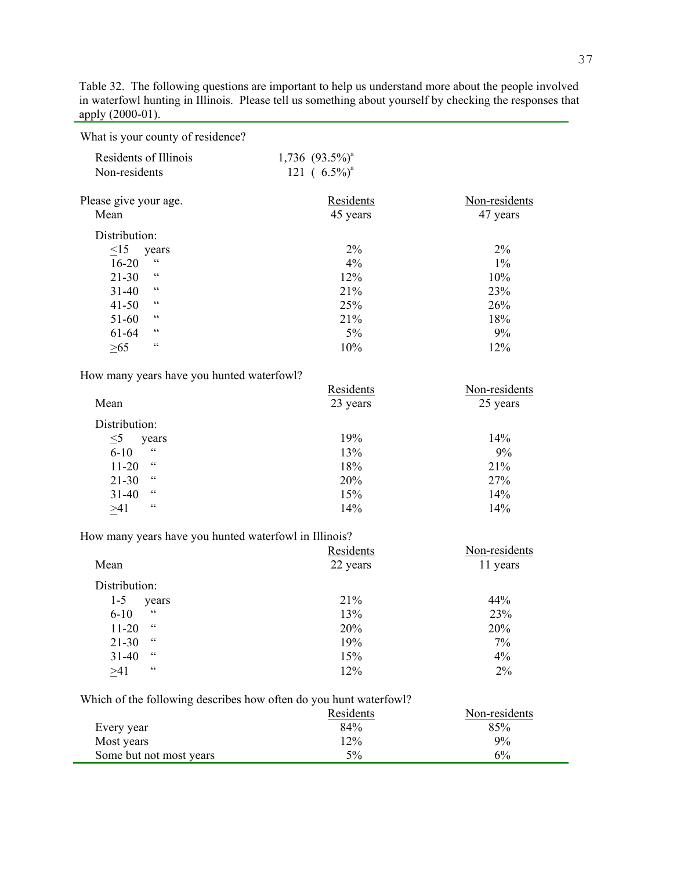Table 32. The following questions are important to help us understand more about the people involved in waterfowl hunting in Illinois. Please tell us something about yourself by checking the responses that apply (2000-01). 

What is your county of residence?

| Residents of Illinois<br>Non-residents | $1,736$ $(93.5\%)$ <sup>a</sup><br>121 $(6.5\%)^a$ |                           |
|----------------------------------------|----------------------------------------------------|---------------------------|
| Please give your age.<br>Mean          | Residents<br>45 years                              | Non-residents<br>47 years |
| Distribution:<br>$\leq$ 15             | $2\%$                                              | $2\%$                     |
| years<br>$\zeta$ $\zeta$<br>$16 - 20$  | $4\%$                                              | $1\%$                     |
| $\zeta$ $\zeta$<br>$21 - 30$           | 12%                                                | 10%                       |
| $\epsilon$<br>$31 - 40$                | 21%                                                | 23%                       |
| $\zeta$ $\zeta$<br>$41 - 50$           | 25%                                                | 26%                       |
| $\zeta\,\zeta$<br>$51-60$              | 21%                                                | 18%                       |
| C<br>61-64                             | 5%                                                 | 9%                        |
| 66<br>>65                              | 10%                                                | 12%                       |

How many years have you hunted waterfowl?

|                         | Residents | Non-residents |
|-------------------------|-----------|---------------|
| Mean                    | 23 years  | 25 years      |
| Distribution:           |           |               |
| $\leq 5$<br>years       | 19%       | 14%           |
| $\epsilon$<br>$6 - 10$  | 13%       | 9%            |
| cc<br>$11 - 20$         | 18%       | 21%           |
| cc<br>$21 - 30$         | 20%       | 27%           |
| $\epsilon$<br>$31 - 40$ | 15%       | 14%           |
| $\zeta\,\zeta$<br>>41   | 14%       | 14%           |

How many years have you hunted waterfowl in Illinois?

|                             | Residents | Non-residents |
|-----------------------------|-----------|---------------|
| Mean                        | 22 years  | 11 years      |
| Distribution:               |           |               |
| $1 - 5$<br>years            | 21%       | 44%           |
| C C<br>$6 - 10$             | 13%       | 23%           |
| $\epsilon$<br>$11 - 20$     | 20%       | 20%           |
| $\zeta\,\zeta$<br>$21 - 30$ | 19%       | 7%            |
| $\zeta\,\zeta$<br>$31 - 40$ | 15%       | 4%            |
| $\zeta$ $\zeta$<br>>41      | 12%       | 2%            |

Which of the following describes how often do you hunt waterfowl?

| 85%   |
|-------|
| $9\%$ |
| 6%    |
|       |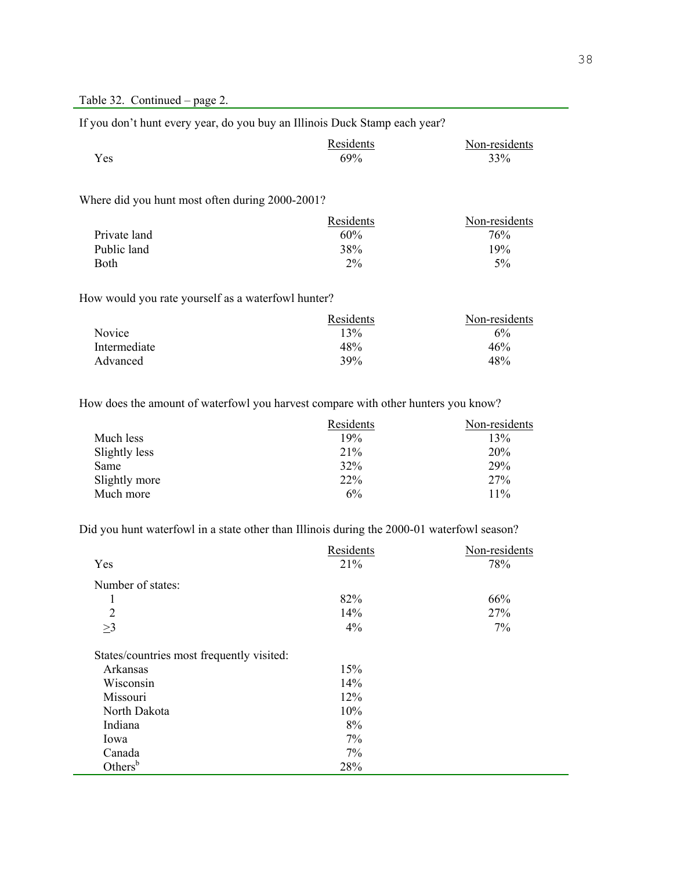If you don't hunt every year, do you buy an Illinois Duck Stamp each year?

|     | Residents | Non-residents |
|-----|-----------|---------------|
| Yes | 69%       | 33%           |

<u> 1980 - Johann Barbara, martxa alemaniar a</u>

### Where did you hunt most often during 2000-2001?

|              | Residents | Non-residents |
|--------------|-----------|---------------|
| Private land | 60%       | 76%           |
| Public land  | 38%       | 19%           |
| Both         | $2\%$     | 5%            |

How would you rate yourself as a waterfowl hunter?

|              | Residents | Non-residents |
|--------------|-----------|---------------|
| Novice       | 13%       | 6%            |
| Intermediate | 48%       | 46%           |
| Advanced     | 39%       | 48%           |

How does the amount of waterfowl you harvest compare with other hunters you know?

|               | Residents | Non-residents |
|---------------|-----------|---------------|
| Much less     | 19%       | 13%           |
| Slightly less | 21%       | <b>20%</b>    |
| Same          | 32%       | 29%           |
| Slightly more | 22%       | 27%           |
| Much more     | 6%        | 11%           |

Did you hunt waterfowl in a state other than Illinois during the 2000-01 waterfowl season?

|                                           | Residents | Non-residents |
|-------------------------------------------|-----------|---------------|
| Yes                                       | 21%       | 78%           |
| Number of states:                         |           |               |
| 1                                         | 82%       | 66%           |
| $\overline{2}$                            | 14%       | 27%           |
| $\geq$ 3                                  | 4%        | 7%            |
| States/countries most frequently visited: |           |               |
| Arkansas                                  | 15%       |               |
| Wisconsin                                 | 14%       |               |
| Missouri                                  | 12%       |               |
| North Dakota                              | 10%       |               |
| Indiana                                   | 8%        |               |
| Iowa                                      | 7%        |               |
| Canada                                    | 7%        |               |
| Others $b$                                | 28%       |               |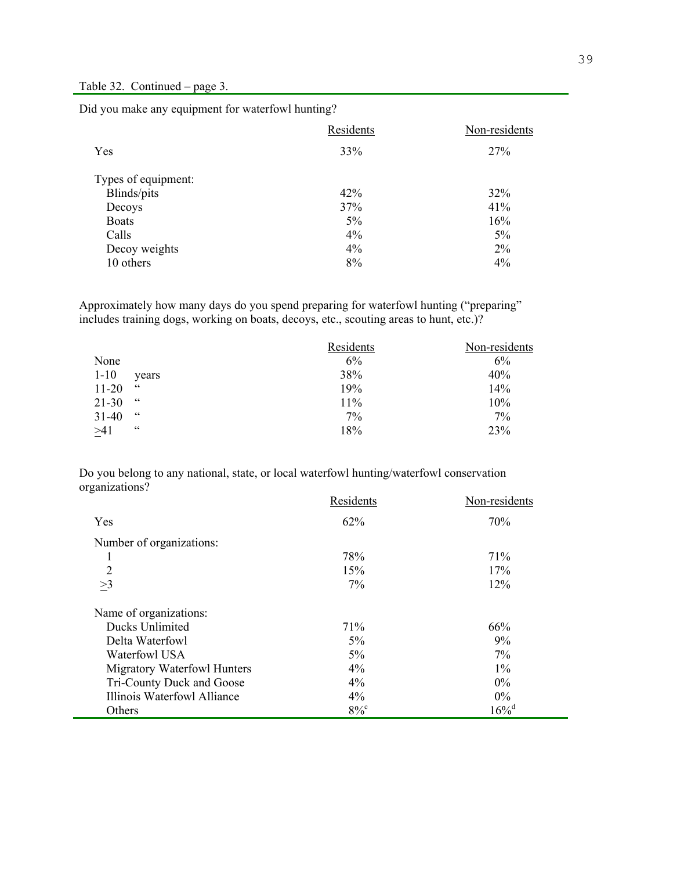I

Did you make any equipment for waterfowl hunting?

|                     | Residents | Non-residents |
|---------------------|-----------|---------------|
| Yes                 | 33%       | 27%           |
| Types of equipment: |           |               |
| Blinds/pits         | 42%       | 32%           |
| Decoys              | 37%       | 41%           |
| <b>Boats</b>        | 5%        | 16%           |
| Calls               | $4\%$     | 5%            |
| Decoy weights       | $4\%$     | $2\%$         |
| 10 others           | 8%        | 4%            |

Approximately how many days do you spend preparing for waterfowl hunting ("preparing" includes training dogs, working on boats, decoys, etc., scouting areas to hunt, etc.)?

|           |            | Residents | Non-residents |
|-----------|------------|-----------|---------------|
| None      |            | 6%        | 6%            |
| $1 - 10$  | years      | 38%       | 40%           |
| $11 - 20$ | 66         | 19%       | 14%           |
| $21 - 30$ | 66         | 11%       | 10%           |
| $31 - 40$ | 66         | 7%        | 7%            |
| >41       | $\epsilon$ | 18%       | 23%           |

Do you belong to any national, state, or local waterfowl hunting/waterfowl conservation organizations?

|                             | Residents          | Non-residents       |
|-----------------------------|--------------------|---------------------|
| Yes                         | 62%                | 70%                 |
| Number of organizations:    |                    |                     |
| 1                           | 78%                | 71%                 |
| $\overline{2}$              | 15%                | 17%                 |
| $\geq$ 3                    | 7%                 | 12%                 |
| Name of organizations:      |                    |                     |
| Ducks Unlimited             | 71%                | 66%                 |
| Delta Waterfowl             | 5%                 | 9%                  |
| Waterfowl USA               | $5\%$              | $7\%$               |
| Migratory Waterfowl Hunters | $4\%$              | $1\%$               |
| Tri-County Duck and Goose   | 4%                 | $0\%$               |
| Illinois Waterfowl Alliance | 4%                 | $0\%$               |
| Others                      | $8\%$ <sup>c</sup> | $16\%$ <sup>d</sup> |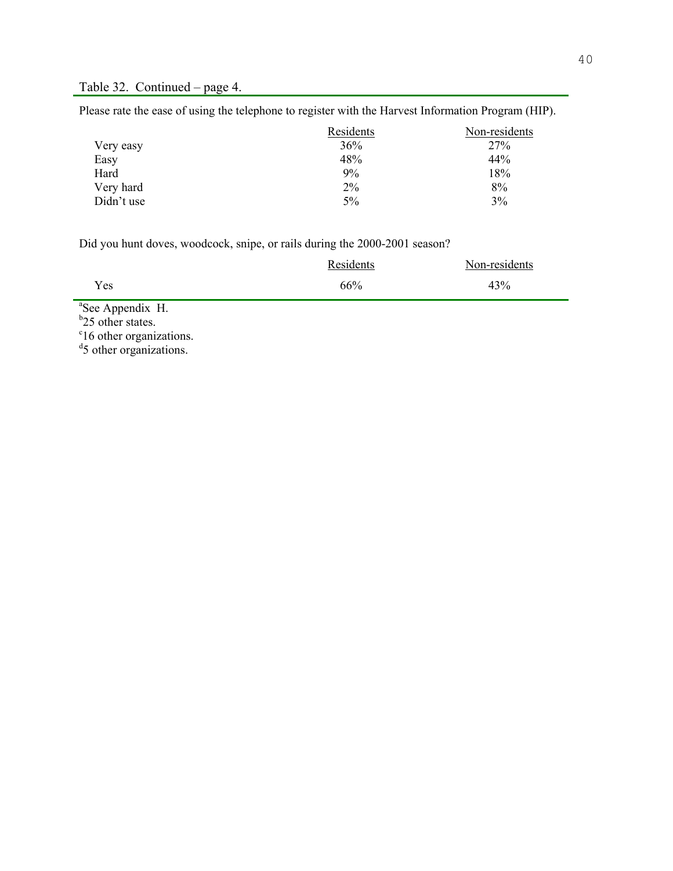Please rate the ease of using the telephone to register with the Harvest Information Program (HIP).

|            | Residents | Non-residents |
|------------|-----------|---------------|
| Very easy  | 36%       | 27%           |
| Easy       | 48%       | 44%           |
| Hard       | 9%        | 18%           |
| Very hard  | 2%        | 8%            |
| Didn't use | 5%        | 3%            |

Did you hunt doves, woodcock, snipe, or rails during the 2000-2001 season?

|     | Residents | Non-residents |
|-----|-----------|---------------|
| Yes | 66%       | 43%           |

<sup>a</sup>See Appendix H.<br><sup>b</sup>25 other states.<br><sup>c</sup>16 other organizations.<br><sup>d</sup>5 other organizations.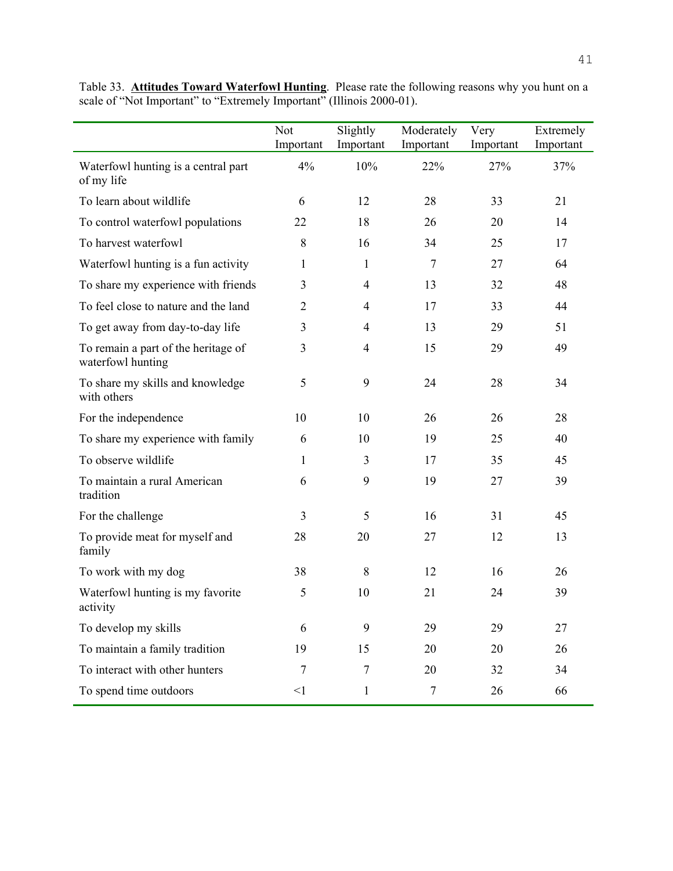|                                                          | Not            | Slightly       | Moderately     | Very      | Extremely |
|----------------------------------------------------------|----------------|----------------|----------------|-----------|-----------|
|                                                          | Important      | Important      | Important      | Important | Important |
| Waterfowl hunting is a central part<br>of my life        | 4%             | 10%            | 22%            | 27%       | 37%       |
| To learn about wildlife                                  | 6              | 12             | 28             | 33        | 21        |
| To control waterfowl populations                         | 22             | 18             | 26             | 20        | 14        |
| To harvest waterfowl                                     | 8              | 16             | 34             | 25        | 17        |
| Waterfowl hunting is a fun activity                      | 1              | $\mathbf{1}$   | $\overline{7}$ | 27        | 64        |
| To share my experience with friends                      | 3              | $\overline{4}$ | 13             | 32        | 48        |
| To feel close to nature and the land                     | $\overline{2}$ | $\overline{4}$ | 17             | 33        | 44        |
| To get away from day-to-day life                         | 3              | 4              | 13             | 29        | 51        |
| To remain a part of the heritage of<br>waterfowl hunting | 3              | $\overline{4}$ | 15             | 29        | 49        |
| To share my skills and knowledge<br>with others          | 5              | 9              | 24             | 28        | 34        |
| For the independence                                     | 10             | 10             | 26             | 26        | 28        |
| To share my experience with family                       | 6              | 10             | 19             | 25        | 40        |
| To observe wildlife                                      | 1              | 3              | 17             | 35        | 45        |
| To maintain a rural American<br>tradition                | 6              | 9              | 19             | 27        | 39        |
| For the challenge                                        | 3              | 5              | 16             | 31        | 45        |
| To provide meat for myself and<br>family                 | 28             | 20             | 27             | 12        | 13        |
| To work with my dog                                      | 38             | 8              | 12             | 16        | 26        |
| Waterfowl hunting is my favorite<br>activity             | 5              | 10             | 21             | 24        | 39        |
| To develop my skills                                     | 6              | 9              | 29             | 29        | 27        |
| To maintain a family tradition                           | 19             | 15             | 20             | 20        | 26        |
| To interact with other hunters                           | 7              | $\overline{7}$ | 20             | 32        | 34        |
| To spend time outdoors                                   | $\leq$ 1       | $\mathbf{1}$   | $\overline{7}$ | 26        | 66        |

Table 33. **Attitudes Toward Waterfowl Hunting**. Please rate the following reasons why you hunt on a scale of "Not Important" to "Extremely Important" (Illinois 2000-01).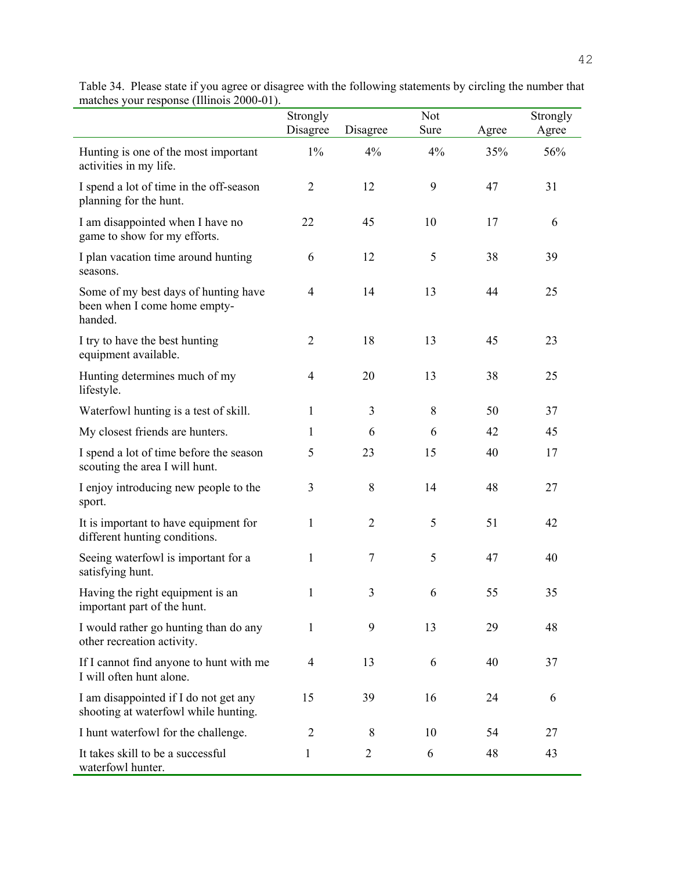|                                                                                 | Strongly<br>Disagree | Disagree       | <b>Not</b><br>Sure | Agree | Strongly<br>Agree |
|---------------------------------------------------------------------------------|----------------------|----------------|--------------------|-------|-------------------|
| Hunting is one of the most important<br>activities in my life.                  | $1\%$                | 4%             | 4%                 | 35%   | 56%               |
| I spend a lot of time in the off-season<br>planning for the hunt.               | $\overline{2}$       | 12             | 9                  | 47    | 31                |
| I am disappointed when I have no<br>game to show for my efforts.                | 22                   | 45             | 10                 | 17    | 6                 |
| I plan vacation time around hunting<br>seasons.                                 | 6                    | 12             | 5                  | 38    | 39                |
| Some of my best days of hunting have<br>been when I come home empty-<br>handed. | $\overline{4}$       | 14             | 13                 | 44    | 25                |
| I try to have the best hunting<br>equipment available.                          | $\overline{2}$       | 18             | 13                 | 45    | 23                |
| Hunting determines much of my<br>lifestyle.                                     | $\overline{4}$       | 20             | 13                 | 38    | 25                |
| Waterfowl hunting is a test of skill.                                           | $\mathbf{1}$         | 3              | 8                  | 50    | 37                |
| My closest friends are hunters.                                                 | 1                    | 6              | 6                  | 42    | 45                |
| I spend a lot of time before the season<br>scouting the area I will hunt.       | 5                    | 23             | 15                 | 40    | 17                |
| I enjoy introducing new people to the<br>sport.                                 | $\mathfrak{Z}$       | 8              | 14                 | 48    | 27                |
| It is important to have equipment for<br>different hunting conditions.          | 1                    | $\overline{2}$ | 5                  | 51    | 42                |
| Seeing waterfowl is important for a<br>satisfying hunt.                         | $\mathbf{1}$         | $\tau$         | 5                  | 47    | 40                |
| Having the right equipment is an<br>important part of the hunt.                 | $\mathbf{1}$         | 3              | 6                  | 55    | 35                |
| I would rather go hunting than do any<br>other recreation activity.             | 1                    | 9              | 13                 | 29    | 48                |
| If I cannot find anyone to hunt with me<br>I will often hunt alone.             | $\overline{4}$       | 13             | 6                  | 40    | 37                |
| I am disappointed if I do not get any<br>shooting at waterfowl while hunting.   | 15                   | 39             | 16                 | 24    | 6                 |
| I hunt waterfowl for the challenge.                                             | $\overline{2}$       | 8              | 10                 | 54    | 27                |
| It takes skill to be a successful<br>waterfowl hunter.                          | 1                    | $\overline{2}$ | 6                  | 48    | 43                |

| Table 34. Please state if you agree or disagree with the following statements by circling the number that |  |
|-----------------------------------------------------------------------------------------------------------|--|
| matches your response (Illinois 2000-01).                                                                 |  |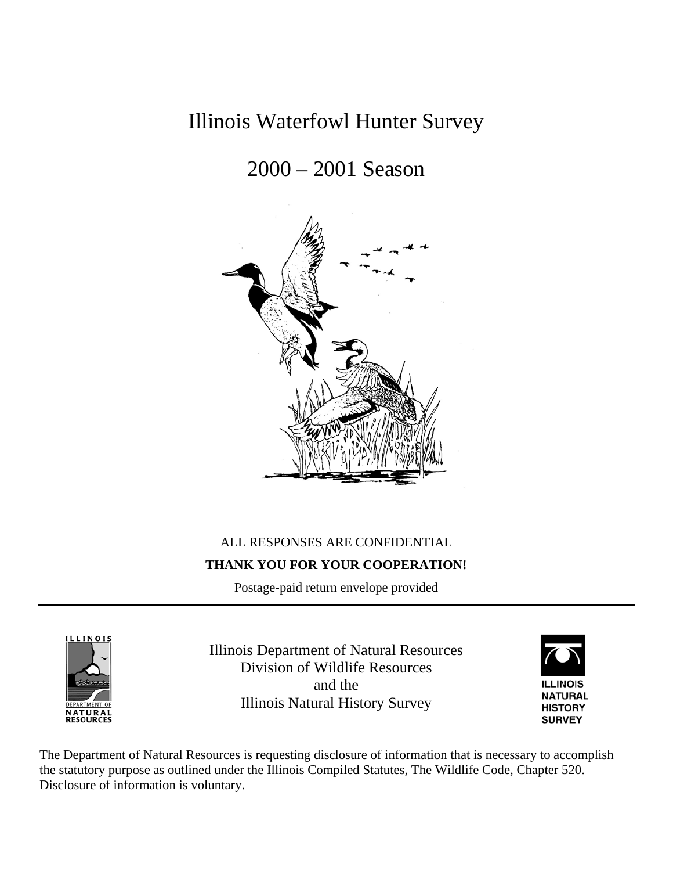# Illinois Waterfowl Hunter Survey

# 2000 – 2001 Season



## ALL RESPONSES ARE CONFIDENTIAL **THANK YOU FOR YOUR COOPERATION!**

Postage-paid return envelope provided



Illinois Department of Natural Resources Division of Wildlife Resources and the Illinois Natural History Survey



The Department of Natural Resources is requesting disclosure of information that is necessary to accomplish the statutory purpose as outlined under the Illinois Compiled Statutes, The Wildlife Code, Chapter 520. Disclosure of information is voluntary.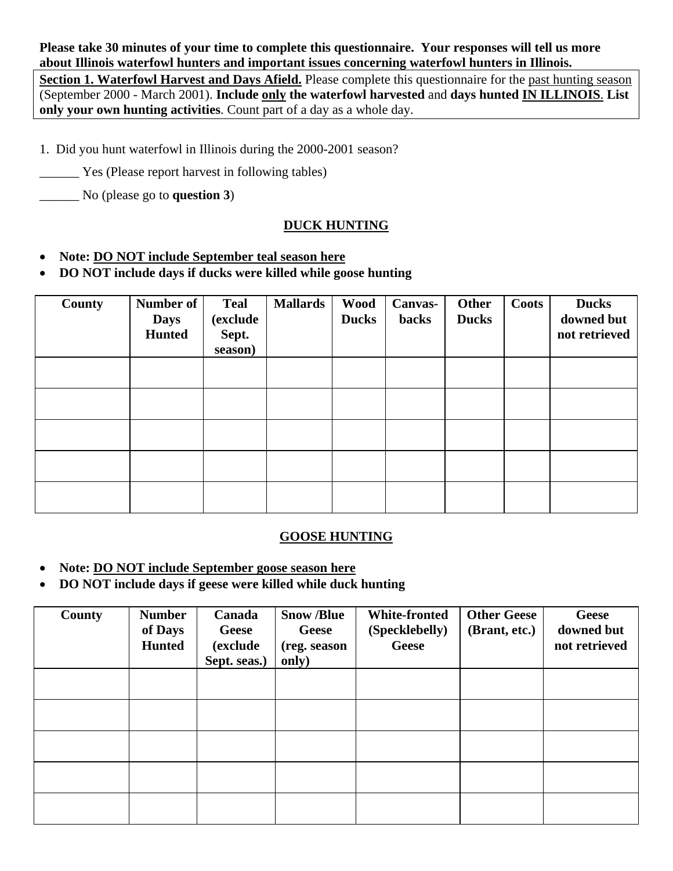**Please take 30 minutes of your time to complete this questionnaire. Your responses will tell us more about Illinois waterfowl hunters and important issues concerning waterfowl hunters in Illinois.** 

**Section 1. Waterfowl Harvest and Days Afield.** Please complete this questionnaire for the past hunting season (September 2000 - March 2001). **Include only the waterfowl harvested** and **days hunted IN ILLINOIS**. **List only your own hunting activities**. Count part of a day as a whole day.

- 1. Did you hunt waterfowl in Illinois during the 2000-2001 season?
- Yes (Please report harvest in following tables)
- \_\_\_\_\_\_ No (please go to **question 3**)

## **DUCK HUNTING**

- **Note: DO NOT include September teal season here**
- **DO NOT include days if ducks were killed while goose hunting**

| <b>County</b> | Number of<br><b>Days</b><br><b>Hunted</b> | <b>Teal</b><br>(exclude<br>Sept.<br>season) | <b>Mallards</b> | <b>Wood</b><br><b>Ducks</b> | <b>Canvas-</b><br><b>backs</b> | <b>Other</b><br><b>Ducks</b> | Coots | <b>Ducks</b><br>downed but<br>not retrieved |
|---------------|-------------------------------------------|---------------------------------------------|-----------------|-----------------------------|--------------------------------|------------------------------|-------|---------------------------------------------|
|               |                                           |                                             |                 |                             |                                |                              |       |                                             |
|               |                                           |                                             |                 |                             |                                |                              |       |                                             |
|               |                                           |                                             |                 |                             |                                |                              |       |                                             |
|               |                                           |                                             |                 |                             |                                |                              |       |                                             |
|               |                                           |                                             |                 |                             |                                |                              |       |                                             |

### **GOOSE HUNTING**

- **Note: DO NOT include September goose season here**
- **DO NOT include days if geese were killed while duck hunting**

| County | <b>Number</b><br>of Days<br><b>Hunted</b> | Canada<br><b>Geese</b><br><i>(exclude)</i><br>Sept. seas.) | <b>Snow /Blue</b><br><b>Geese</b><br>(reg. season<br>only) | <b>White-fronted</b><br>(Specklebelly)<br>Geese | <b>Other Geese</b><br>(Brant, etc.) | <b>Geese</b><br>downed but<br>not retrieved |
|--------|-------------------------------------------|------------------------------------------------------------|------------------------------------------------------------|-------------------------------------------------|-------------------------------------|---------------------------------------------|
|        |                                           |                                                            |                                                            |                                                 |                                     |                                             |
|        |                                           |                                                            |                                                            |                                                 |                                     |                                             |
|        |                                           |                                                            |                                                            |                                                 |                                     |                                             |
|        |                                           |                                                            |                                                            |                                                 |                                     |                                             |
|        |                                           |                                                            |                                                            |                                                 |                                     |                                             |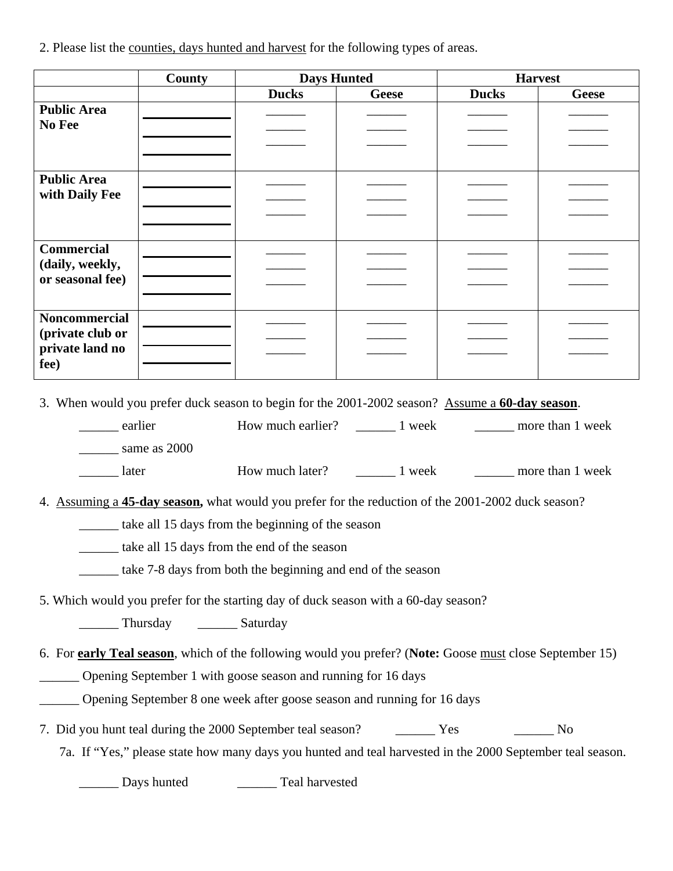2. Please list the counties, days hunted and harvest for the following types of areas.

|                                                                                                 | <b>County</b>                               | <b>Days Hunted</b>                                                                                        |              | <b>Harvest</b> |              |  |
|-------------------------------------------------------------------------------------------------|---------------------------------------------|-----------------------------------------------------------------------------------------------------------|--------------|----------------|--------------|--|
|                                                                                                 |                                             | <b>Ducks</b>                                                                                              | <b>Geese</b> | <b>Ducks</b>   | <b>Geese</b> |  |
| <b>Public Area</b>                                                                              |                                             |                                                                                                           |              |                |              |  |
| No Fee                                                                                          |                                             |                                                                                                           |              |                |              |  |
|                                                                                                 |                                             |                                                                                                           |              |                |              |  |
| <b>Public Area</b>                                                                              |                                             |                                                                                                           |              |                |              |  |
| with Daily Fee                                                                                  |                                             |                                                                                                           |              |                |              |  |
|                                                                                                 |                                             |                                                                                                           |              |                |              |  |
|                                                                                                 |                                             |                                                                                                           |              |                |              |  |
| <b>Commercial</b>                                                                               |                                             |                                                                                                           |              |                |              |  |
| (daily, weekly,<br>or seasonal fee)                                                             |                                             |                                                                                                           |              |                |              |  |
|                                                                                                 |                                             |                                                                                                           |              |                |              |  |
| <b>Noncommercial</b>                                                                            |                                             |                                                                                                           |              |                |              |  |
| (private club or                                                                                |                                             |                                                                                                           |              |                |              |  |
| private land no                                                                                 |                                             |                                                                                                           |              |                |              |  |
| fee)                                                                                            |                                             |                                                                                                           |              |                |              |  |
| 3. When would you prefer duck season to begin for the 2001-2002 season? Assume a 60-day season. |                                             |                                                                                                           |              |                |              |  |
| _______ earlier                                                                                 |                                             |                                                                                                           |              |                |              |  |
|                                                                                                 | same as 2000                                |                                                                                                           |              |                |              |  |
| later                                                                                           |                                             |                                                                                                           |              |                |              |  |
|                                                                                                 |                                             |                                                                                                           |              |                |              |  |
|                                                                                                 |                                             | 4. Assuming a 45-day season, what would you prefer for the reduction of the 2001-2002 duck season?        |              |                |              |  |
|                                                                                                 |                                             | take all 15 days from the beginning of the season                                                         |              |                |              |  |
|                                                                                                 |                                             | take all 15 days from the end of the season                                                               |              |                |              |  |
|                                                                                                 |                                             | take 7-8 days from both the beginning and end of the season                                               |              |                |              |  |
|                                                                                                 |                                             |                                                                                                           |              |                |              |  |
|                                                                                                 |                                             | 5. Which would you prefer for the starting day of duck season with a 60-day season?                       |              |                |              |  |
|                                                                                                 | ___________ Thursday _____________ Saturday |                                                                                                           |              |                |              |  |
|                                                                                                 |                                             | 6. For early Teal season, which of the following would you prefer? (Note: Goose must close September 15)  |              |                |              |  |
|                                                                                                 |                                             | Opening September 1 with goose season and running for 16 days                                             |              |                |              |  |
|                                                                                                 |                                             | <b>Example 16 Dening September 8 one week after goose season and running for 16 days</b>                  |              |                |              |  |
|                                                                                                 |                                             |                                                                                                           |              |                |              |  |
|                                                                                                 |                                             | 7. Did you hunt teal during the 2000 September teal season? The Mess Test Contract No                     |              |                |              |  |
|                                                                                                 |                                             | 7a. If "Yes," please state how many days you hunted and teal harvested in the 2000 September teal season. |              |                |              |  |
|                                                                                                 | Days hunted                                 | Teal harvested                                                                                            |              |                |              |  |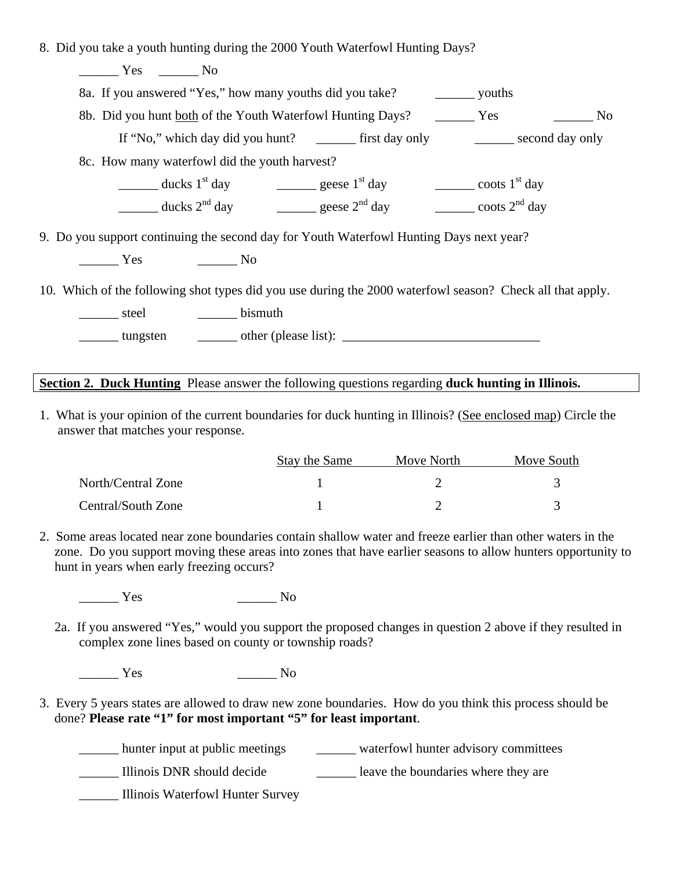8. Did you take a youth hunting during the 2000 Youth Waterfowl Hunting Days?

\_\_\_\_\_\_ Yes \_\_\_\_\_\_ No

8a. If you answered "Yes," how many youths did you take? \_\_\_\_\_\_ youths

8b. Did you hunt both of the Youth Waterfowl Hunting Days? \_\_\_\_\_\_\_ Yes \_\_\_\_\_\_\_ No

If "No," which day did you hunt? \_\_\_\_\_\_\_\_ first day only \_\_\_\_\_\_\_ second day only

8c. How many waterfowl did the youth harvest?

 $\frac{1}{\sqrt{3}}$  ducks  $1^{st}$  day  $\frac{1}{\sqrt{3}}$  geese  $1^{st}$  day  $\frac{1}{\sqrt{3}}$  coots  $1^{st}$  day

ducks  $2^{nd}$  day  $\qquad \qquad$  geese  $2^{nd}$  day  $\qquad \qquad$  coots  $2^{nd}$  day

9. Do you support continuing the second day for Youth Waterfowl Hunting Days next year?

\_\_\_\_\_\_ Yes \_\_\_\_\_\_ No

10. Which of the following shot types did you use during the 2000 waterfowl season? Check all that apply.

\_\_\_\_\_\_\_ steel \_\_\_\_\_\_\_\_ bismuth

 $\frac{1}{\text{tungsten}}$  tungsten  $\frac{1}{\text{tCom}}$  other (please list):  $\frac{1}{\text{tCom}}$ 

## **Section 2. Duck Hunting** Please answer the following questions regarding **duck hunting in Illinois.**

1. What is your opinion of the current boundaries for duck hunting in Illinois? (See enclosed map) Circle the answer that matches your response.

|                    | Stay the Same | Move North | Move South |
|--------------------|---------------|------------|------------|
| North/Central Zone |               |            |            |
| Central/South Zone |               |            |            |

2. Some areas located near zone boundaries contain shallow water and freeze earlier than other waters in the zone. Do you support moving these areas into zones that have earlier seasons to allow hunters opportunity to hunt in years when early freezing occurs?

 $Yes$  No

2a. If you answered "Yes," would you support the proposed changes in question 2 above if they resulted in complex zone lines based on county or township roads?

\_\_\_\_\_\_ Yes \_\_\_\_\_\_ No

3. Every 5 years states are allowed to draw new zone boundaries. How do you think this process should be done? **Please rate "1" for most important "5" for least important**.

\_\_\_\_\_\_ hunter input at public meetings \_\_\_\_\_\_ waterfowl hunter advisory committees

\_\_\_\_\_\_ Illinois DNR should decide \_\_\_\_\_\_ leave the boundaries where they are

\_\_\_\_\_\_ Illinois Waterfowl Hunter Survey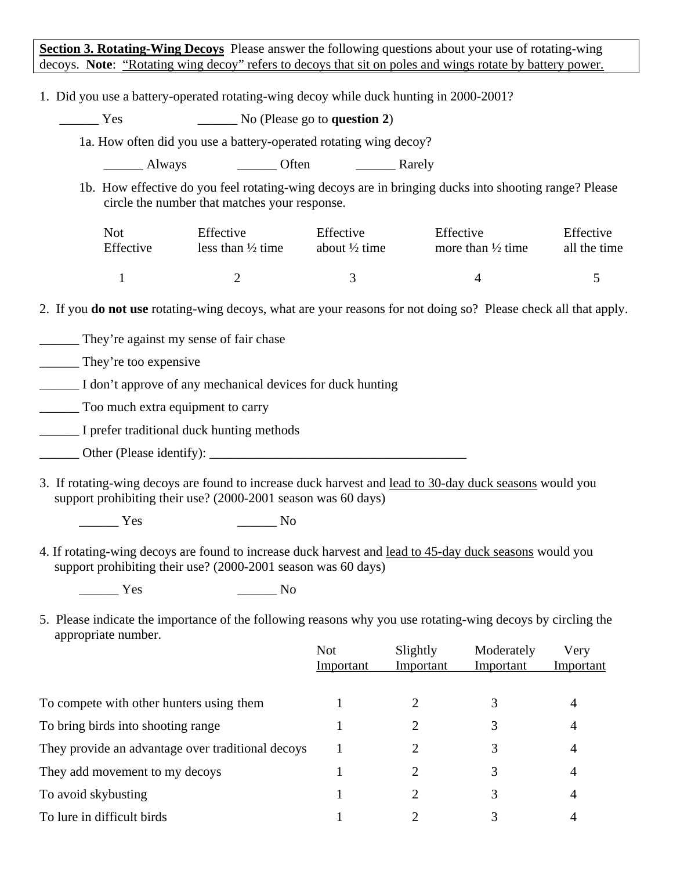**Section 3. Rotating-Wing Decoys** Please answer the following questions about your use of rotating-wing decoys. **Note**: "Rotating wing decoy" refers to decoys that sit on poles and wings rotate by battery power.

1. Did you use a battery-operated rotating-wing decoy while duck hunting in 2000-2001?

\_\_\_\_\_\_ Yes \_\_\_\_\_\_ No (Please go to **question 2**)

1a. How often did you use a battery-operated rotating wing decoy?

\_\_\_\_\_\_\_ Always \_\_\_\_\_\_\_\_\_ Often \_\_\_\_\_\_\_\_\_ Rarely

1b. How effective do you feel rotating-wing decoys are in bringing ducks into shooting range? Please circle the number that matches your response.

| Not       | Effective                    | Effective                | Effective                    | Effective    |
|-----------|------------------------------|--------------------------|------------------------------|--------------|
| Effective | less than $\frac{1}{2}$ time | about $\frac{1}{2}$ time | more than $\frac{1}{2}$ time | all the time |
|           |                              |                          |                              |              |

2. If you **do not use** rotating-wing decoys, what are your reasons for not doing so? Please check all that apply.

\_\_\_\_\_\_ They're against my sense of fair chase

They're too expensive

\_\_\_\_\_\_ I don't approve of any mechanical devices for duck hunting

\_\_\_\_\_\_ Too much extra equipment to carry

\_\_\_\_\_\_ I prefer traditional duck hunting methods

\_\_\_\_\_\_ Other (Please identify): \_\_\_\_\_\_\_\_\_\_\_\_\_\_\_\_\_\_\_\_\_\_\_\_\_\_\_\_\_\_\_\_\_\_\_\_\_\_\_

3. If rotating-wing decoys are found to increase duck harvest and lead to 30-day duck seasons would you support prohibiting their use? (2000-2001 season was 60 days)

Yes No

4. If rotating-wing decoys are found to increase duck harvest and lead to 45-day duck seasons would you support prohibiting their use? (2000-2001 season was 60 days)

\_\_\_\_\_\_ Yes \_\_\_\_\_\_ No

5. Please indicate the importance of the following reasons why you use rotating-wing decoys by circling the appropriate number.

|                                                   | <b>Not</b><br>Important | Slightly<br>Important | Moderately<br>Important | Very<br>Important |
|---------------------------------------------------|-------------------------|-----------------------|-------------------------|-------------------|
|                                                   |                         |                       |                         |                   |
| To compete with other hunters using them          |                         |                       |                         | 4                 |
| To bring birds into shooting range                |                         |                       |                         | 4                 |
| They provide an advantage over traditional decoys |                         |                       |                         | 4                 |
| They add movement to my decoys                    |                         |                       | 3                       | 4                 |
| To avoid skybusting                               |                         |                       |                         | 4                 |
| To lure in difficult birds                        |                         |                       |                         | 4                 |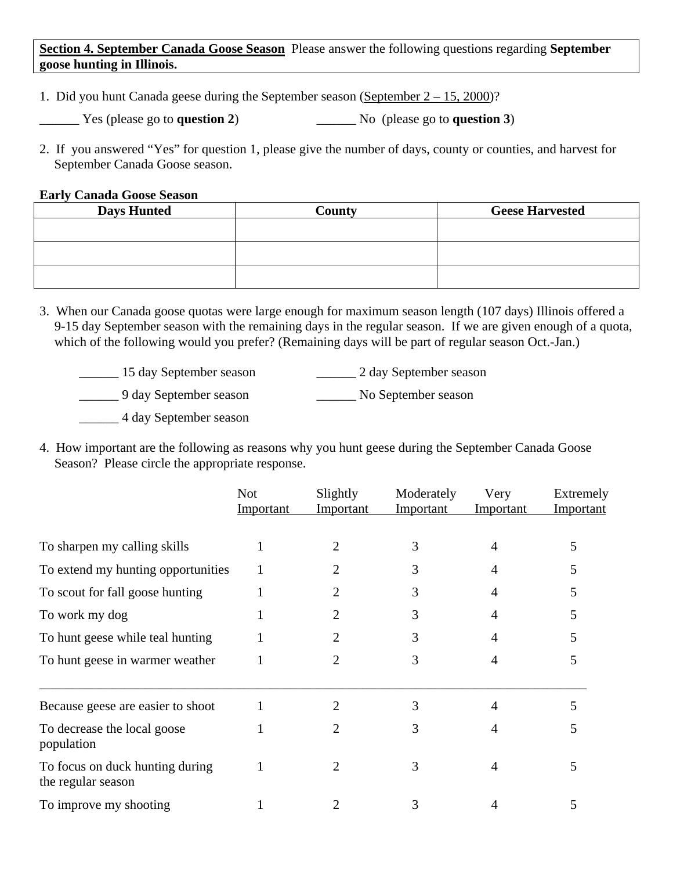**Section 4. September Canada Goose Season** Please answer the following questions regarding **September goose hunting in Illinois.** 

- 1. Did you hunt Canada geese during the September season (September  $2 15$ , 2000)?
- \_\_\_\_\_\_ Yes (please go to **question 2**) \_\_\_\_\_\_ No (please go to **question 3**)
- 2. If you answered "Yes" for question 1, please give the number of days, county or counties, and harvest for September Canada Goose season.

### **Early Canada Goose Season**

| <b>Days Hunted</b> | County | <b>Geese Harvested</b> |
|--------------------|--------|------------------------|
|                    |        |                        |
|                    |        |                        |
|                    |        |                        |

- 3. When our Canada goose quotas were large enough for maximum season length (107 days) Illinois offered a 9-15 day September season with the remaining days in the regular season. If we are given enough of a quota, which of the following would you prefer? (Remaining days will be part of regular season Oct.-Jan.)
	- \_\_\_\_\_\_ 15 day September season \_\_\_\_\_\_ 2 day September season
	- \_\_\_\_\_\_ 9 day September season \_\_\_\_\_\_ No September season

\_\_\_\_\_\_ 4 day September season

4. How important are the following as reasons why you hunt geese during the September Canada Goose Season? Please circle the appropriate response.

|                                                       | <b>Not</b><br>Important | Slightly<br>Important | Moderately<br><b>Important</b> | Very<br><b>Important</b> | Extremely<br>Important |
|-------------------------------------------------------|-------------------------|-----------------------|--------------------------------|--------------------------|------------------------|
| To sharpen my calling skills                          |                         | 2                     | 3                              | 4                        | 5                      |
| To extend my hunting opportunities                    |                         |                       | 3                              |                          | C.                     |
| To scout for fall goose hunting                       |                         | 2                     | 3                              | 4                        | 5                      |
| To work my dog                                        |                         |                       | 3                              |                          | 5                      |
| To hunt geese while teal hunting                      |                         |                       | 3                              |                          |                        |
| To hunt geese in warmer weather                       |                         | 2                     | 3                              | 4                        | 5                      |
| Because geese are easier to shoot                     |                         | 2                     | 3                              | 4                        | 5                      |
| To decrease the local goose<br>population             |                         |                       | 3                              |                          | 5                      |
| To focus on duck hunting during<br>the regular season |                         | 2                     | 3                              | 4                        | 5                      |
| To improve my shooting                                |                         |                       | 3                              |                          | 5                      |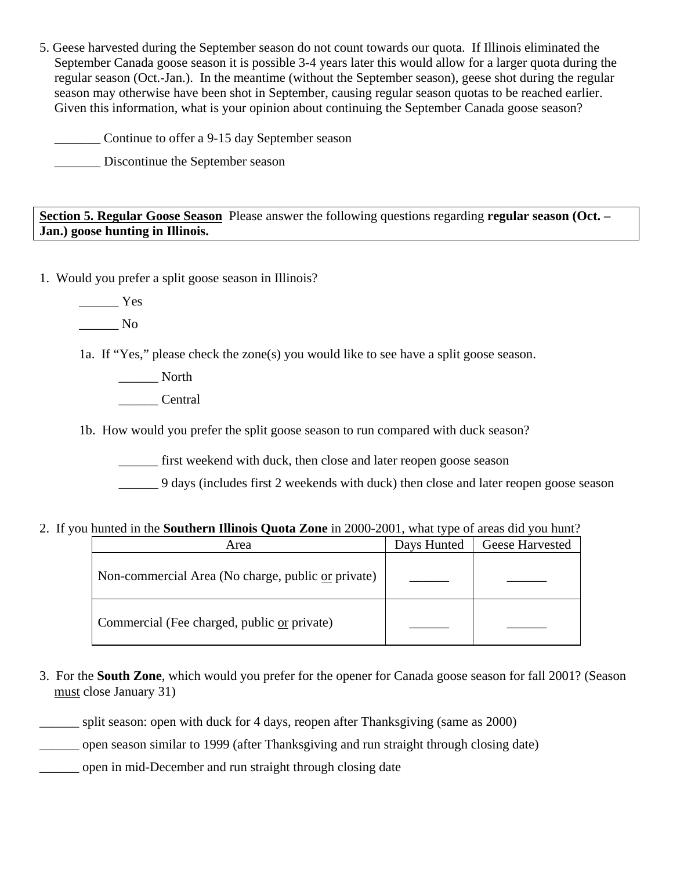5. Geese harvested during the September season do not count towards our quota. If Illinois eliminated the September Canada goose season it is possible 3-4 years later this would allow for a larger quota during the regular season (Oct.-Jan.). In the meantime (without the September season), geese shot during the regular season may otherwise have been shot in September, causing regular season quotas to be reached earlier. Given this information, what is your opinion about continuing the September Canada goose season?

\_\_\_\_\_\_\_ Continue to offer a 9-15 day September season

\_\_\_\_\_\_\_ Discontinue the September season

**Section 5. Regular Goose Season** Please answer the following questions regarding **regular season (Oct. – Jan.) goose hunting in Illinois.** 

1. Would you prefer a split goose season in Illinois?

\_\_\_\_\_\_ Yes

 $\_\_$  No

1a. If "Yes," please check the zone(s) you would like to see have a split goose season.

\_\_\_\_\_\_ North \_\_\_\_\_\_ Central

1b. How would you prefer the split goose season to run compared with duck season?

first weekend with duck, then close and later reopen goose season

\_\_\_\_\_\_ 9 days (includes first 2 weekends with duck) then close and later reopen goose season

### 2. If you hunted in the **Southern Illinois Quota Zone** in 2000-2001, what type of areas did you hunt?

| Area                                               | Days Hunted | Geese Harvested |
|----------------------------------------------------|-------------|-----------------|
| Non-commercial Area (No charge, public or private) |             |                 |
| Commercial (Fee charged, public or private)        |             |                 |

3. For the **South Zone**, which would you prefer for the opener for Canada goose season for fall 2001? (Season must close January 31)

\_\_\_\_\_\_ split season: open with duck for 4 days, reopen after Thanksgiving (same as 2000)

\_\_\_\_\_\_ open season similar to 1999 (after Thanksgiving and run straight through closing date)

\_\_\_\_\_\_ open in mid-December and run straight through closing date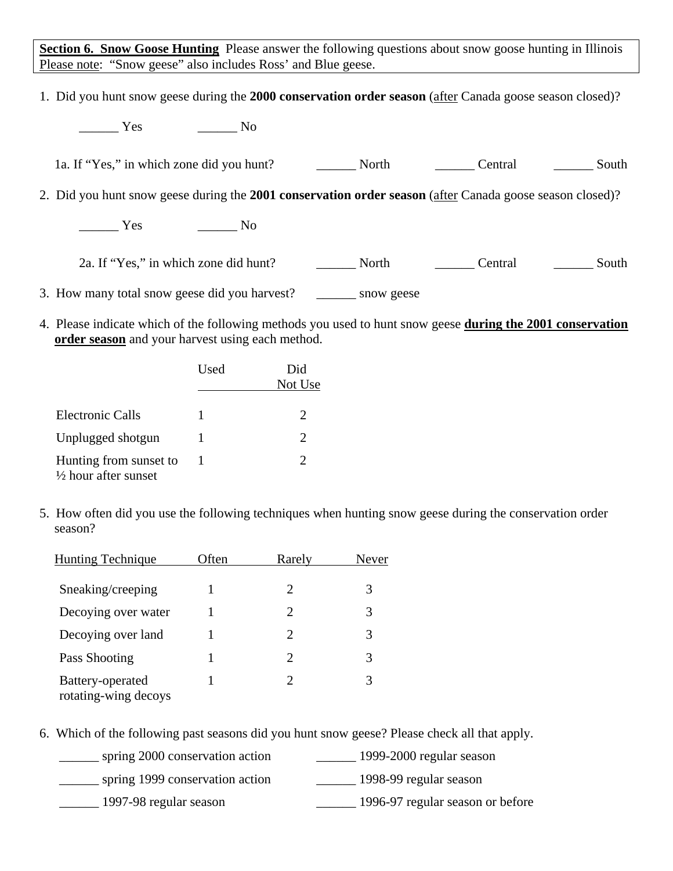**Section 6. Snow Goose Hunting** Please answer the following questions about snow goose hunting in Illinois Please note: "Snow geese" also includes Ross' and Blue geese.

1. Did you hunt snow geese during the **2000 conservation order season** (after Canada goose season closed)?

| <b>Yes</b><br>No.                                                                                        |            |         |       |
|----------------------------------------------------------------------------------------------------------|------------|---------|-------|
| 1a. If "Yes," in which zone did you hunt?                                                                | North      | Central | South |
| 2. Did you hunt snow geese during the 2001 conservation order season (after Canada goose season closed)? |            |         |       |
| <b>Solution</b> Yes<br><b>No.</b> No.                                                                    |            |         |       |
| 2a. If "Yes," in which zone did hunt?                                                                    | North      | Central | South |
| 3. How many total snow geese did you harvest?                                                            | snow geese |         |       |

4. Please indicate which of the following methods you used to hunt snow geese **during the 2001 conservation order season** and your harvest using each method.

| Used | Did                   |
|------|-----------------------|
|      | Not Use               |
|      | $\mathcal{D}_{\cdot}$ |
|      | 2                     |
|      | 2                     |
|      |                       |

5. How often did you use the following techniques when hunting snow geese during the conservation order season?

| <b>Hunting Technique</b>                 | Often | Rarely | Never |  |
|------------------------------------------|-------|--------|-------|--|
| Sneaking/creeping                        |       | 2      | 3     |  |
| Decoying over water                      |       |        | 3     |  |
| Decoying over land                       |       | 2      | 3     |  |
| Pass Shooting                            |       | 2      | 3     |  |
| Battery-operated<br>rotating-wing decoys |       |        | 3     |  |

6. Which of the following past seasons did you hunt snow geese? Please check all that apply.

| spring 2000 conservation action | 1999-2000 regular season         |
|---------------------------------|----------------------------------|
| spring 1999 conservation action | 1998-99 regular season           |
| 1997-98 regular season          | 1996-97 regular season or before |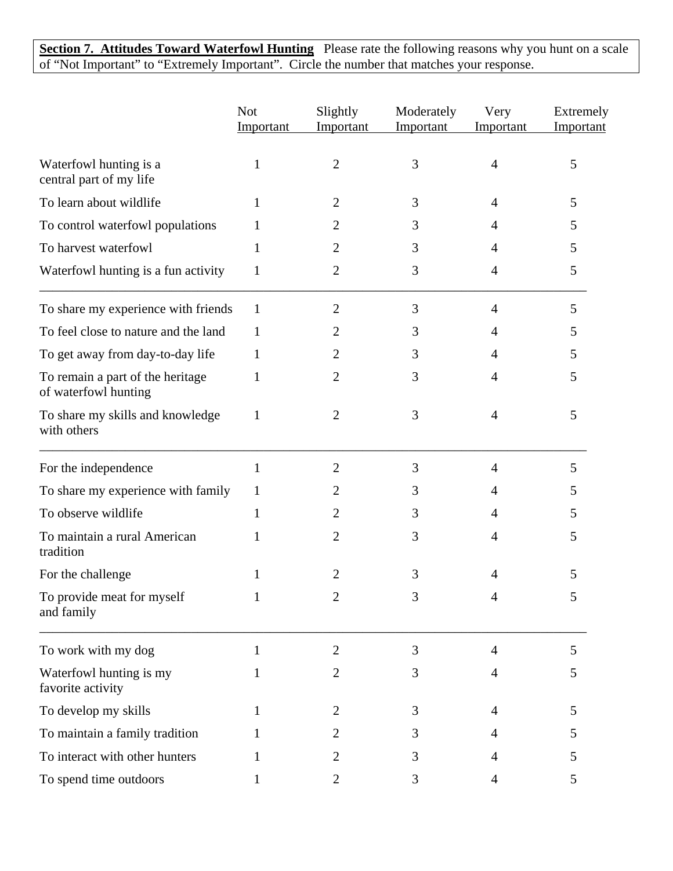**Section 7. Attitudes Toward Waterfowl Hunting** Please rate the following reasons why you hunt on a scale of "Not Important" to "Extremely Important". Circle the number that matches your response.

|                                                          | <b>Not</b><br>Important | Slightly<br>Important | Moderately<br>Important | Very<br>Important | Extremely<br>Important |
|----------------------------------------------------------|-------------------------|-----------------------|-------------------------|-------------------|------------------------|
| Waterfowl hunting is a<br>central part of my life        | 1                       | $\overline{2}$        | 3                       | 4                 | 5                      |
| To learn about wildlife                                  |                         | 2                     | 3                       | 4                 | 5                      |
| To control waterfowl populations                         | 1                       | 2                     | 3                       | 4                 | 5                      |
| To harvest waterfowl                                     | 1                       | 2                     | 3                       | 4                 | 5                      |
| Waterfowl hunting is a fun activity                      | $\mathbf{1}$            | $\overline{c}$        | 3                       | 4                 | 5                      |
| To share my experience with friends                      | $\mathbf{1}$            | 2                     | 3                       | 4                 | 5                      |
| To feel close to nature and the land                     | 1                       | 2                     | 3                       | 4                 | 5                      |
| To get away from day-to-day life                         | 1                       | 2                     | 3                       | 4                 | 5                      |
| To remain a part of the heritage<br>of waterfowl hunting | 1                       | 2                     | 3                       | 4                 | 5                      |
| To share my skills and knowledge<br>with others          | $\mathbf{1}$            | 2                     | 3                       | $\overline{4}$    | 5                      |
| For the independence                                     | $\mathbf{1}$            | 2                     | 3                       | $\overline{4}$    | 5                      |
| To share my experience with family                       | 1                       | 2                     | 3                       | 4                 | 5                      |
| To observe wildlife                                      | 1                       | 2                     | 3                       | 4                 | 5                      |
| To maintain a rural American<br>tradition                | 1                       | 2                     | 3                       | 4                 | 5                      |
| For the challenge                                        |                         | 2                     | 3                       | 4                 | 5                      |
| To provide meat for myself<br>and family                 | 1                       |                       | 3                       | 4                 | ς                      |
| To work with my dog                                      | 1                       | $\overline{2}$        | 3                       | $\overline{4}$    | 5                      |
| Waterfowl hunting is my<br>favorite activity             | 1                       | 2                     | 3                       | 4                 | 5                      |
| To develop my skills                                     | 1                       | 2                     | 3                       | 4                 | 5                      |
| To maintain a family tradition                           |                         | 2                     | 3                       | 4                 | 5                      |
| To interact with other hunters                           | 1                       | 2                     | 3                       | 4                 | 5                      |
| To spend time outdoors                                   | $\mathbf{1}$            | $\overline{2}$        | 3                       | 4                 | 5                      |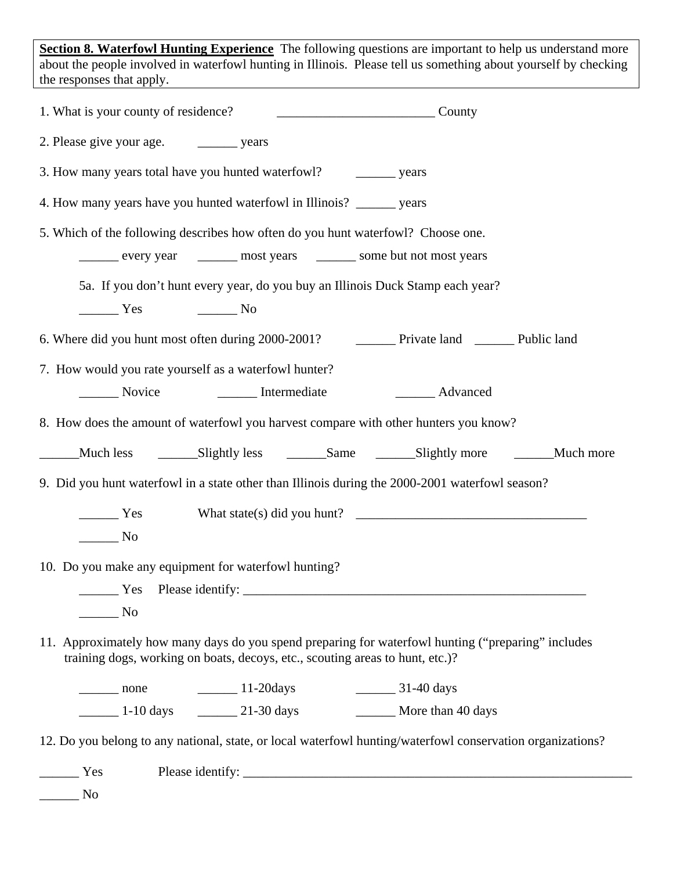**Section 8. Waterfowl Hunting Experience** The following questions are important to help us understand more about the people involved in waterfowl hunting in Illinois. Please tell us something about yourself by checking the responses that apply.

| 1. What is your county of residence?                                                                                                                                                                                                                                                                                                                                                                                              | County                                        |
|-----------------------------------------------------------------------------------------------------------------------------------------------------------------------------------------------------------------------------------------------------------------------------------------------------------------------------------------------------------------------------------------------------------------------------------|-----------------------------------------------|
|                                                                                                                                                                                                                                                                                                                                                                                                                                   |                                               |
| 3. How many years total have you hunted waterfowl? ___________ years                                                                                                                                                                                                                                                                                                                                                              |                                               |
| 4. How many years have you hunted waterfowl in Illinois? _______ years                                                                                                                                                                                                                                                                                                                                                            |                                               |
| 5. Which of the following describes how often do you hunt waterfowl? Choose one.                                                                                                                                                                                                                                                                                                                                                  |                                               |
| every year ________ most years _______ some but not most years                                                                                                                                                                                                                                                                                                                                                                    |                                               |
| 5a. If you don't hunt every year, do you buy an Illinois Duck Stamp each year?                                                                                                                                                                                                                                                                                                                                                    |                                               |
| $\frac{1}{\sqrt{1-\frac{1}{\sqrt{1-\frac{1}{\sqrt{1-\frac{1}{\sqrt{1-\frac{1}{\sqrt{1-\frac{1}{\sqrt{1-\frac{1}{\sqrt{1-\frac{1}{\sqrt{1-\frac{1}{\sqrt{1-\frac{1}{\sqrt{1-\frac{1}{\sqrt{1-\frac{1}{\sqrt{1-\frac{1}{\sqrt{1-\frac{1}{\sqrt{1-\frac{1}{\sqrt{1-\frac{1}{\sqrt{1-\frac{1}{\sqrt{1-\frac{1}{\sqrt{1-\frac{1}{\sqrt{1-\frac{1}{\sqrt{1-\frac{1}{\sqrt{1-\frac{1}{\sqrt{1-\frac{1}{\sqrt{1-\frac{1}{\sqrt{1-\frac{1$ |                                               |
| 6. Where did you hunt most often during 2000-2001? Private land _________ Public land                                                                                                                                                                                                                                                                                                                                             |                                               |
| 7. How would you rate yourself as a waterfowl hunter?                                                                                                                                                                                                                                                                                                                                                                             |                                               |
| Novice Intermediate                                                                                                                                                                                                                                                                                                                                                                                                               | _______ Advanced                              |
| 8. How does the amount of waterfowl you harvest compare with other hunters you know?                                                                                                                                                                                                                                                                                                                                              |                                               |
|                                                                                                                                                                                                                                                                                                                                                                                                                                   |                                               |
| 9. Did you hunt waterfowl in a state other than Illinois during the 2000-2001 waterfowl season?                                                                                                                                                                                                                                                                                                                                   |                                               |
|                                                                                                                                                                                                                                                                                                                                                                                                                                   | $\frac{1}{1}$ Yes What state(s) did you hunt? |
| $\overline{\phantom{1}}$ No                                                                                                                                                                                                                                                                                                                                                                                                       |                                               |
| 10. Do you make any equipment for waterfowl hunting?                                                                                                                                                                                                                                                                                                                                                                              |                                               |
|                                                                                                                                                                                                                                                                                                                                                                                                                                   |                                               |
| $\overline{\phantom{1}}$ No                                                                                                                                                                                                                                                                                                                                                                                                       |                                               |
| 11. Approximately how many days do you spend preparing for waterfowl hunting ("preparing" includes<br>training dogs, working on boats, decoys, etc., scouting areas to hunt, etc.)?                                                                                                                                                                                                                                               |                                               |
| $\frac{11-20 \text{days}}{20}$                                                                                                                                                                                                                                                                                                                                                                                                    | $\frac{31-40 \text{ days}}{2}$                |
| $\frac{1-10 \text{ days}}{21-30 \text{ days}}$                                                                                                                                                                                                                                                                                                                                                                                    | More than 40 days                             |
| 12. Do you belong to any national, state, or local waterfowl hunting/waterfowl conservation organizations?                                                                                                                                                                                                                                                                                                                        |                                               |
| Yes                                                                                                                                                                                                                                                                                                                                                                                                                               |                                               |
| No                                                                                                                                                                                                                                                                                                                                                                                                                                |                                               |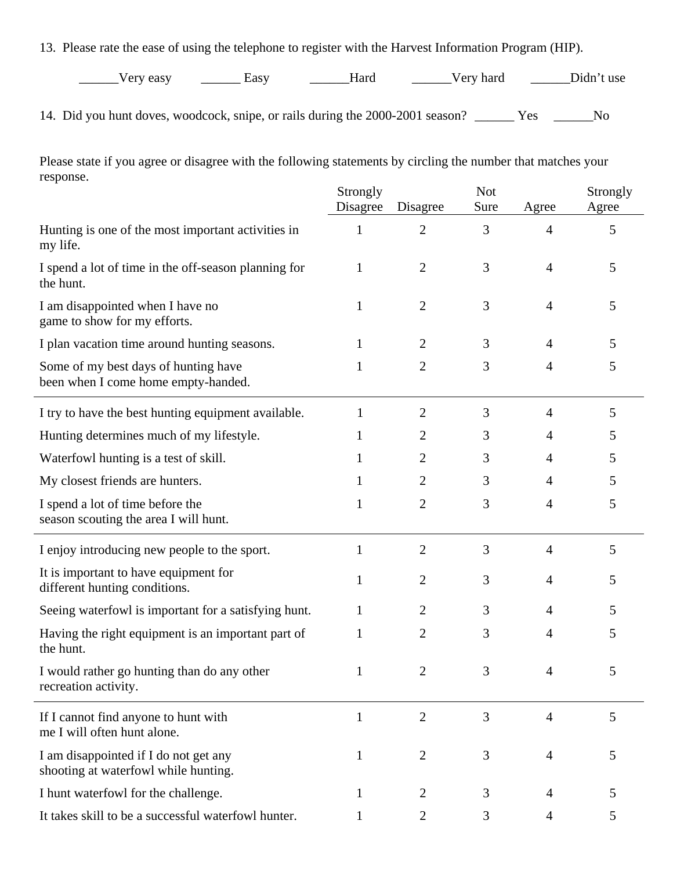13. Please rate the ease of using the telephone to register with the Harvest Information Program (HIP).

| Very easy<br>◡<br>vu. | ∠asv | taro | hard<br>$1 \wedge r$<br>் ⊏ா | t use<br>Jidn |
|-----------------------|------|------|------------------------------|---------------|
|-----------------------|------|------|------------------------------|---------------|

14. Did you hunt doves, woodcock, snipe, or rails during the 2000-2001 season? \_\_\_\_\_\_ Yes \_\_\_\_\_\_No

Please state if you agree or disagree with the following statements by circling the number that matches your response.

|                                                                               | Strongly<br>Disagree | Disagree       | <b>Not</b><br>Sure | Agree          | Strongly<br>Agree |
|-------------------------------------------------------------------------------|----------------------|----------------|--------------------|----------------|-------------------|
| Hunting is one of the most important activities in<br>my life.                | 1                    | $\overline{2}$ | 3                  | $\overline{4}$ | 5                 |
| I spend a lot of time in the off-season planning for<br>the hunt.             | 1                    | $\overline{2}$ | 3                  | 4              | 5                 |
| I am disappointed when I have no<br>game to show for my efforts.              | 1                    | 2              | 3                  | 4              | 5                 |
| I plan vacation time around hunting seasons.                                  | 1                    | $\overline{2}$ | 3                  | 4              | 5                 |
| Some of my best days of hunting have<br>been when I come home empty-handed.   | 1                    | $\overline{2}$ | 3                  | 4              | 5                 |
| I try to have the best hunting equipment available.                           | 1                    | $\overline{2}$ | 3                  | $\overline{4}$ | 5                 |
| Hunting determines much of my lifestyle.                                      | 1                    | $\overline{2}$ | 3                  | 4              | 5                 |
| Waterfowl hunting is a test of skill.                                         | 1                    | 2              | 3                  | 4              | 5                 |
| My closest friends are hunters.                                               | 1                    | 2              | 3                  | 4              | 5                 |
| I spend a lot of time before the<br>season scouting the area I will hunt.     | 1                    | $\overline{2}$ | 3                  | $\overline{4}$ | 5                 |
| I enjoy introducing new people to the sport.                                  | 1                    | $\overline{2}$ | 3                  | 4              | 5                 |
| It is important to have equipment for<br>different hunting conditions.        | 1                    | $\overline{2}$ | 3                  | 4              | 5                 |
| Seeing waterfowl is important for a satisfying hunt.                          | 1                    | 2              | 3                  | 4              | 5                 |
| Having the right equipment is an important part of<br>the hunt.               | 1                    | $\overline{2}$ | 3                  | 4              | 5                 |
| I would rather go hunting than do any other<br>recreation activity.           | 1                    | $\overline{2}$ | 3                  | 4              | 5                 |
| If I cannot find anyone to hunt with<br>me I will often hunt alone.           | $\mathbf{1}$         | $\overline{2}$ | 3                  | $\overline{4}$ | 5                 |
| I am disappointed if I do not get any<br>shooting at waterfowl while hunting. | 1                    | 2              | 3                  | 4              | 5                 |
| I hunt waterfowl for the challenge.                                           | 1                    | $\overline{2}$ | 3                  | 4              | 5                 |
| It takes skill to be a successful waterfowl hunter.                           | 1                    | $\overline{2}$ | 3                  | 4              | 5                 |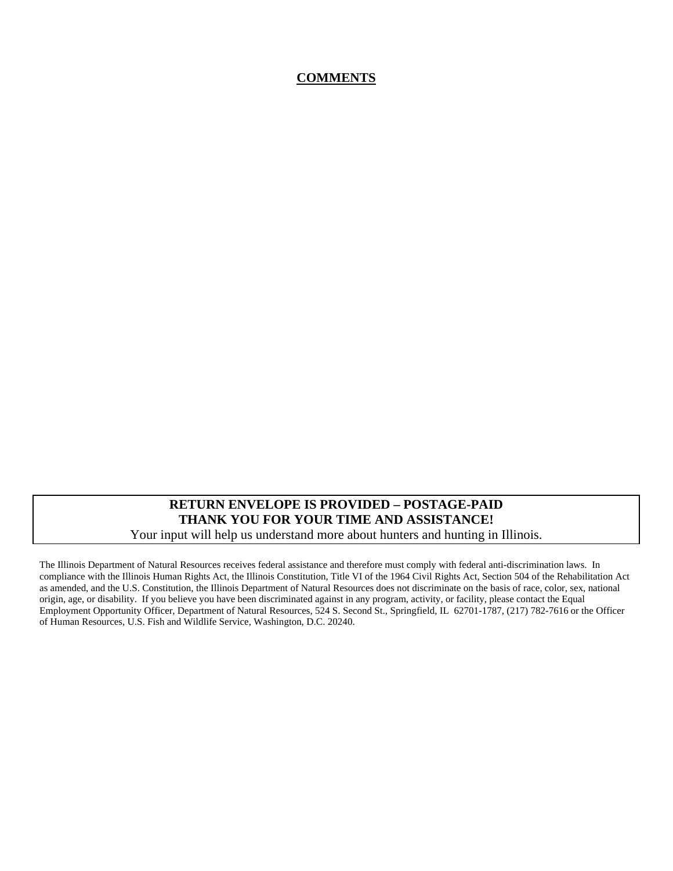## **COMMENTS**

### **RETURN ENVELOPE IS PROVIDED – POSTAGE-PAID THANK YOU FOR YOUR TIME AND ASSISTANCE!**  Your input will help us understand more about hunters and hunting in Illinois.

The Illinois Department of Natural Resources receives federal assistance and therefore must comply with federal anti-discrimination laws. In compliance with the Illinois Human Rights Act, the Illinois Constitution, Title VI of the 1964 Civil Rights Act, Section 504 of the Rehabilitation Act as amended, and the U.S. Constitution, the Illinois Department of Natural Resources does not discriminate on the basis of race, color, sex, national origin, age, or disability. If you believe you have been discriminated against in any program, activity, or facility, please contact the Equal Employment Opportunity Officer, Department of Natural Resources, 524 S. Second St., Springfield, IL 62701-1787, (217) 782-7616 or the Officer of Human Resources, U.S. Fish and Wildlife Service, Washington, D.C. 20240.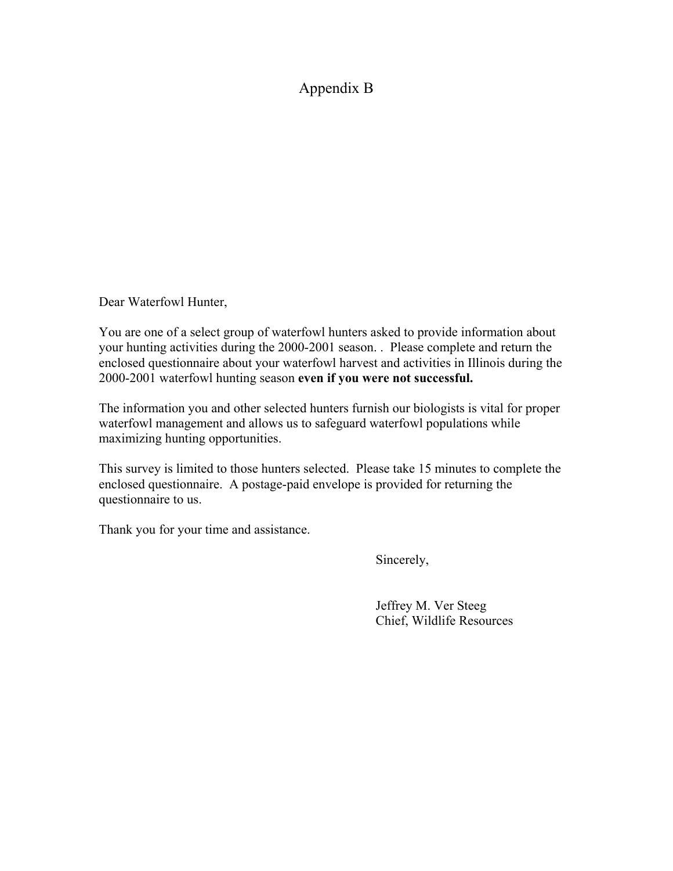## Appendix B

Dear Waterfowl Hunter,

You are one of a select group of waterfowl hunters asked to provide information about your hunting activities during the 2000-2001 season. . Please complete and return the enclosed questionnaire about your waterfowl harvest and activities in Illinois during the 2000-2001 waterfowl hunting season **even if you were not successful.**

The information you and other selected hunters furnish our biologists is vital for proper waterfowl management and allows us to safeguard waterfowl populations while maximizing hunting opportunities.

This survey is limited to those hunters selected. Please take 15 minutes to complete the enclosed questionnaire. A postage-paid envelope is provided for returning the questionnaire to us.

Thank you for your time and assistance.

Sincerely,

 Jeffrey M. Ver Steeg Chief, Wildlife Resources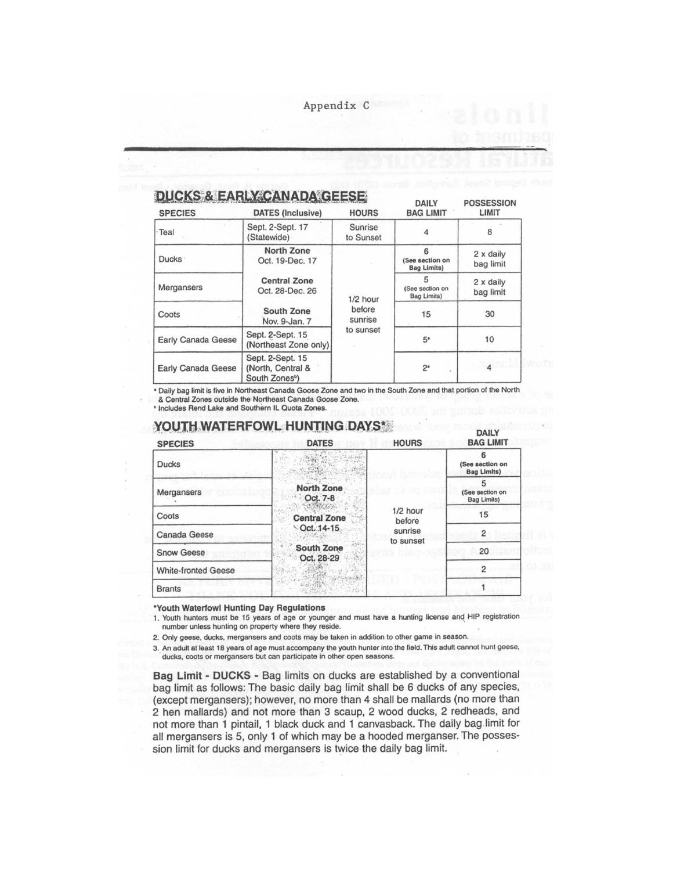Appendix C

| <b>DUCKS &amp; EARLY CANADA GEESE</b> |  |
|---------------------------------------|--|
|---------------------------------------|--|

| <b>SPECIES</b>            | <b>DATES</b> (Inclusive)                                            | <b>HOURS</b>                    | -----<br><b>BAG LIMIT</b>             | .<br>LIMIT             |
|---------------------------|---------------------------------------------------------------------|---------------------------------|---------------------------------------|------------------------|
| · Teal                    | Sept. 2-Sept. 17<br>(Statewide)                                     | Sunrise<br>to Sunset            |                                       | 8                      |
| Ducks ·                   | North Zone<br>Oct. 19-Dec. 17                                       | $1/2$ hour<br>before<br>sunrise | (See section on<br><b>Bag Limits)</b> | 2 x daily<br>bag limit |
| Mergansers                | <b>Central Zone</b><br>Oct. 28-Dec. 26                              |                                 | 5<br>(See section on<br>Bag Limits)   | 2 x daily<br>bag limit |
| Coots                     | <b>South Zone</b><br>Nov. 9-Jan. 7                                  |                                 | 15                                    | 30                     |
| Early Canada Geese        | Sept. 2-Sept. 15<br>(Northeast Zone only)                           | to sunset                       | $5*$                                  | 10                     |
| <b>Early Canada Geese</b> | Sept. 2-Sept. 15<br>(North, Central &<br>South Zones <sup>b</sup> ) |                                 | 2 <sup>a</sup>                        |                        |

**DAILY** 

**POSSESSION** 

\* Daily bag limit is five in Northeast Canada Goose Zone and two in the South Zone and that portion of the North & Central Zones outside the Northeast Canada Goose Zone.

<sup>b</sup> Includes Rend Lake and Southern IL Quota Zones.

#### **YOUTH WATERFOWL HUNTING DAYS\* DAILY BAG LIMIT HOURS DATES SPECIES** 6  $\gamma_{\rm NL}$  . **Ducks** (See section on  $\hat{q}_{P}$  , **Bag Limits)** 5 **North Zone** Mergansers (See section on Oct. 7-8 **Bag Limits)** 1/2 hour 15 Coots **Central Zone** before Oct. 14-15 sunrise  $\overline{\mathbf{c}}$ Canada Geese to sunset **South Zone Snow Geese** 20 Oct. 28-29  $\overline{c}$ **White-fronted Geese**  $\mathbf{1}$ **Brants**

\*Youth Waterfowl Hunting Day Regulations

1. Youth hunters must be 15 years of age or younger and must have a hunting license and HIP registration number unless hunting on property where they reside.

2. Only geese, ducks, mergansers and coots may be taken in addition to other game in season.

3. An adult at least 18 years of age must accompany the youth hunter into the field. This adult cannot hunt geese, ducks, coots or mergansers but can participate in other open seasons.

Bag Limit - DUCKS - Bag limits on ducks are established by a conventional bag limit as follows: The basic daily bag limit shall be 6 ducks of any species, (except mergansers); however, no more than 4 shall be mallards (no more than 2 hen mallards) and not more than 3 scaup, 2 wood ducks, 2 redheads, and not more than 1 pintail, 1 black duck and 1 canvasback. The daily bag limit for all mergansers is 5, only 1 of which may be a hooded merganser. The possession limit for ducks and mergansers is twice the daily bag limit.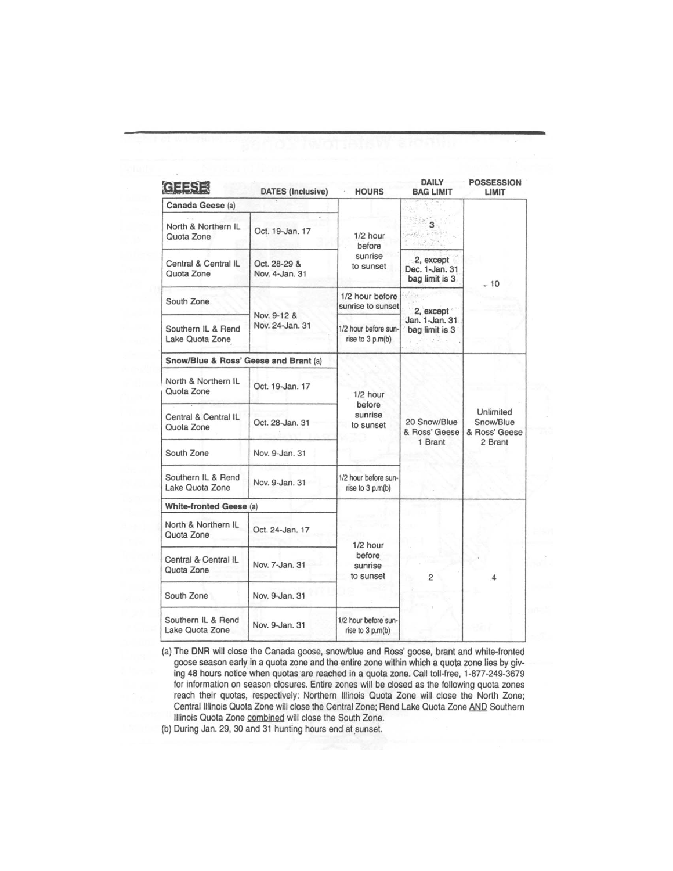| <b>DATES</b> (Inclusive)       | <b>HOURS</b>                                                                    | DAILY<br><b>BAG LIMIT</b>                      | <b>POSSESSION</b><br>LIMIT                         |  |
|--------------------------------|---------------------------------------------------------------------------------|------------------------------------------------|----------------------------------------------------|--|
|                                |                                                                                 |                                                |                                                    |  |
| Oct. 19-Jan. 17                | $1/2$ hour<br>before                                                            | 3<br>erfile e post                             | $-10$                                              |  |
| Oct. 28-29 &<br>Nov. 4-Jan. 31 | sunrise<br>to sunset                                                            | 2, except<br>Dec. 1-Jan. 31<br>bag limit is 3. |                                                    |  |
|                                | 1/2 hour before<br>sunrise to sunset                                            |                                                |                                                    |  |
| Nov. 24-Jan. 31                | 1/2 hour before sun-<br>rise to 3 p.m(b)                                        | Jan. 1-Jan. 31<br>bag limit is 3               |                                                    |  |
|                                |                                                                                 |                                                |                                                    |  |
| Oct. 19-Jan. 17                | $1/2$ hour                                                                      |                                                | Unlimited<br>Snow/Blue<br>& Ross' Geese<br>2 Brant |  |
| Oct. 28-Jan. 31                | sunrise<br>to sunset                                                            | 20 Snow/Blue<br>& Ross' Geese                  |                                                    |  |
| Nov. 9-Jan. 31                 |                                                                                 |                                                |                                                    |  |
| Nov. 9-Jan. 31                 | 1/2 hour before sun-<br>rise to 3 p.m(b)                                        |                                                |                                                    |  |
|                                |                                                                                 |                                                |                                                    |  |
| Oct. 24-Jan. 17                |                                                                                 |                                                |                                                    |  |
| Nov. 7-Jan. 31                 | before<br>sunrise<br>to sunset                                                  | $\overline{2}$                                 | 4                                                  |  |
| Nov. 9-Jan. 31                 |                                                                                 |                                                |                                                    |  |
| Nov. 9-Jan. 31                 | 1/2 hour before sun-<br>rise to 3 p.m(b)                                        |                                                |                                                    |  |
|                                | Nov. 9-12 &<br>Snow/Blue & Ross' Geese and Brant (a)<br>White-fronted Geese (a) | before<br>$1/2$ hour                           | 2, except<br>1 Brant                               |  |

(a) The DNR will close the Canada goose, snow/blue and Ross' goose, brant and white-fronted goose season early in a quota zone and the entire zone within which a quota zone lies by giving 48 hours notice when quotas are reached in a quota zone. Call toll-free, 1-877-249-3679 for information on season closures. Entire zones will be closed as the following quota zones reach their quotas, respectively: Northern Illinois Quota Zone will close the North Zone; Central Illinois Quota Zone will close the Central Zone; Rend Lake Quota Zone AND Southern Illinois Quota Zone combined will close the South Zone.

(b) During Jan. 29, 30 and 31 hunting hours end at sunset.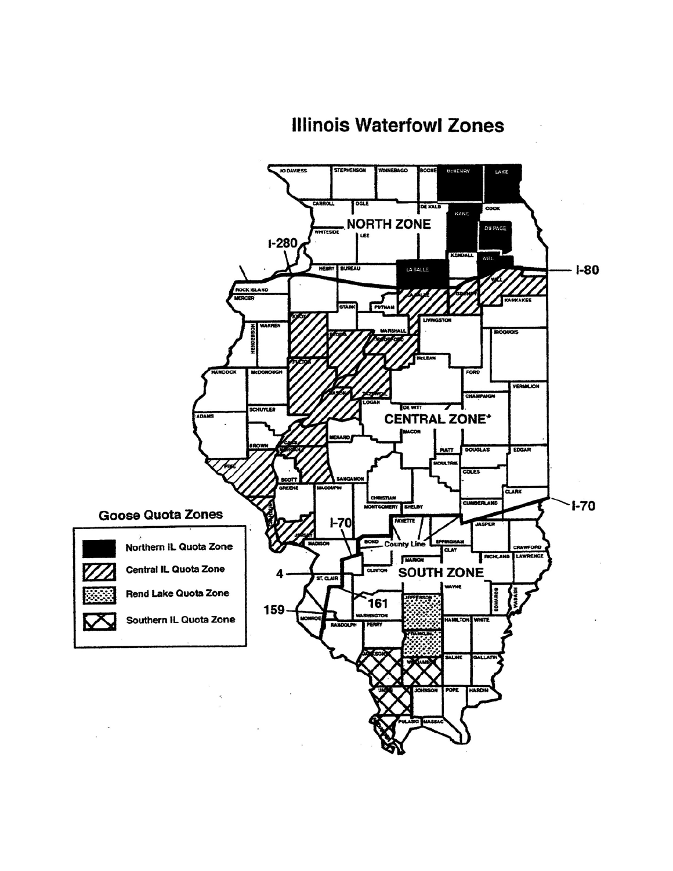# **Illinois Waterfowl Zones**

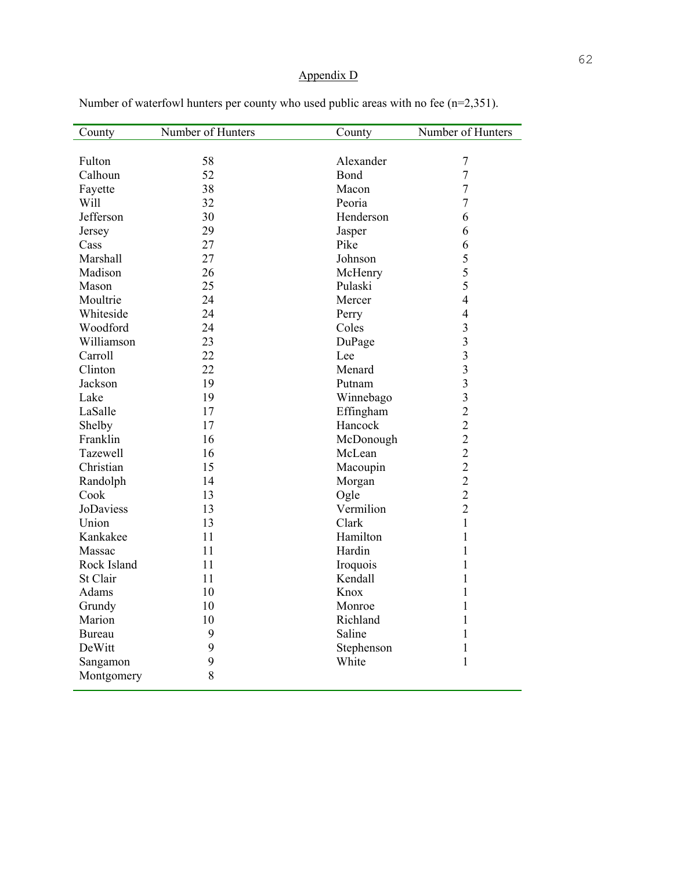## Appendix D

| County      | Number of Hunters | County     | Number of Hunters       |
|-------------|-------------------|------------|-------------------------|
|             |                   |            |                         |
| Fulton      | 58                | Alexander  | $\overline{7}$          |
| Calhoun     | 52                | Bond       | $\overline{7}$          |
| Fayette     | 38                | Macon      | $\overline{7}$          |
| Will        | 32                | Peoria     | $\overline{7}$          |
| Jefferson   | 30                | Henderson  | 6                       |
| Jersey      | 29                | Jasper     | 6                       |
| Cass        | 27                | Pike       | 6                       |
| Marshall    | 27                | Johnson    | 5                       |
| Madison     | 26                | McHenry    | 5                       |
| Mason       | 25                | Pulaski    | 5                       |
| Moultrie    | 24                | Mercer     | $\overline{4}$          |
| Whiteside   | 24                | Perry      | $\overline{4}$          |
| Woodford    | 24                | Coles      | $\overline{\mathbf{3}}$ |
| Williamson  | 23                | DuPage     | $\overline{\mathbf{3}}$ |
| Carroll     | 22                | Lee        | $\overline{\mathbf{3}}$ |
| Clinton     | 22                | Menard     | $\overline{\mathbf{3}}$ |
| Jackson     | 19                | Putnam     | $\overline{\mathbf{3}}$ |
| Lake        | 19                | Winnebago  | $\overline{\mathbf{3}}$ |
| LaSalle     | 17                | Effingham  | $\overline{2}$          |
| Shelby      | 17                | Hancock    | $\overline{2}$          |
| Franklin    | 16                | McDonough  | $\overline{2}$          |
| Tazewell    | 16                | McLean     | $\overline{2}$          |
| Christian   | 15                | Macoupin   | $\overline{2}$          |
| Randolph    | 14                | Morgan     | $\overline{2}$          |
| Cook        | 13                | Ogle       | $\overline{2}$          |
| JoDaviess   | 13                | Vermilion  | $\overline{2}$          |
| Union       | 13                | Clark      | $\mathbf{1}$            |
| Kankakee    | 11                | Hamilton   | $\mathbf{1}$            |
| Massac      | 11                | Hardin     | $\mathbf{1}$            |
| Rock Island | 11                | Iroquois   | 1                       |
| St Clair    | 11                | Kendall    | $\mathbf{1}$            |
| Adams       | 10                | Knox       | $\mathbf{1}$            |
| Grundy      | 10                | Monroe     | $\mathbf{1}$            |
| Marion      | 10                | Richland   | $\mathbf{1}$            |
| Bureau      | 9                 | Saline     | $\mathbf{1}$            |
| DeWitt      | 9                 | Stephenson | $\mathbf 1$             |
| Sangamon    | 9                 | White      | $\mathbf{1}$            |
| Montgomery  | 8                 |            |                         |

Number of waterfowl hunters per county who used public areas with no fee (n=2,351).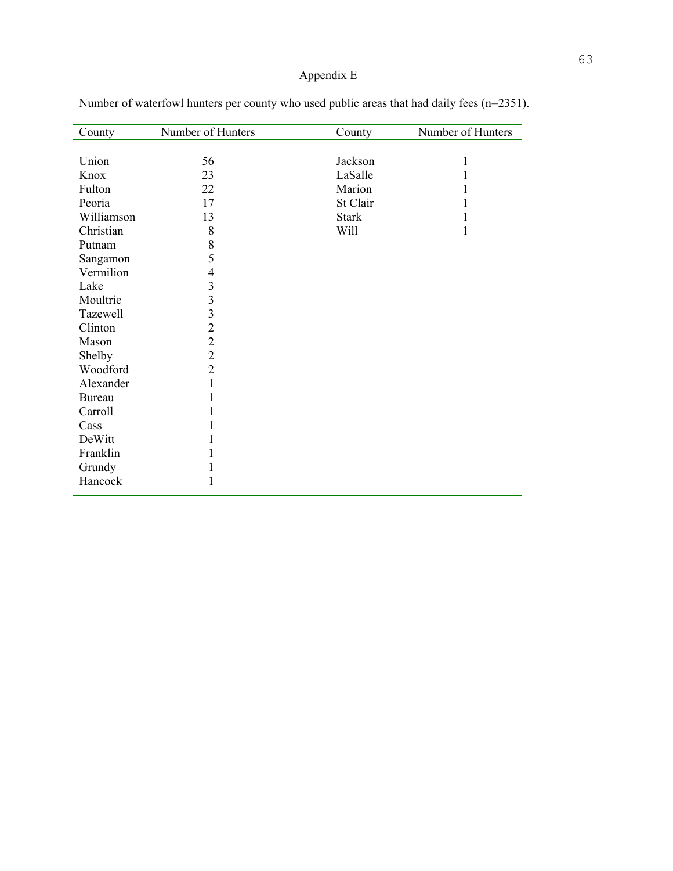## Appendix E

| County        | Number of Hunters | County       | Number of Hunters |
|---------------|-------------------|--------------|-------------------|
|               |                   |              |                   |
| Union         | 56                | Jackson      | 1                 |
| Knox          | 23                | LaSalle      |                   |
| Fulton        | 22                | Marion       | 1                 |
| Peoria        | 17                | St Clair     | 1                 |
| Williamson    | 13                | <b>Stark</b> | 1                 |
| Christian     | 8                 | Will         | $\mathbf{1}$      |
| Putnam        | 8                 |              |                   |
| Sangamon      | 5                 |              |                   |
| Vermilion     | 4                 |              |                   |
| Lake          | 3                 |              |                   |
| Moultrie      | 3                 |              |                   |
| Tazewell      | 3                 |              |                   |
| Clinton       | $\overline{2}$    |              |                   |
| Mason         | $\overline{c}$    |              |                   |
| Shelby        | $\overline{2}$    |              |                   |
| Woodford      | $\overline{2}$    |              |                   |
| Alexander     | 1                 |              |                   |
| <b>Bureau</b> | 1                 |              |                   |
| Carroll       | 1                 |              |                   |
| Cass          |                   |              |                   |
| DeWitt        |                   |              |                   |
| Franklin      |                   |              |                   |
| Grundy        | 1                 |              |                   |
| Hancock       | 1                 |              |                   |

Number of waterfowl hunters per county who used public areas that had daily fees (n=2351).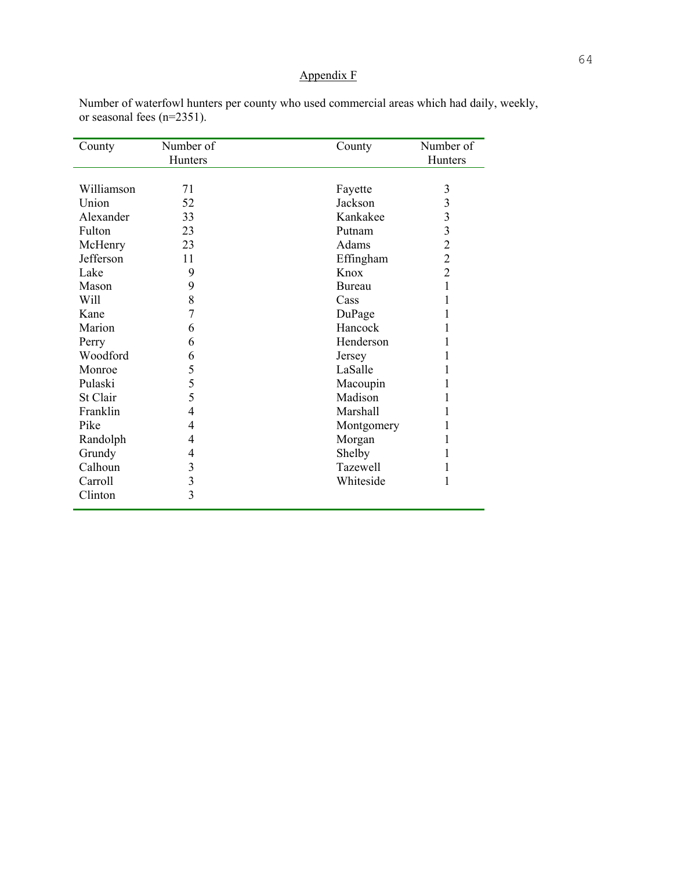## Appendix F

| County     | Number of<br>Hunters | County     | Number of<br>Hunters |
|------------|----------------------|------------|----------------------|
|            |                      |            |                      |
| Williamson | 71                   | Fayette    | 3                    |
| Union      | 52                   | Jackson    | 3                    |
| Alexander  | 33                   | Kankakee   | 3                    |
| Fulton     | 23                   | Putnam     | 3                    |
| McHenry    | 23                   | Adams      | $\overline{2}$       |
| Jefferson  | 11                   | Effingham  | $\overline{2}$       |
| Lake       | 9                    | Knox       | $\overline{2}$       |
| Mason      | 9                    | Bureau     | 1                    |
| Will       | 8                    | Cass       |                      |
| Kane       | 7                    | DuPage     |                      |
| Marion     | 6                    | Hancock    |                      |
| Perry      | 6                    | Henderson  |                      |
| Woodford   | 6                    | Jersey     |                      |
| Monroe     | 5                    | LaSalle    |                      |
| Pulaski    | 5                    | Macoupin   |                      |
| St Clair   | 5                    | Madison    |                      |
| Franklin   | 4                    | Marshall   |                      |
| Pike       | 4                    | Montgomery | 1                    |
| Randolph   | 4                    | Morgan     |                      |
| Grundy     | 4                    | Shelby     | 1                    |
| Calhoun    | 3                    | Tazewell   |                      |
| Carroll    | 3                    | Whiteside  | 1                    |
| Clinton    | 3                    |            |                      |

Number of waterfowl hunters per county who used commercial areas which had daily, weekly, or seasonal fees (n=2351).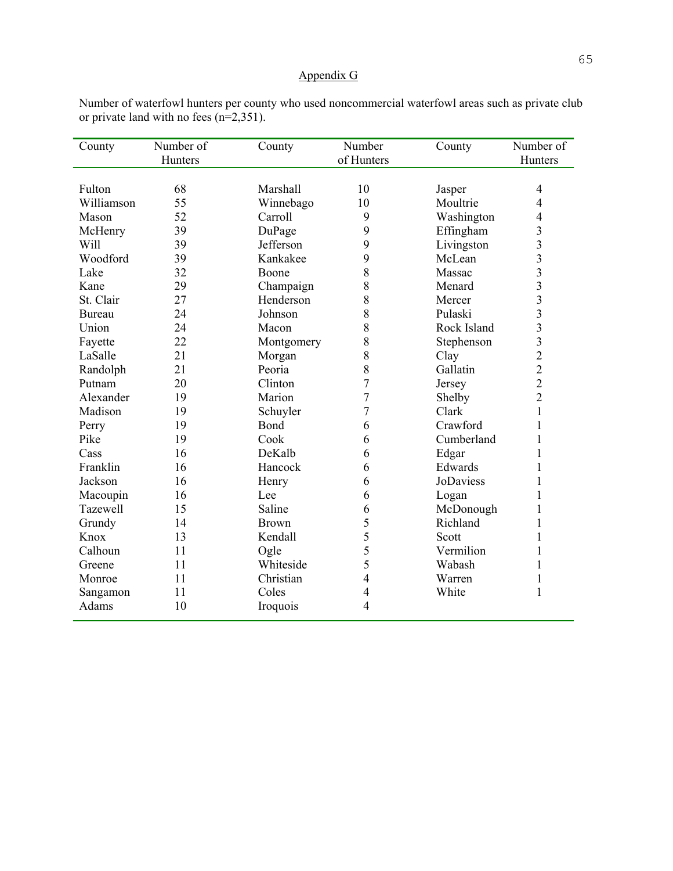## Appendix G

Number of waterfowl hunters per county who used noncommercial waterfowl areas such as private club or private land with no fees (n=2,351).

| County     | Number of<br>Hunters | County       | Number<br>of Hunters | County           | Number of<br>Hunters    |
|------------|----------------------|--------------|----------------------|------------------|-------------------------|
|            |                      |              |                      |                  |                         |
| Fulton     | 68                   | Marshall     | 10                   | Jasper           | $\overline{4}$          |
| Williamson | 55                   | Winnebago    | 10                   | Moultrie         | 4                       |
| Mason      | 52                   | Carroll      | 9                    | Washington       | 4                       |
| McHenry    | 39                   | DuPage       | 9                    | Effingham        | 3                       |
| Will       | 39                   | Jefferson    | 9                    | Livingston       | $\overline{\mathbf{3}}$ |
| Woodford   | 39                   | Kankakee     | 9                    | McLean           | $\overline{\mathbf{3}}$ |
| Lake       | 32                   | Boone        | 8                    | Massac           | 3                       |
| Kane       | 29                   | Champaign    | 8                    | Menard           | $\overline{\mathbf{3}}$ |
| St. Clair  | 27                   | Henderson    | 8                    | Mercer           | $\overline{\mathbf{3}}$ |
| Bureau     | 24                   | Johnson      | 8                    | Pulaski          | 3                       |
| Union      | 24                   | Macon        | 8                    | Rock Island      | $\overline{\mathbf{3}}$ |
| Fayette    | 22                   | Montgomery   | 8                    | Stephenson       | $\overline{3}$          |
| LaSalle    | 21                   | Morgan       | 8                    | Clay             | $\overline{2}$          |
| Randolph   | 21                   | Peoria       | 8                    | Gallatin         | $\overline{2}$          |
| Putnam     | 20                   | Clinton      | 7                    | Jersey           | $\overline{c}$          |
| Alexander  | 19                   | Marion       | $\overline{7}$       | Shelby           | $\overline{2}$          |
| Madison    | 19                   | Schuyler     | 7                    | Clark            | $\mathbf 1$             |
| Perry      | 19                   | Bond         | 6                    | Crawford         | $\mathbf{1}$            |
| Pike       | 19                   | Cook         | 6                    | Cumberland       | $\mathbf{1}$            |
| Cass       | 16                   | DeKalb       | 6                    | Edgar            | $\mathbf{1}$            |
| Franklin   | 16                   | Hancock      | 6                    | Edwards          | $\mathbf{1}$            |
| Jackson    | 16                   | Henry        | 6                    | <b>JoDaviess</b> | $\mathbf{1}$            |
| Macoupin   | 16                   | Lee          | 6                    | Logan            | $\mathbf{1}$            |
| Tazewell   | 15                   | Saline       | 6                    | McDonough        | $\mathbf{1}$            |
| Grundy     | 14                   | <b>Brown</b> | 5                    | Richland         | $\mathbf{1}$            |
| Knox       | 13                   | Kendall      | 5                    | Scott            | 1                       |
| Calhoun    | 11                   | Ogle         | 5                    | Vermilion        | $\mathbf{1}$            |
| Greene     | 11                   | Whiteside    | 5                    | Wabash           | $\mathbf{1}$            |
| Monroe     | 11                   | Christian    | 4                    | Warren           | $\mathbf{1}$            |
| Sangamon   | 11                   | Coles        | 4                    | White            | $\mathbf{1}$            |
| Adams      | 10                   | Iroquois     | 4                    |                  |                         |